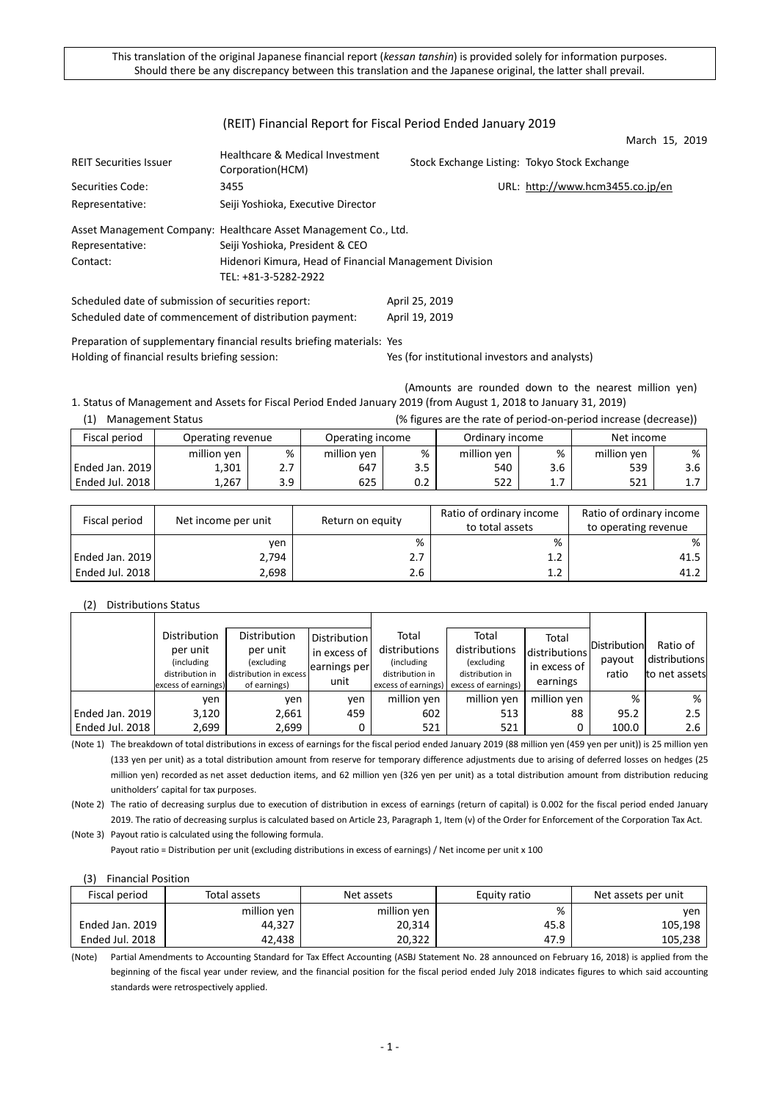# (REIT) Financial Report for Fiscal Period Ended January 2019

|                                                    |                                                                 |                                              | March 15, 2019                   |  |
|----------------------------------------------------|-----------------------------------------------------------------|----------------------------------------------|----------------------------------|--|
| <b>REIT Securities Issuer</b>                      | Healthcare & Medical Investment<br>Corporation(HCM)             | Stock Exchange Listing: Tokyo Stock Exchange |                                  |  |
| Securities Code:                                   | 3455                                                            |                                              | URL: http://www.hcm3455.co.jp/en |  |
| Representative:                                    | Seiji Yoshioka, Executive Director                              |                                              |                                  |  |
|                                                    | Asset Management Company: Healthcare Asset Management Co., Ltd. |                                              |                                  |  |
| Representative:                                    | Seiji Yoshioka, President & CEO                                 |                                              |                                  |  |
| Contact:                                           | Hidenori Kimura, Head of Financial Management Division          |                                              |                                  |  |
|                                                    | TEL: +81-3-5282-2922                                            |                                              |                                  |  |
| Scheduled date of submission of securities report: |                                                                 | April 25, 2019                               |                                  |  |

Scheduled date of commencement of distribution payment: April 19, 2019 Preparation of supplementary financial results briefing materials: Yes

Holding of financial results briefing session: Yes (for institutional investors and analysts)

(Amounts are rounded down to the nearest million yen) 1. Status of Management and Assets for Fiscal Period Ended January 2019 (from August 1, 2018 to January 31, 2019)

| (1)<br><b>Management Status</b>    |             | (% figures are the rate of period-on-period increase (decrease)) |                  |     |                 |     |             |     |
|------------------------------------|-------------|------------------------------------------------------------------|------------------|-----|-----------------|-----|-------------|-----|
| Fiscal period<br>Operating revenue |             |                                                                  | Operating income |     | Ordinary income |     | Net income  |     |
|                                    | million yen | %                                                                | million yen      | %   | million ven     | %   | million yen | %   |
| Ended Jan. 2019                    | 1.301       | 2.7                                                              | 647              | 3.5 | 540             | 3.6 | 539         | 3.6 |
| l Ended Jul. 2018 l                | 1.267       | 3.9                                                              | 625              | 0.2 | 522             | 1.7 | 521         |     |

| Fiscal period   | Net income per unit | Return on equity | Ratio of ordinary income<br>to total assets | Ratio of ordinary income<br>to operating revenue |
|-----------------|---------------------|------------------|---------------------------------------------|--------------------------------------------------|
|                 | ven                 | %                | %                                           | %                                                |
| Ended Jan. 2019 | 2,794               | 2.7              | 1.2                                         | 41.5                                             |
| Ended Jul. 2018 | 2,698               | 2.6              |                                             | 41.2                                             |

(2) Distributions Status

|                 | Distribution                           | <b>Distribution</b>                    | Distribution | Total                                  | Total                                  | Total         |              |               |
|-----------------|----------------------------------------|----------------------------------------|--------------|----------------------------------------|----------------------------------------|---------------|--------------|---------------|
|                 | per unit                               | per unit                               | in excess of | distributions                          | distributions                          | distributions | Distribution | Ratio of      |
|                 | (including                             | (excluding                             | earnings per | (including)                            | (excluding                             | in excess of  | payout       | distributions |
|                 | distribution in<br>excess of earnings) | distribution in excess<br>of earnings) | unit         | distribution in<br>excess of earnings) | distribution in<br>excess of earnings) | earnings      | ratio        | to net assets |
|                 |                                        |                                        |              |                                        |                                        |               |              |               |
|                 | ven                                    | ven                                    | ven          | million yen                            | million yen                            | million yen   | %            | %             |
| Ended Jan. 2019 | 3,120                                  | 2,661                                  | 459          | 602                                    | 513                                    | 88            | 95.2         | 2.5           |
| Ended Jul. 2018 | 2,699                                  | 2,699                                  | 0            | 521                                    | 521                                    | 0             | 100.0        | 2.6           |

(Note 1) The breakdown of total distributions in excess of earnings for the fiscal period ended January 2019 (88 million yen (459 yen per unit)) is 25 million yen (133 yen per unit) as a total distribution amount from reserve for temporary difference adjustments due to arising of deferred losses on hedges (25 million yen) recorded as net asset deduction items, and 62 million yen (326 yen per unit) as a total distribution amount from distribution reducing unitholders' capital for tax purposes.

(Note 2) The ratio of decreasing surplus due to execution of distribution in excess of earnings (return of capital) is 0.002 for the fiscal period ended January 2019. The ratio of decreasing surplus is calculated based on Article 23, Paragraph 1, Item (v) of the Order for Enforcement of the Corporation Tax Act.

(Note 3) Payout ratio is calculated using the following formula. Payout ratio = Distribution per unit (excluding distributions in excess of earnings) / Net income per unit x 100

(3) Financial Position

| Fiscal period   | Total assets | Net assets  | Equity ratio | Net assets per unit |
|-----------------|--------------|-------------|--------------|---------------------|
|                 | million yen  | million yen | %            | ven                 |
| Ended Jan. 2019 | 44,327       | 20,314      | 45.8         | 105,198             |
| Ended Jul. 2018 | 42.438       | 20,322      | 47.9         | 105,238             |

(Note) Partial Amendments to Accounting Standard for Tax Effect Accounting (ASBJ Statement No. 28 announced on February 16, 2018) is applied from the beginning of the fiscal year under review, and the financial position for the fiscal period ended July 2018 indicates figures to which said accounting standards were retrospectively applied.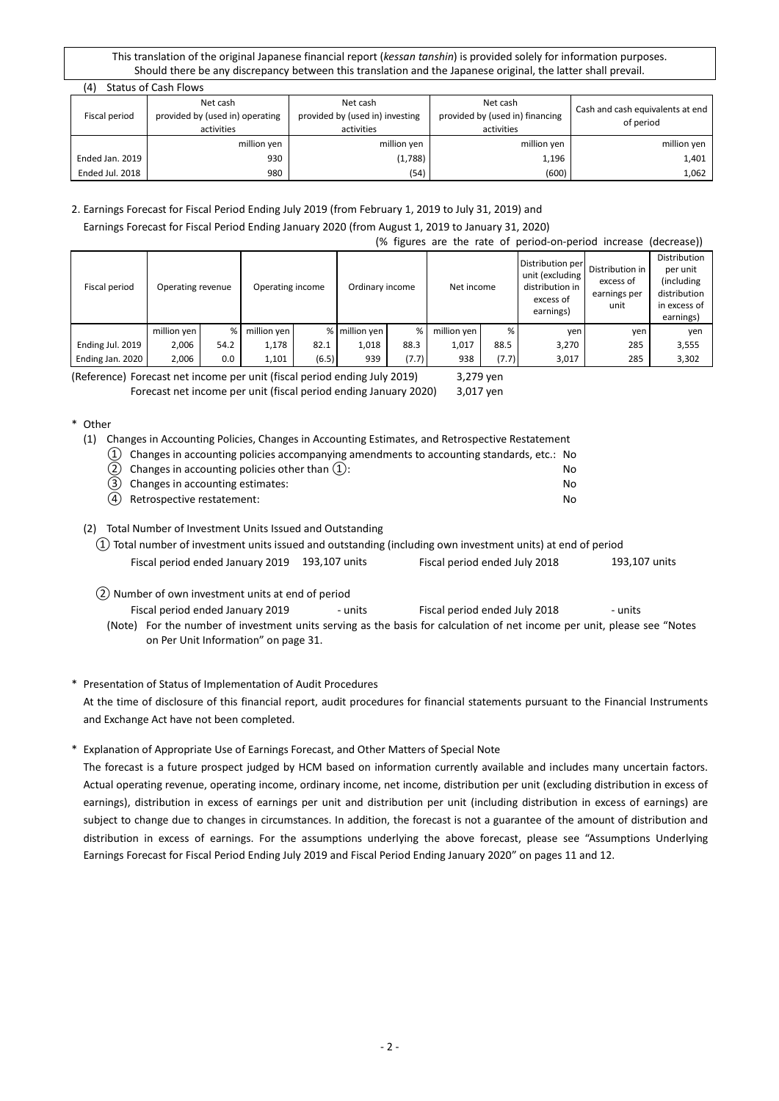| (4)<br>Status of Cash Flows |                                             |                                             |                                             |                                               |  |  |  |
|-----------------------------|---------------------------------------------|---------------------------------------------|---------------------------------------------|-----------------------------------------------|--|--|--|
| Fiscal period               | Net cash<br>provided by (used in) operating | Net cash<br>provided by (used in) investing | Net cash<br>provided by (used in) financing | Cash and cash equivalents at end<br>of period |  |  |  |
|                             | activities                                  | activities                                  | activities                                  |                                               |  |  |  |
|                             | million yen                                 | million yen                                 | million yen                                 | million yen                                   |  |  |  |
| Ended Jan. 2019             | 930                                         | (1,788)                                     | 1,196                                       | 1,401                                         |  |  |  |
| Ended Jul. 2018             | 980                                         | (54)                                        | (600)                                       | 1,062                                         |  |  |  |

# 2. Earnings Forecast for Fiscal Period Ending July 2019 (from February 1, 2019 to July 31, 2019) and Earnings Forecast for Fiscal Period Ending January 2020 (from August 1, 2019 to January 31, 2020)

#### (% figures are the rate of period-on-period increase (decrease))

| Fiscal period    | Operating revenue |      | Operating income |       | Ordinary income |       | Net income  |       | Distribution per<br>unit (excluding<br>distribution in<br>excess of<br>earnings) | Distribution in<br>excess of<br>earnings per<br>unit | Distribution<br>per unit<br>(including<br>distribution<br>in excess of<br>earnings) |
|------------------|-------------------|------|------------------|-------|-----------------|-------|-------------|-------|----------------------------------------------------------------------------------|------------------------------------------------------|-------------------------------------------------------------------------------------|
|                  | million yen       | %    | million yen      |       | % million ven   | %.    | million yen | %     | ven                                                                              | yen                                                  | ven                                                                                 |
| Ending Jul. 2019 | 2.006             | 54.2 | 1,178            | 82.1  | 1,018           | 88.3  | 1,017       | 88.5  | 3,270                                                                            | 285                                                  | 3,555                                                                               |
| Ending Jan. 2020 | 2,006             | 0.0  | 1,101            | (6.5) | 939             | (7.7) | 938         | (7.7) | 3,017                                                                            | 285                                                  | 3,302                                                                               |

(Reference) Forecast net income per unit (fiscal period ending July 2019) 3,279 yen Forecast net income per unit (fiscal period ending January 2020) 3,017 yen

# \* Other

(1) Changes in Accounting Policies, Changes in Accounting Estimates, and Retrospective Restatement

| $(1)$ Changes in accounting policies accompanying amendments to accounting standards, etc.: No |     |
|------------------------------------------------------------------------------------------------|-----|
| (2) Changes in accounting policies other than $(1)$ :                                          | No. |
| (3) Changes in accounting estimates:                                                           | No. |
| $\left( \begin{array}{ccc} 1 & 1 \\ 1 & 1 \end{array} \right)$                                 |     |

④ Retrospective restatement: No

# (2) Total Number of Investment Units Issued and Outstanding

- ① Total number of investment units issued and outstanding (including own investment units) at end of period Fiscal period ended January 2019 193,107 units Fiscal period ended July 2018 193,107 units
- ② Number of own investment units at end of period

Fiscal period ended January 2019 - units Fiscal period ended July 2018 - units

(Note) For the number of investment units serving as the basis for calculation of net income per unit, please see "Notes on Per Unit Information" on page 31.

# \* Presentation of Status of Implementation of Audit Procedures

At the time of disclosure of this financial report, audit procedures for financial statements pursuant to the Financial Instruments and Exchange Act have not been completed.

# \* Explanation of Appropriate Use of Earnings Forecast, and Other Matters of Special Note

The forecast is a future prospect judged by HCM based on information currently available and includes many uncertain factors. Actual operating revenue, operating income, ordinary income, net income, distribution per unit (excluding distribution in excess of earnings), distribution in excess of earnings per unit and distribution per unit (including distribution in excess of earnings) are subject to change due to changes in circumstances. In addition, the forecast is not a guarantee of the amount of distribution and distribution in excess of earnings. For the assumptions underlying the above forecast, please see "Assumptions Underlying Earnings Forecast for Fiscal Period Ending July 2019 and Fiscal Period Ending January 2020" on pages 11 and 12.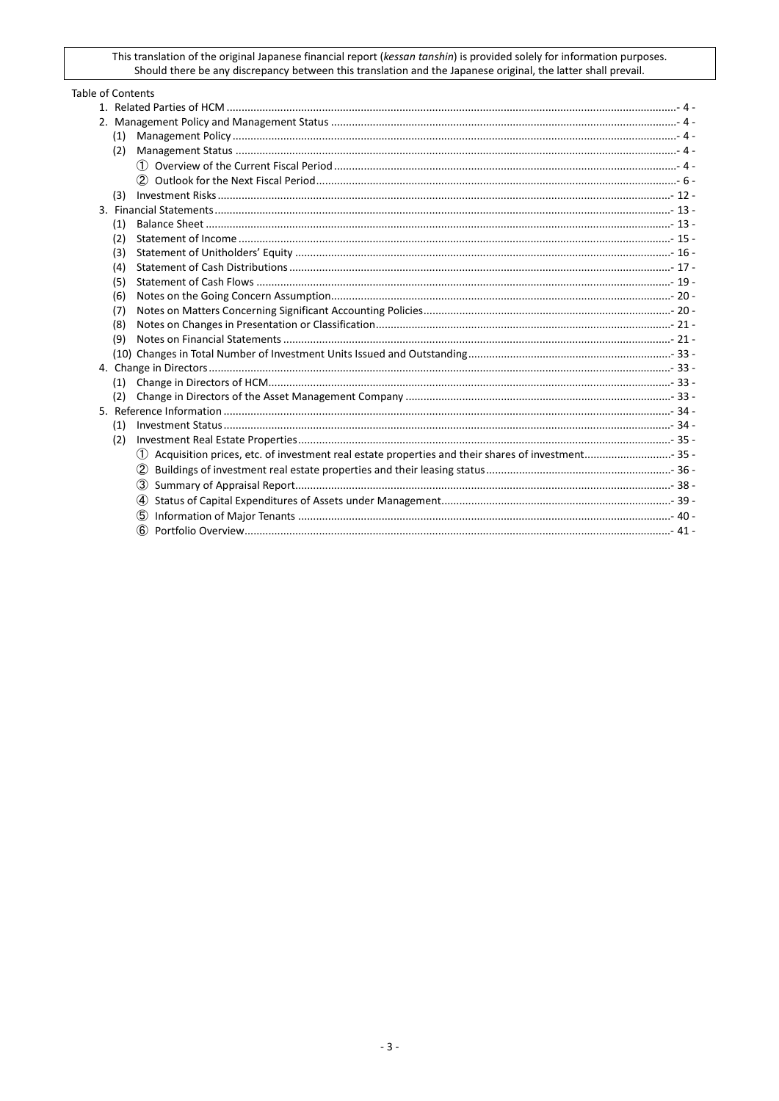| <b>Table of Contents</b> |  |  |  |  |  |  |  |
|--------------------------|--|--|--|--|--|--|--|
|                          |  |  |  |  |  |  |  |
|                          |  |  |  |  |  |  |  |
| (1)                      |  |  |  |  |  |  |  |
| (2)                      |  |  |  |  |  |  |  |
|                          |  |  |  |  |  |  |  |
|                          |  |  |  |  |  |  |  |
| (3)                      |  |  |  |  |  |  |  |
|                          |  |  |  |  |  |  |  |
| (1)                      |  |  |  |  |  |  |  |
| (2)                      |  |  |  |  |  |  |  |
| (3)                      |  |  |  |  |  |  |  |
| (4)                      |  |  |  |  |  |  |  |
| (5)                      |  |  |  |  |  |  |  |
| (6)                      |  |  |  |  |  |  |  |
| (7)                      |  |  |  |  |  |  |  |
| (8)                      |  |  |  |  |  |  |  |
| (9)                      |  |  |  |  |  |  |  |
|                          |  |  |  |  |  |  |  |
|                          |  |  |  |  |  |  |  |
| (1)                      |  |  |  |  |  |  |  |
| (2)                      |  |  |  |  |  |  |  |
|                          |  |  |  |  |  |  |  |
| (1)                      |  |  |  |  |  |  |  |
| (2)                      |  |  |  |  |  |  |  |
|                          |  |  |  |  |  |  |  |
| (2)                      |  |  |  |  |  |  |  |
|                          |  |  |  |  |  |  |  |
| (4)                      |  |  |  |  |  |  |  |
| (5)                      |  |  |  |  |  |  |  |
|                          |  |  |  |  |  |  |  |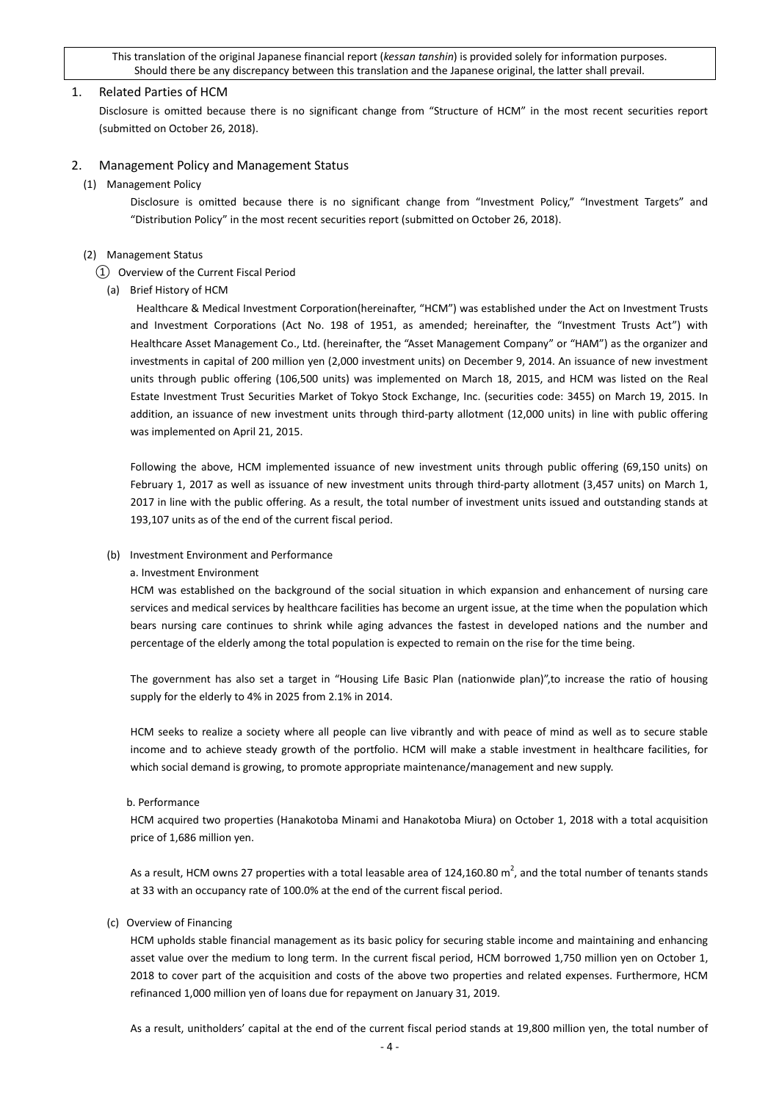#### <span id="page-3-0"></span>1. Related Parties of HCM

Disclosure is omitted because there is no significant change from "Structure of HCM" in the most recent securities report (submitted on October 26, 2018).

#### <span id="page-3-2"></span><span id="page-3-1"></span>2. Management Policy and Management Status

(1) Management Policy

Disclosure is omitted because there is no significant change from "Investment Policy," "Investment Targets" and "Distribution Policy" in the most recent securities report (submitted on October 26, 2018).

#### <span id="page-3-4"></span><span id="page-3-3"></span>(2) Management Status

#### ① Overview of the Current Fiscal Period

(a) Brief History of HCM

Healthcare & Medical Investment Corporation(hereinafter, "HCM") was established under the Act on Investment Trusts and Investment Corporations (Act No. 198 of 1951, as amended; hereinafter, the "Investment Trusts Act") with Healthcare Asset Management Co., Ltd. (hereinafter, the "Asset Management Company" or "HAM") as the organizer and investments in capital of 200 million yen (2,000 investment units) on December 9, 2014. An issuance of new investment units through public offering (106,500 units) was implemented on March 18, 2015, and HCM was listed on the Real Estate Investment Trust Securities Market of Tokyo Stock Exchange, Inc. (securities code: 3455) on March 19, 2015. In addition, an issuance of new investment units through third-party allotment (12,000 units) in line with public offering was implemented on April 21, 2015.

Following the above, HCM implemented issuance of new investment units through public offering (69,150 units) on February 1, 2017 as well as issuance of new investment units through third-party allotment (3,457 units) on March 1, 2017 in line with the public offering. As a result, the total number of investment units issued and outstanding stands at 193,107 units as of the end of the current fiscal period.

### (b) Investment Environment and Performance

#### a. Investment Environment

HCM was established on the background of the social situation in which expansion and enhancement of nursing care services and medical services by healthcare facilities has become an urgent issue, at the time when the population which bears nursing care continues to shrink while aging advances the fastest in developed nations and the number and percentage of the elderly among the total population is expected to remain on the rise for the time being.

The government has also set a target in "Housing Life Basic Plan (nationwide plan)",to increase the ratio of housing supply for the elderly to 4% in 2025 from 2.1% in 2014.

HCM seeks to realize a society where all people can live vibrantly and with peace of mind as well as to secure stable income and to achieve steady growth of the portfolio. HCM will make a stable investment in healthcare facilities, for which social demand is growing, to promote appropriate maintenance/management and new supply.

#### b. Performance

HCM acquired two properties (Hanakotoba Minami and Hanakotoba Miura) on October 1, 2018 with a total acquisition price of 1,686 million yen.

As a result, HCM owns 27 properties with a total leasable area of 124,160.80 m<sup>2</sup>, and the total number of tenants stands at 33 with an occupancy rate of 100.0% at the end of the current fiscal period.

(c) Overview of Financing

HCM upholds stable financial management as its basic policy for securing stable income and maintaining and enhancing asset value over the medium to long term. In the current fiscal period, HCM borrowed 1,750 million yen on October 1, 2018 to cover part of the acquisition and costs of the above two properties and related expenses. Furthermore, HCM refinanced 1,000 million yen of loans due for repayment on January 31, 2019.

As a result, unitholders' capital at the end of the current fiscal period stands at 19,800 million yen, the total number of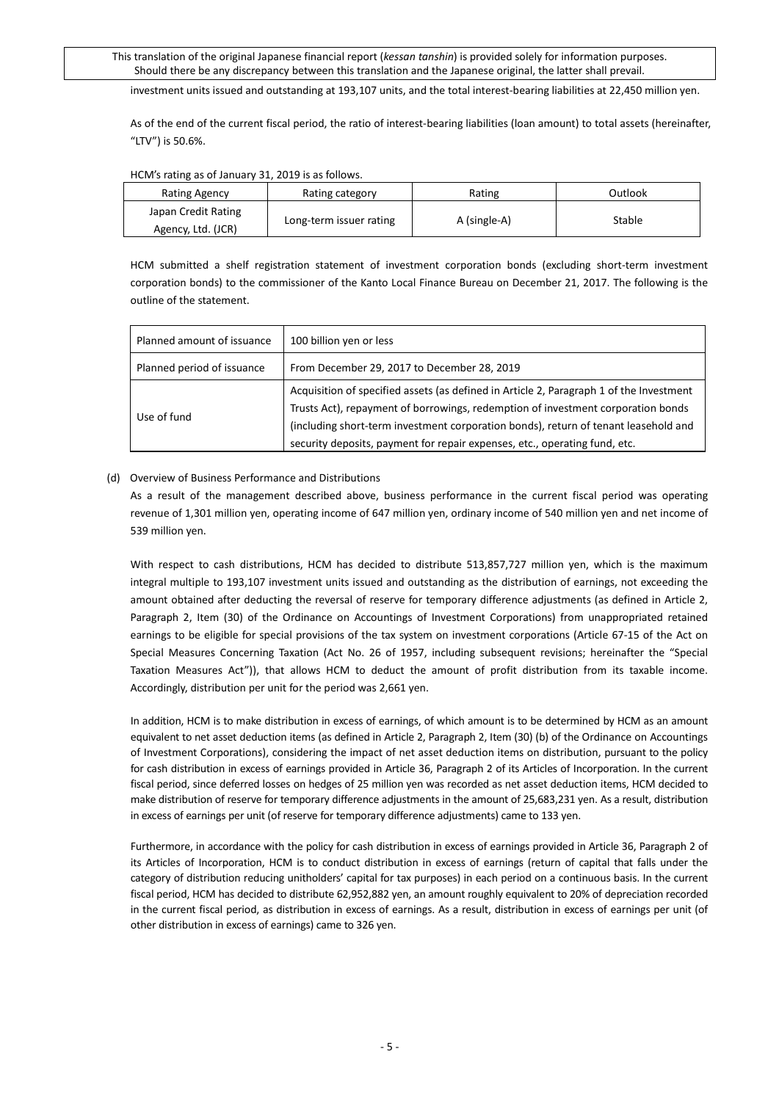investment units issued and outstanding at 193,107 units, and the total interest-bearing liabilities at 22,450 million yen.

As of the end of the current fiscal period, the ratio of interest-bearing liabilities (loan amount) to total assets (hereinafter, "LTV") is 50.6%.

| Rating category         | Rating       | Outlook |
|-------------------------|--------------|---------|
| Long-term issuer rating | A (single-A) | Stable  |
|                         |              |         |

#### HCM's rating as of January 31, 2019 is as follows.

HCM submitted a shelf registration statement of investment corporation bonds (excluding short-term investment corporation bonds) to the commissioner of the Kanto Local Finance Bureau on December 21, 2017. The following is the outline of the statement.

| Planned amount of issuance | 100 billion yen or less                                                                                                                                                     |
|----------------------------|-----------------------------------------------------------------------------------------------------------------------------------------------------------------------------|
| Planned period of issuance | From December 29, 2017 to December 28, 2019                                                                                                                                 |
| Use of fund                | Acquisition of specified assets (as defined in Article 2, Paragraph 1 of the Investment<br>Trusts Act), repayment of borrowings, redemption of investment corporation bonds |
|                            | (including short-term investment corporation bonds), return of tenant leasehold and<br>security deposits, payment for repair expenses, etc., operating fund, etc.           |

### (d) Overview of Business Performance and Distributions

As a result of the management described above, business performance in the current fiscal period was operating revenue of 1,301 million yen, operating income of 647 million yen, ordinary income of 540 million yen and net income of 539 million yen.

With respect to cash distributions, HCM has decided to distribute 513,857,727 million yen, which is the maximum integral multiple to 193,107 investment units issued and outstanding as the distribution of earnings, not exceeding the amount obtained after deducting the reversal of reserve for temporary difference adjustments (as defined in Article 2, Paragraph 2, Item (30) of the Ordinance on Accountings of Investment Corporations) from unappropriated retained earnings to be eligible for special provisions of the tax system on investment corporations (Article 67-15 of the Act on Special Measures Concerning Taxation (Act No. 26 of 1957, including subsequent revisions; hereinafter the "Special Taxation Measures Act")), that allows HCM to deduct the amount of profit distribution from its taxable income. Accordingly, distribution per unit for the period was 2,661 yen.

In addition, HCM is to make distribution in excess of earnings, of which amount is to be determined by HCM as an amount equivalent to net asset deduction items (as defined in Article 2, Paragraph 2, Item (30) (b) of the Ordinance on Accountings of Investment Corporations), considering the impact of net asset deduction items on distribution, pursuant to the policy for cash distribution in excess of earnings provided in Article 36, Paragraph 2 of its Articles of Incorporation. In the current fiscal period, since deferred losses on hedges of 25 million yen was recorded as net asset deduction items, HCM decided to make distribution of reserve for temporary difference adjustments in the amount of 25,683,231 yen. As a result, distribution in excess of earnings per unit (of reserve for temporary difference adjustments) came to 133 yen.

Furthermore, in accordance with the policy for cash distribution in excess of earnings provided in Article 36, Paragraph 2 of its Articles of Incorporation, HCM is to conduct distribution in excess of earnings (return of capital that falls under the category of distribution reducing unitholders' capital for tax purposes) in each period on a continuous basis. In the current fiscal period, HCM has decided to distribute 62,952,882 yen, an amount roughly equivalent to 20% of depreciation recorded in the current fiscal period, as distribution in excess of earnings. As a result, distribution in excess of earnings per unit (of other distribution in excess of earnings) came to 326 yen.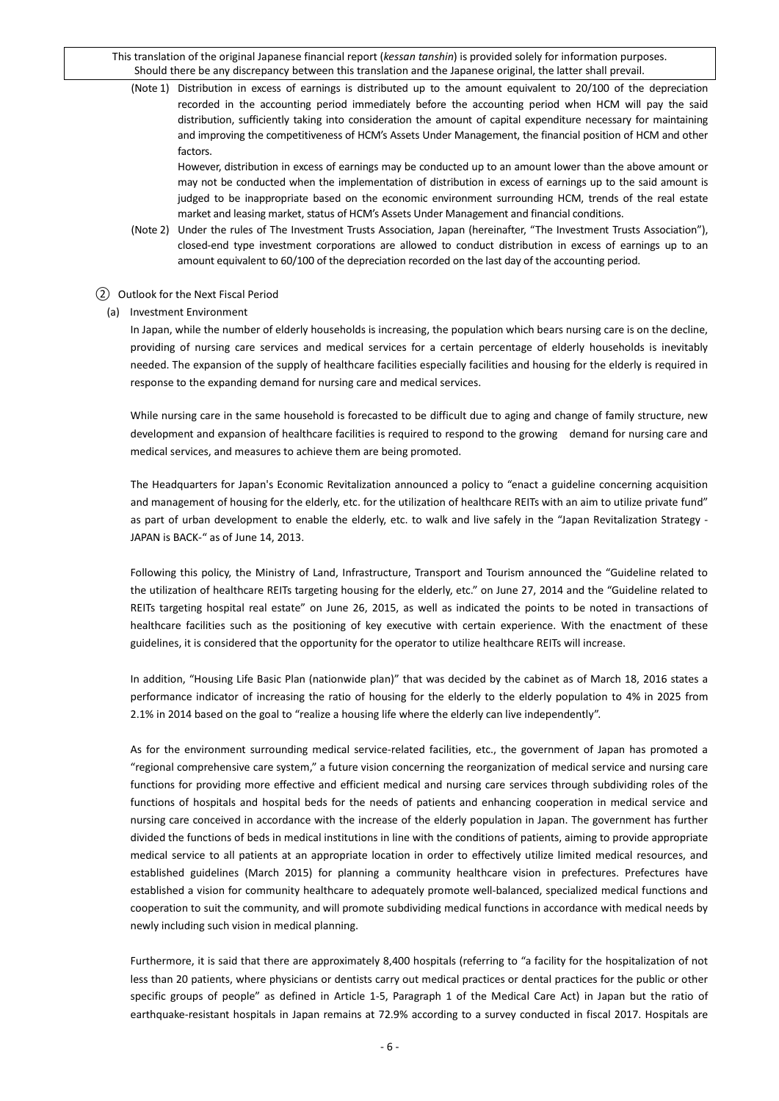(Note 1) Distribution in excess of earnings is distributed up to the amount equivalent to 20/100 of the depreciation recorded in the accounting period immediately before the accounting period when HCM will pay the said distribution, sufficiently taking into consideration the amount of capital expenditure necessary for maintaining and improving the competitiveness of HCM's Assets Under Management, the financial position of HCM and other factors.

However, distribution in excess of earnings may be conducted up to an amount lower than the above amount or may not be conducted when the implementation of distribution in excess of earnings up to the said amount is judged to be inappropriate based on the economic environment surrounding HCM, trends of the real estate market and leasing market, status of HCM's Assets Under Management and financial conditions.

(Note 2) Under the rules of The Investment Trusts Association, Japan (hereinafter, "The Investment Trusts Association"), closed-end type investment corporations are allowed to conduct distribution in excess of earnings up to an amount equivalent to 60/100 of the depreciation recorded on the last day of the accounting period.

#### <span id="page-5-0"></span>② Outlook for the Next Fiscal Period

(a) Investment Environment

In Japan, while the number of elderly households is increasing, the population which bears nursing care is on the decline, providing of nursing care services and medical services for a certain percentage of elderly households is inevitably needed. The expansion of the supply of healthcare facilities especially facilities and housing for the elderly is required in response to the expanding demand for nursing care and medical services.

While nursing care in the same household is forecasted to be difficult due to aging and change of family structure, new development and expansion of healthcare facilities is required to respond to the growing demand for nursing care and medical services, and measures to achieve them are being promoted.

The Headquarters for Japan's Economic Revitalization announced a policy to "enact a guideline concerning acquisition and management of housing for the elderly, etc. for the utilization of healthcare REITs with an aim to utilize private fund" as part of urban development to enable the elderly, etc. to walk and live safely in the "Japan Revitalization Strategy -JAPAN is BACK-" as of June 14, 2013.

Following this policy, the Ministry of Land, Infrastructure, Transport and Tourism announced the "Guideline related to the utilization of healthcare REITs targeting housing for the elderly, etc." on June 27, 2014 and the "Guideline related to REITs targeting hospital real estate" on June 26, 2015, as well as indicated the points to be noted in transactions of healthcare facilities such as the positioning of key executive with certain experience. With the enactment of these guidelines, it is considered that the opportunity for the operator to utilize healthcare REITs will increase.

In addition, "Housing Life Basic Plan (nationwide plan)" that was decided by the cabinet as of March 18, 2016 states a performance indicator of increasing the ratio of housing for the elderly to the elderly population to 4% in 2025 from 2.1% in 2014 based on the goal to "realize a housing life where the elderly can live independently".

As for the environment surrounding medical service-related facilities, etc., the government of Japan has promoted a "regional comprehensive care system," a future vision concerning the reorganization of medical service and nursing care functions for providing more effective and efficient medical and nursing care services through subdividing roles of the functions of hospitals and hospital beds for the needs of patients and enhancing cooperation in medical service and nursing care conceived in accordance with the increase of the elderly population in Japan. The government has further divided the functions of beds in medical institutions in line with the conditions of patients, aiming to provide appropriate medical service to all patients at an appropriate location in order to effectively utilize limited medical resources, and established guidelines (March 2015) for planning a community healthcare vision in prefectures. Prefectures have established a vision for community healthcare to adequately promote well-balanced, specialized medical functions and cooperation to suit the community, and will promote subdividing medical functions in accordance with medical needs by newly including such vision in medical planning.

Furthermore, it is said that there are approximately 8,400 hospitals (referring to "a facility for the hospitalization of not less than 20 patients, where physicians or dentists carry out medical practices or dental practices for the public or other specific groups of people" as defined in Article 1-5, Paragraph 1 of the Medical Care Act) in Japan but the ratio of earthquake-resistant hospitals in Japan remains at 72.9% according to a survey conducted in fiscal 2017. Hospitals are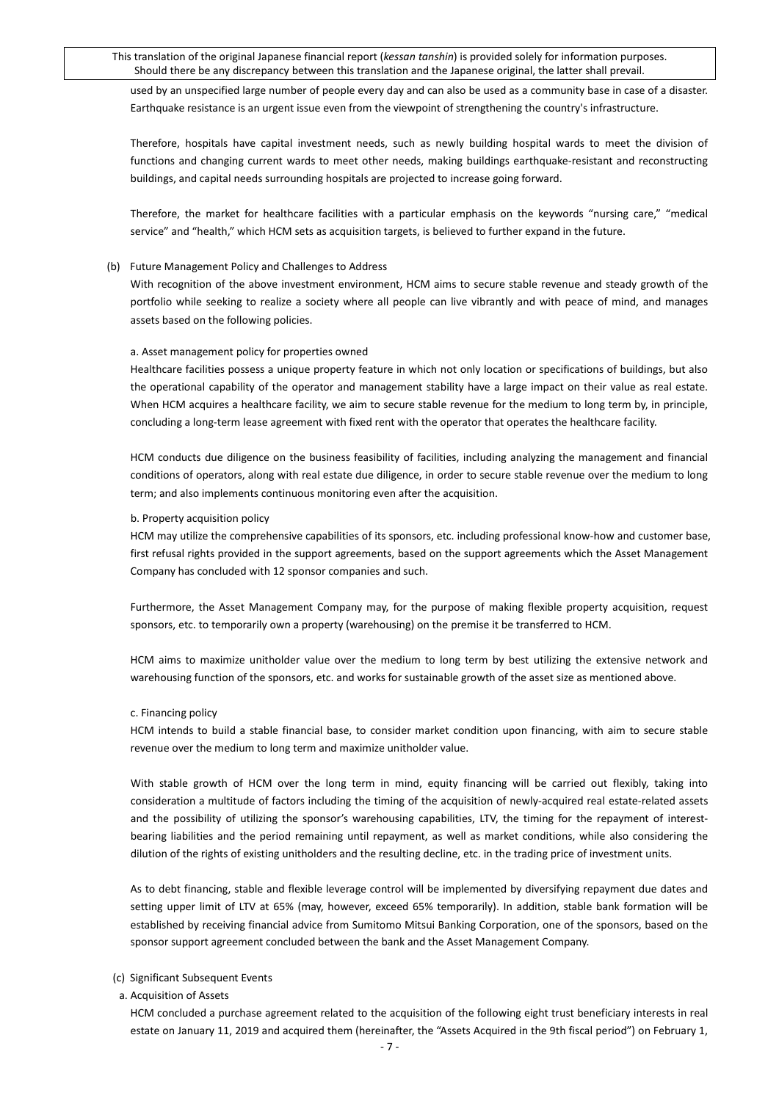used by an unspecified large number of people every day and can also be used as a community base in case of a disaster. Earthquake resistance is an urgent issue even from the viewpoint of strengthening the country's infrastructure.

Therefore, hospitals have capital investment needs, such as newly building hospital wards to meet the division of functions and changing current wards to meet other needs, making buildings earthquake-resistant and reconstructing buildings, and capital needs surrounding hospitals are projected to increase going forward.

Therefore, the market for healthcare facilities with a particular emphasis on the keywords "nursing care," "medical service" and "health," which HCM sets as acquisition targets, is believed to further expand in the future.

#### (b) Future Management Policy and Challenges to Address

With recognition of the above investment environment, HCM aims to secure stable revenue and steady growth of the portfolio while seeking to realize a society where all people can live vibrantly and with peace of mind, and manages assets based on the following policies.

#### a. Asset management policy for properties owned

Healthcare facilities possess a unique property feature in which not only location or specifications of buildings, but also the operational capability of the operator and management stability have a large impact on their value as real estate. When HCM acquires a healthcare facility, we aim to secure stable revenue for the medium to long term by, in principle, concluding a long-term lease agreement with fixed rent with the operator that operates the healthcare facility.

HCM conducts due diligence on the business feasibility of facilities, including analyzing the management and financial conditions of operators, along with real estate due diligence, in order to secure stable revenue over the medium to long term; and also implements continuous monitoring even after the acquisition.

#### b. Property acquisition policy

HCM may utilize the comprehensive capabilities of its sponsors, etc. including professional know-how and customer base, first refusal rights provided in the support agreements, based on the support agreements which the Asset Management Company has concluded with 12 sponsor companies and such.

Furthermore, the Asset Management Company may, for the purpose of making flexible property acquisition, request sponsors, etc. to temporarily own a property (warehousing) on the premise it be transferred to HCM.

HCM aims to maximize unitholder value over the medium to long term by best utilizing the extensive network and warehousing function of the sponsors, etc. and works for sustainable growth of the asset size as mentioned above.

#### c. Financing policy

HCM intends to build a stable financial base, to consider market condition upon financing, with aim to secure stable revenue over the medium to long term and maximize unitholder value.

With stable growth of HCM over the long term in mind, equity financing will be carried out flexibly, taking into consideration a multitude of factors including the timing of the acquisition of newly-acquired real estate-related assets and the possibility of utilizing the sponsor's warehousing capabilities, LTV, the timing for the repayment of interestbearing liabilities and the period remaining until repayment, as well as market conditions, while also considering the dilution of the rights of existing unitholders and the resulting decline, etc. in the trading price of investment units.

As to debt financing, stable and flexible leverage control will be implemented by diversifying repayment due dates and setting upper limit of LTV at 65% (may, however, exceed 65% temporarily). In addition, stable bank formation will be established by receiving financial advice from Sumitomo Mitsui Banking Corporation, one of the sponsors, based on the sponsor support agreement concluded between the bank and the Asset Management Company.

#### (c) Significant Subsequent Events

a. Acquisition of Assets

HCM concluded a purchase agreement related to the acquisition of the following eight trust beneficiary interests in real estate on January 11, 2019 and acquired them (hereinafter, the "Assets Acquired in the 9th fiscal period") on February 1,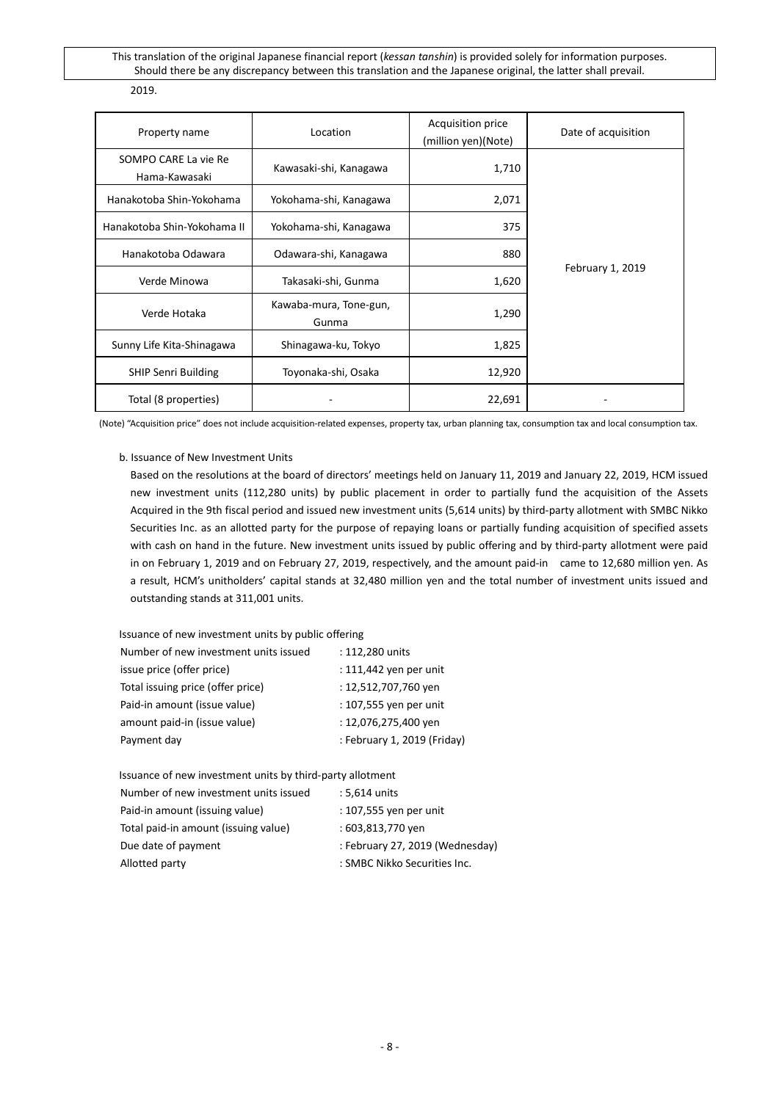| Property name                         | Location                        | Acquisition price<br>(million yen)(Note) | Date of acquisition |
|---------------------------------------|---------------------------------|------------------------------------------|---------------------|
| SOMPO CARE La vie Re<br>Hama-Kawasaki | Kawasaki-shi, Kanagawa          | 1,710                                    |                     |
| Hanakotoba Shin-Yokohama              | Yokohama-shi, Kanagawa          | 2,071                                    |                     |
| Hanakotoba Shin-Yokohama II           | Yokohama-shi, Kanagawa          | 375                                      |                     |
| Hanakotoba Odawara                    | Odawara-shi, Kanagawa           | 880                                      |                     |
| Verde Minowa                          | Takasaki-shi, Gunma             | 1,620                                    | February 1, 2019    |
| Verde Hotaka                          | Kawaba-mura, Tone-gun,<br>Gunma | 1,290                                    |                     |
| Sunny Life Kita-Shinagawa             | Shinagawa-ku, Tokyo             | 1,825                                    |                     |
| <b>SHIP Senri Building</b>            | Toyonaka-shi, Osaka             | 12,920                                   |                     |
| Total (8 properties)                  |                                 | 22,691                                   |                     |

(Note) "Acquisition price" does not include acquisition-related expenses, property tax, urban planning tax, consumption tax and local consumption tax.

### b. Issuance of New Investment Units

Based on the resolutions at the board of directors' meetings held on January 11, 2019 and January 22, 2019, HCM issued new investment units (112,280 units) by public placement in order to partially fund the acquisition of the Assets Acquired in the 9th fiscal period and issued new investment units (5,614 units) by third-party allotment with SMBC Nikko Securities Inc. as an allotted party for the purpose of repaying loans or partially funding acquisition of specified assets with cash on hand in the future. New investment units issued by public offering and by third-party allotment were paid in on February 1, 2019 and on February 27, 2019, respectively, and the amount paid-in came to 12,680 million yen. As a result, HCM's unitholders' capital stands at 32,480 million yen and the total number of investment units issued and outstanding stands at 311,001 units.

Issuance of new investment units by public offering

| Number of new investment units issued | : 112,280 units             |
|---------------------------------------|-----------------------------|
| issue price (offer price)             | : 111,442 yen per unit      |
| Total issuing price (offer price)     | : 12,512,707,760 yen        |
| Paid-in amount (issue value)          | : 107,555 yen per unit      |
| amount paid-in (issue value)          | : 12,076,275,400 yen        |
| Payment day                           | : February 1, 2019 (Friday) |
|                                       |                             |

Issuance of new investment units by third-party allotment

| Number of new investment units issued | : 5,614 units                   |
|---------------------------------------|---------------------------------|
| Paid-in amount (issuing value)        | : 107,555 yen per unit          |
| Total paid-in amount (issuing value)  | : 603,813,770 yen               |
| Due date of payment                   | : February 27, 2019 (Wednesday) |
| Allotted party                        | : SMBC Nikko Securities Inc.    |
|                                       |                                 |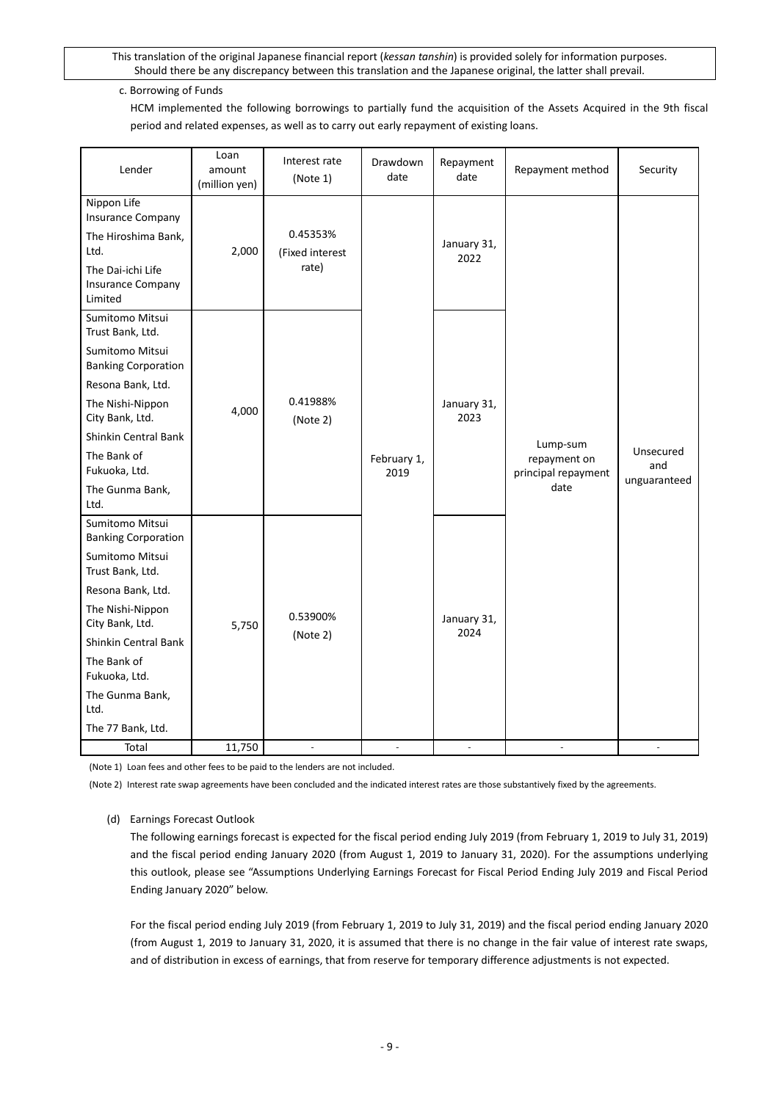# c. Borrowing of Funds

HCM implemented the following borrowings to partially fund the acquisition of the Assets Acquired in the 9th fiscal period and related expenses, as well as to carry out early repayment of existing loans.

| Lender                                                                                                                                                                                                                                                   | Loan<br>amount<br>(million yen) | Interest rate<br>(Note 1)            | Drawdown<br>date    | Repayment<br>date   | Repayment method                                        | Security                         |
|----------------------------------------------------------------------------------------------------------------------------------------------------------------------------------------------------------------------------------------------------------|---------------------------------|--------------------------------------|---------------------|---------------------|---------------------------------------------------------|----------------------------------|
| Nippon Life<br><b>Insurance Company</b><br>The Hiroshima Bank,<br>Ltd.<br>The Dai-ichi Life<br><b>Insurance Company</b><br>Limited                                                                                                                       | 2,000                           | 0.45353%<br>(Fixed interest<br>rate) |                     | January 31,<br>2022 |                                                         |                                  |
| Sumitomo Mitsui<br>Trust Bank, Ltd.<br>Sumitomo Mitsui<br><b>Banking Corporation</b><br>Resona Bank, Ltd.<br>The Nishi-Nippon<br>City Bank, Ltd.<br><b>Shinkin Central Bank</b><br>The Bank of<br>Fukuoka, Ltd.<br>The Gunma Bank,<br>Ltd.               | 4,000                           | 0.41988%<br>(Note 2)                 | February 1,<br>2019 | January 31,<br>2023 | Lump-sum<br>repayment on<br>principal repayment<br>date | Unsecured<br>and<br>unguaranteed |
| Sumitomo Mitsui<br><b>Banking Corporation</b><br>Sumitomo Mitsui<br>Trust Bank, Ltd.<br>Resona Bank, Ltd.<br>The Nishi-Nippon<br>City Bank, Ltd.<br>Shinkin Central Bank<br>The Bank of<br>Fukuoka, Ltd.<br>The Gunma Bank,<br>Ltd.<br>The 77 Bank, Ltd. | 5,750                           | 0.53900%<br>(Note 2)                 |                     | January 31,<br>2024 |                                                         |                                  |
| Total                                                                                                                                                                                                                                                    | 11,750                          | ÷,                                   | ÷,                  | ÷,                  | ×.                                                      |                                  |

(Note 1) Loan fees and other fees to be paid to the lenders are not included.

(Note 2) Interest rate swap agreements have been concluded and the indicated interest rates are those substantively fixed by the agreements.

# (d) Earnings Forecast Outlook

The following earnings forecast is expected for the fiscal period ending July 2019 (from February 1, 2019 to July 31, 2019) and the fiscal period ending January 2020 (from August 1, 2019 to January 31, 2020). For the assumptions underlying this outlook, please see "Assumptions Underlying Earnings Forecast for Fiscal Period Ending July 2019 and Fiscal Period Ending January 2020" below.

For the fiscal period ending July 2019 (from February 1, 2019 to July 31, 2019) and the fiscal period ending January 2020 (from August 1, 2019 to January 31, 2020, it is assumed that there is no change in the fair value of interest rate swaps, and of distribution in excess of earnings, that from reserve for temporary difference adjustments is not expected.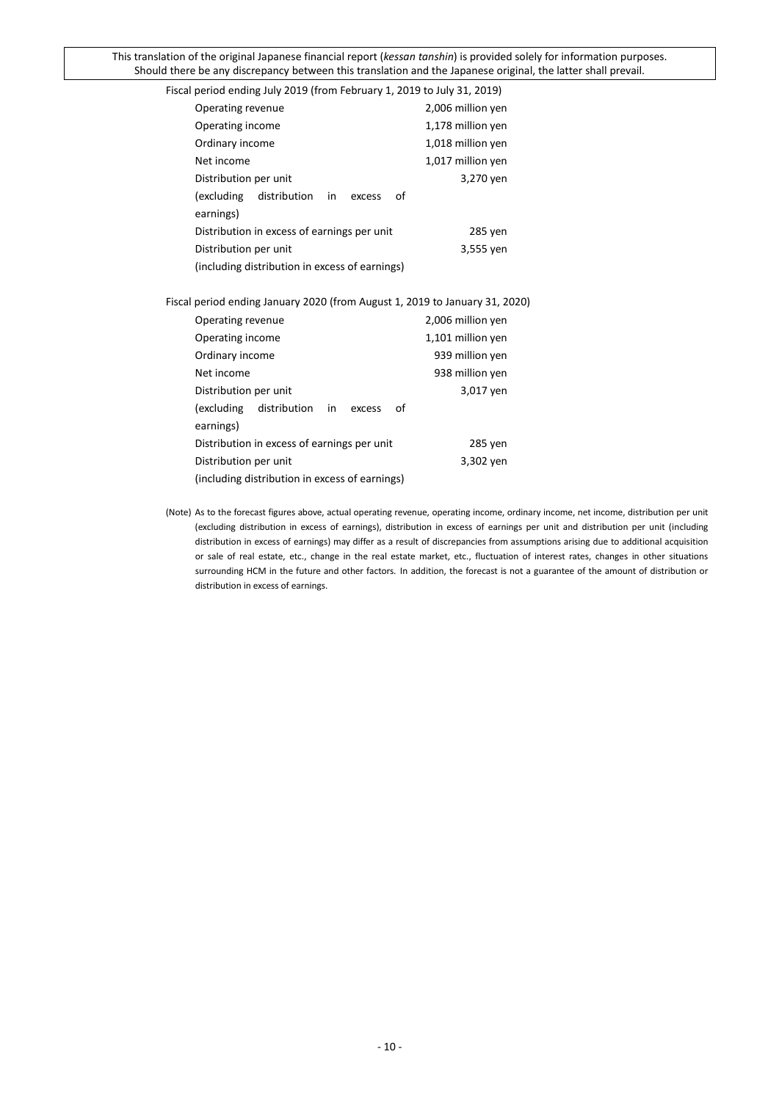| $\frac{1}{2}$ is the contract of $\frac{1}{2}$ , $\frac{1}{2}$ is the contract of $\frac{1}{2}$ is the contract of $\frac{1}{2}$ is the contract of $\frac{1}{2}$ is the contract of $\frac{1}{2}$ is the contract of $\frac{1}{2}$ is the contract of $\frac{1}{$ |                   |
|--------------------------------------------------------------------------------------------------------------------------------------------------------------------------------------------------------------------------------------------------------------------|-------------------|
| Operating revenue                                                                                                                                                                                                                                                  | 2,006 million yen |
| Operating income                                                                                                                                                                                                                                                   | 1,178 million yen |
| Ordinary income                                                                                                                                                                                                                                                    | 1,018 million yen |
| Net income                                                                                                                                                                                                                                                         | 1,017 million yen |
| Distribution per unit                                                                                                                                                                                                                                              | 3,270 yen         |
| (excluding<br>distribution<br>in<br>οf<br>excess<br>earnings)                                                                                                                                                                                                      |                   |
| Distribution in excess of earnings per unit                                                                                                                                                                                                                        | 285 yen           |
| Distribution per unit                                                                                                                                                                                                                                              | 3,555 yen         |
| (including distribution in excess of earnings)                                                                                                                                                                                                                     |                   |
| Fiscal period ending January 2020 (from August 1, 2019 to January 31, 2020)                                                                                                                                                                                        |                   |
| Operating revenue                                                                                                                                                                                                                                                  | 2,006 million yen |
| Operating income                                                                                                                                                                                                                                                   | 1,101 million yen |
| Ordinary income                                                                                                                                                                                                                                                    | 939 million yen   |
| Net income                                                                                                                                                                                                                                                         | 938 million yen   |
| Distribution per unit                                                                                                                                                                                                                                              | 3,017 yen         |
| (excluding distribution<br>in<br>οf<br>excess                                                                                                                                                                                                                      |                   |
| earnings)                                                                                                                                                                                                                                                          |                   |
| Distribution in excess of earnings per unit                                                                                                                                                                                                                        | 285 yen           |
| Distribution per unit                                                                                                                                                                                                                                              | 3,302 yen         |
| (including distribution in excess of earnings)                                                                                                                                                                                                                     |                   |
|                                                                                                                                                                                                                                                                    |                   |

Fiscal period ending July 2019 (from February 1, 2019 to July 31, 2019)

(Note) As to the forecast figures above, actual operating revenue, operating income, ordinary income, net income, distribution per unit (excluding distribution in excess of earnings), distribution in excess of earnings per unit and distribution per unit (including distribution in excess of earnings) may differ as a result of discrepancies from assumptions arising due to additional acquisition or sale of real estate, etc., change in the real estate market, etc., fluctuation of interest rates, changes in other situations surrounding HCM in the future and other factors. In addition, the forecast is not a guarantee of the amount of distribution or distribution in excess of earnings.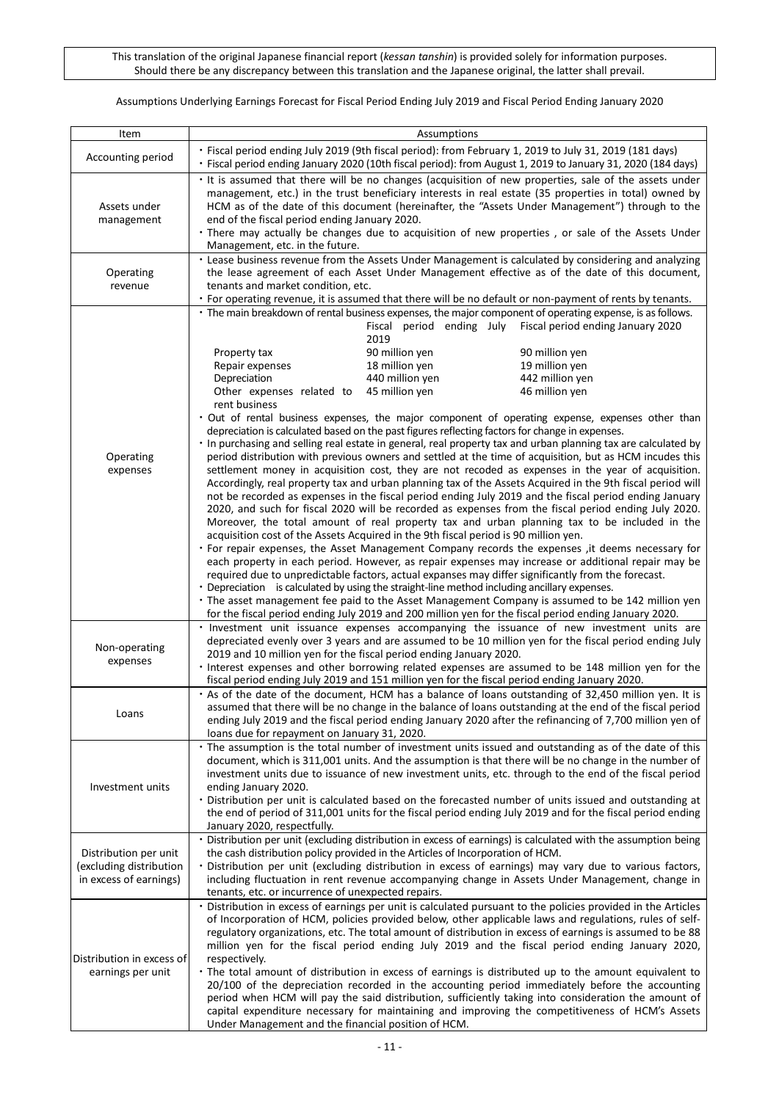Assumptions Underlying Earnings Forecast for Fiscal Period Ending July 2019 and Fiscal Period Ending January 2020

| Item                                                                       | Assumptions                                                                                                                                                                                                                                                                                                                                                                                                                                                                                                                                                                                                                                                                                                                                                                                                                                                                                                                                                                                                                                                                                                                                                                                                |  |  |  |  |
|----------------------------------------------------------------------------|------------------------------------------------------------------------------------------------------------------------------------------------------------------------------------------------------------------------------------------------------------------------------------------------------------------------------------------------------------------------------------------------------------------------------------------------------------------------------------------------------------------------------------------------------------------------------------------------------------------------------------------------------------------------------------------------------------------------------------------------------------------------------------------------------------------------------------------------------------------------------------------------------------------------------------------------------------------------------------------------------------------------------------------------------------------------------------------------------------------------------------------------------------------------------------------------------------|--|--|--|--|
| Accounting period                                                          | · Fiscal period ending July 2019 (9th fiscal period): from February 1, 2019 to July 31, 2019 (181 days)<br>· Fiscal period ending January 2020 (10th fiscal period): from August 1, 2019 to January 31, 2020 (184 days)                                                                                                                                                                                                                                                                                                                                                                                                                                                                                                                                                                                                                                                                                                                                                                                                                                                                                                                                                                                    |  |  |  |  |
| Assets under<br>management                                                 | It is assumed that there will be no changes (acquisition of new properties, sale of the assets under<br>management, etc.) in the trust beneficiary interests in real estate (35 properties in total) owned by<br>HCM as of the date of this document (hereinafter, the "Assets Under Management") through to the<br>end of the fiscal period ending January 2020.<br>. There may actually be changes due to acquisition of new properties, or sale of the Assets Under<br>Management, etc. in the future.                                                                                                                                                                                                                                                                                                                                                                                                                                                                                                                                                                                                                                                                                                  |  |  |  |  |
| Operating<br>revenue                                                       | . Lease business revenue from the Assets Under Management is calculated by considering and analyzing<br>the lease agreement of each Asset Under Management effective as of the date of this document,<br>tenants and market condition, etc.<br>· For operating revenue, it is assumed that there will be no default or non-payment of rents by tenants.                                                                                                                                                                                                                                                                                                                                                                                                                                                                                                                                                                                                                                                                                                                                                                                                                                                    |  |  |  |  |
| Operating<br>expenses                                                      | • The main breakdown of rental business expenses, the major component of operating expense, is as follows.<br>Fiscal period ending July<br>Fiscal period ending January 2020<br>2019<br>90 million yen<br>Property tax<br>90 million yen<br>18 million yen<br>19 million yen<br>Repair expenses<br>Depreciation<br>440 million yen<br>442 million yen<br>45 million yen<br>46 million yen<br>Other expenses related to<br>rent business<br>. Out of rental business expenses, the major component of operating expense, expenses other than<br>depreciation is calculated based on the past figures reflecting factors for change in expenses.<br>· In purchasing and selling real estate in general, real property tax and urban planning tax are calculated by<br>period distribution with previous owners and settled at the time of acquisition, but as HCM incudes this<br>settlement money in acquisition cost, they are not recoded as expenses in the year of acquisition.<br>Accordingly, real property tax and urban planning tax of the Assets Acquired in the 9th fiscal period will<br>not be recorded as expenses in the fiscal period ending July 2019 and the fiscal period ending January |  |  |  |  |
|                                                                            | 2020, and such for fiscal 2020 will be recorded as expenses from the fiscal period ending July 2020.<br>Moreover, the total amount of real property tax and urban planning tax to be included in the<br>acquisition cost of the Assets Acquired in the 9th fiscal period is 90 million yen.<br>. For repair expenses, the Asset Management Company records the expenses , it deems necessary for<br>each property in each period. However, as repair expenses may increase or additional repair may be<br>required due to unpredictable factors, actual expanses may differ significantly from the forecast.<br>• Depreciation is calculated by using the straight-line method including ancillary expenses.<br>• The asset management fee paid to the Asset Management Company is assumed to be 142 million yen<br>for the fiscal period ending July 2019 and 200 million yen for the fiscal period ending January 2020.<br>· Investment unit issuance expenses accompanying the issuance of new investment units are                                                                                                                                                                                     |  |  |  |  |
| Non-operating<br>expenses                                                  | depreciated evenly over 3 years and are assumed to be 10 million yen for the fiscal period ending July<br>2019 and 10 million yen for the fiscal period ending January 2020.<br>· Interest expenses and other borrowing related expenses are assumed to be 148 million yen for the<br>fiscal period ending July 2019 and 151 million yen for the fiscal period ending January 2020.                                                                                                                                                                                                                                                                                                                                                                                                                                                                                                                                                                                                                                                                                                                                                                                                                        |  |  |  |  |
| Loans                                                                      | . As of the date of the document, HCM has a balance of loans outstanding of 32,450 million yen. It is<br>assumed that there will be no change in the balance of loans outstanding at the end of the fiscal period<br>ending July 2019 and the fiscal period ending January 2020 after the refinancing of 7,700 million yen of<br>loans due for repayment on January 31, 2020.                                                                                                                                                                                                                                                                                                                                                                                                                                                                                                                                                                                                                                                                                                                                                                                                                              |  |  |  |  |
| Investment units                                                           | · The assumption is the total number of investment units issued and outstanding as of the date of this<br>document, which is 311,001 units. And the assumption is that there will be no change in the number of<br>investment units due to issuance of new investment units, etc. through to the end of the fiscal period<br>ending January 2020.<br>• Distribution per unit is calculated based on the forecasted number of units issued and outstanding at<br>the end of period of 311,001 units for the fiscal period ending July 2019 and for the fiscal period ending<br>January 2020, respectfully.                                                                                                                                                                                                                                                                                                                                                                                                                                                                                                                                                                                                  |  |  |  |  |
| Distribution per unit<br>(excluding distribution<br>in excess of earnings) | · Distribution per unit (excluding distribution in excess of earnings) is calculated with the assumption being<br>the cash distribution policy provided in the Articles of Incorporation of HCM.<br>· Distribution per unit (excluding distribution in excess of earnings) may vary due to various factors,<br>including fluctuation in rent revenue accompanying change in Assets Under Management, change in                                                                                                                                                                                                                                                                                                                                                                                                                                                                                                                                                                                                                                                                                                                                                                                             |  |  |  |  |
| Distribution in excess of<br>earnings per unit                             | tenants, etc. or incurrence of unexpected repairs.<br>· Distribution in excess of earnings per unit is calculated pursuant to the policies provided in the Articles<br>of Incorporation of HCM, policies provided below, other applicable laws and regulations, rules of self-<br>regulatory organizations, etc. The total amount of distribution in excess of earnings is assumed to be 88<br>million yen for the fiscal period ending July 2019 and the fiscal period ending January 2020,<br>respectively.<br>• The total amount of distribution in excess of earnings is distributed up to the amount equivalent to<br>20/100 of the depreciation recorded in the accounting period immediately before the accounting<br>period when HCM will pay the said distribution, sufficiently taking into consideration the amount of<br>capital expenditure necessary for maintaining and improving the competitiveness of HCM's Assets<br>Under Management and the financial position of HCM.                                                                                                                                                                                                                |  |  |  |  |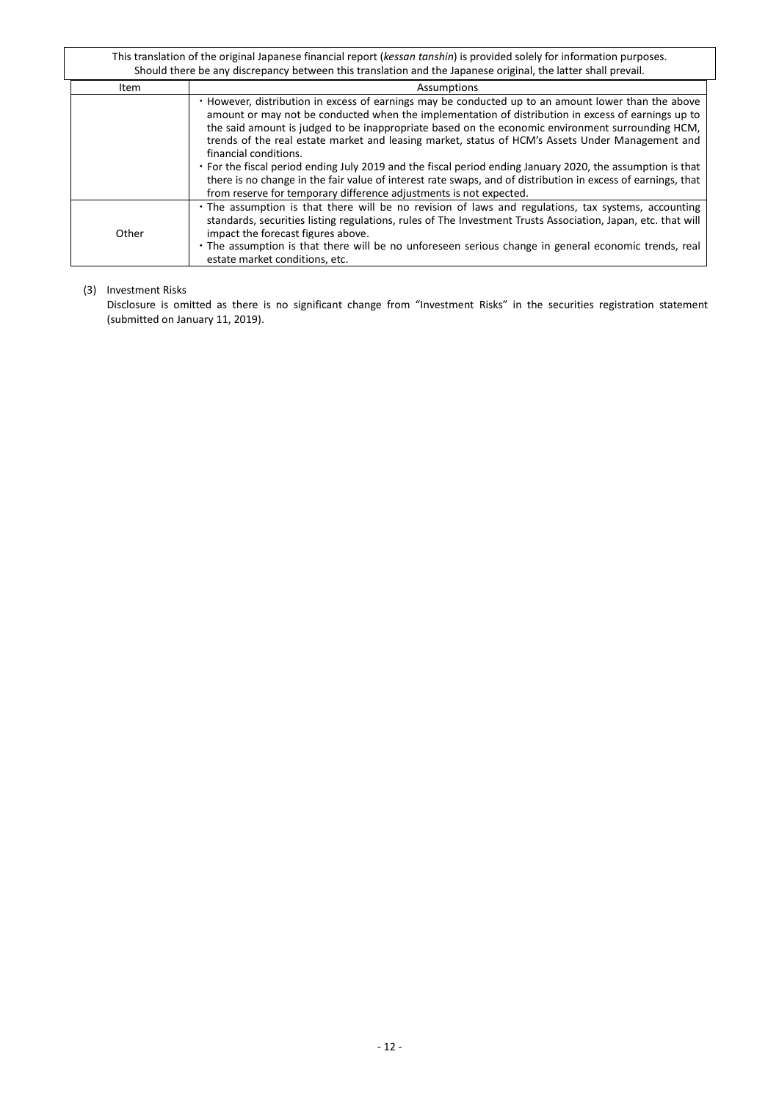| Item  | Assumptions                                                                                                                                                                                                                                                                                                                                                                                                                                                                                                                                                                                                                                                                                                                                    |
|-------|------------------------------------------------------------------------------------------------------------------------------------------------------------------------------------------------------------------------------------------------------------------------------------------------------------------------------------------------------------------------------------------------------------------------------------------------------------------------------------------------------------------------------------------------------------------------------------------------------------------------------------------------------------------------------------------------------------------------------------------------|
|       | . However, distribution in excess of earnings may be conducted up to an amount lower than the above<br>amount or may not be conducted when the implementation of distribution in excess of earnings up to<br>the said amount is judged to be inappropriate based on the economic environment surrounding HCM,<br>trends of the real estate market and leasing market, status of HCM's Assets Under Management and<br>financial conditions.<br>• For the fiscal period ending July 2019 and the fiscal period ending January 2020, the assumption is that<br>there is no change in the fair value of interest rate swaps, and of distribution in excess of earnings, that<br>from reserve for temporary difference adjustments is not expected. |
| Other | • The assumption is that there will be no revision of laws and regulations, tax systems, accounting<br>standards, securities listing regulations, rules of The Investment Trusts Association, Japan, etc. that will<br>impact the forecast figures above.<br>. The assumption is that there will be no unforeseen serious change in general economic trends, real<br>estate market conditions, etc.                                                                                                                                                                                                                                                                                                                                            |

### <span id="page-11-0"></span>(3) Investment Risks

Disclosure is omitted as there is no significant change from "Investment Risks" in the securities registration statement (submitted on January 11, 2019).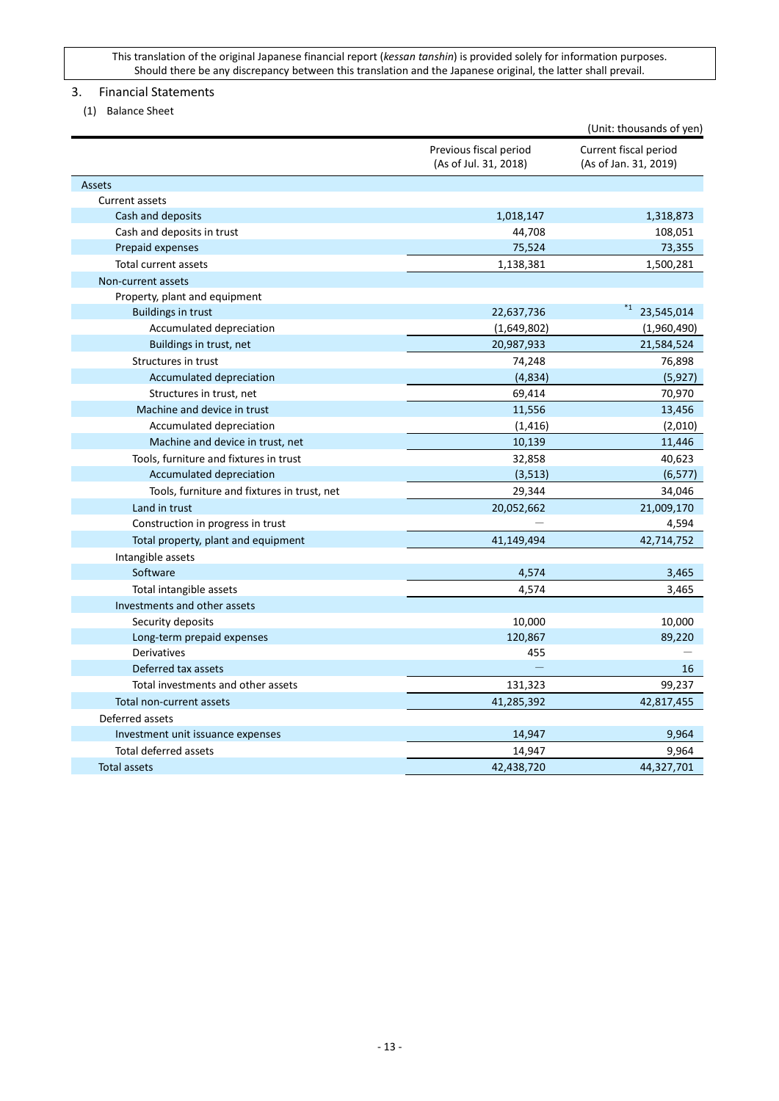# <span id="page-12-0"></span>3. Financial Statements

<span id="page-12-1"></span>(1) Balance Sheet

|                                             |                                                 | (Unit: thousands of yen)                       |
|---------------------------------------------|-------------------------------------------------|------------------------------------------------|
|                                             | Previous fiscal period<br>(As of Jul. 31, 2018) | Current fiscal period<br>(As of Jan. 31, 2019) |
| Assets                                      |                                                 |                                                |
| Current assets                              |                                                 |                                                |
| Cash and deposits                           | 1,018,147                                       | 1,318,873                                      |
| Cash and deposits in trust                  | 44,708                                          | 108,051                                        |
| Prepaid expenses                            | 75,524                                          | 73,355                                         |
| Total current assets                        | 1,138,381                                       | 1,500,281                                      |
| Non-current assets                          |                                                 |                                                |
| Property, plant and equipment               |                                                 |                                                |
| <b>Buildings in trust</b>                   | 22,637,736                                      | *1<br>23,545,014                               |
| Accumulated depreciation                    | (1,649,802)                                     | (1,960,490)                                    |
| Buildings in trust, net                     | 20,987,933                                      | 21,584,524                                     |
| Structures in trust                         | 74,248                                          | 76,898                                         |
| Accumulated depreciation                    | (4,834)                                         | (5, 927)                                       |
| Structures in trust, net                    | 69,414                                          | 70,970                                         |
| Machine and device in trust                 | 11,556                                          | 13,456                                         |
| Accumulated depreciation                    | (1, 416)                                        | (2,010)                                        |
| Machine and device in trust, net            | 10,139                                          | 11,446                                         |
| Tools, furniture and fixtures in trust      | 32,858                                          | 40,623                                         |
| Accumulated depreciation                    | (3, 513)                                        | (6, 577)                                       |
| Tools, furniture and fixtures in trust, net | 29,344                                          | 34,046                                         |
| Land in trust                               | 20,052,662                                      | 21,009,170                                     |
| Construction in progress in trust           |                                                 | 4,594                                          |
| Total property, plant and equipment         | 41,149,494                                      | 42,714,752                                     |
| Intangible assets                           |                                                 |                                                |
| Software                                    | 4,574                                           | 3,465                                          |
| Total intangible assets                     | 4,574                                           | 3,465                                          |
| Investments and other assets                |                                                 |                                                |
| Security deposits                           | 10,000                                          | 10,000                                         |
| Long-term prepaid expenses                  | 120,867                                         | 89,220                                         |
| Derivatives                                 | 455                                             |                                                |
| Deferred tax assets                         |                                                 | 16                                             |
| Total investments and other assets          | 131,323                                         | 99,237                                         |
| Total non-current assets                    | 41,285,392                                      | 42,817,455                                     |
| Deferred assets                             |                                                 |                                                |
| Investment unit issuance expenses           | 14,947                                          | 9,964                                          |
| Total deferred assets                       | 14,947                                          | 9,964                                          |
| <b>Total assets</b>                         | 42,438,720                                      | 44,327,701                                     |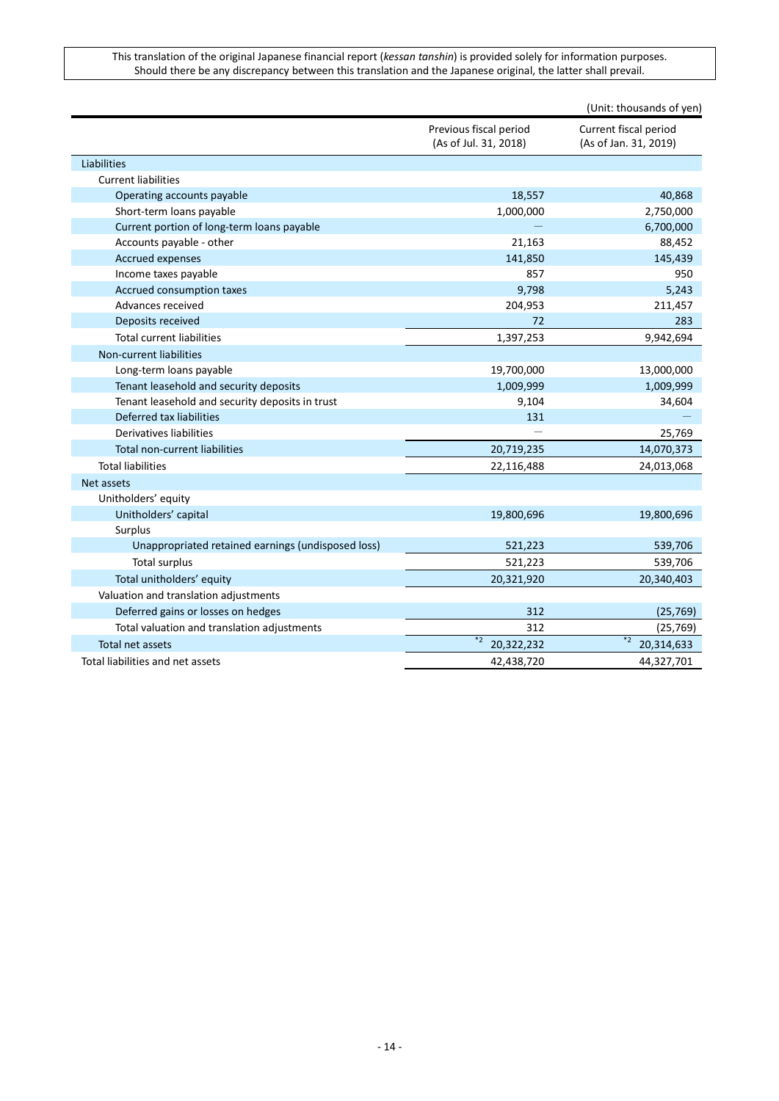|                                                    |                                                 | (Unit: thousands of yen)                       |
|----------------------------------------------------|-------------------------------------------------|------------------------------------------------|
|                                                    | Previous fiscal period<br>(As of Jul. 31, 2018) | Current fiscal period<br>(As of Jan. 31, 2019) |
| Liabilities                                        |                                                 |                                                |
| <b>Current liabilities</b>                         |                                                 |                                                |
| Operating accounts payable                         | 18,557                                          | 40,868                                         |
| Short-term loans payable                           | 1,000,000                                       | 2,750,000                                      |
| Current portion of long-term loans payable         |                                                 | 6,700,000                                      |
| Accounts payable - other                           | 21,163                                          | 88,452                                         |
| <b>Accrued expenses</b>                            | 141,850                                         | 145,439                                        |
| Income taxes payable                               | 857                                             | 950                                            |
| Accrued consumption taxes                          | 9,798                                           | 5,243                                          |
| Advances received                                  | 204,953                                         | 211,457                                        |
| Deposits received                                  | 72                                              | 283                                            |
| <b>Total current liabilities</b>                   | 1,397,253                                       | 9,942,694                                      |
| Non-current liabilities                            |                                                 |                                                |
| Long-term loans payable                            | 19,700,000                                      | 13,000,000                                     |
| Tenant leasehold and security deposits             | 1,009,999                                       | 1,009,999                                      |
| Tenant leasehold and security deposits in trust    | 9,104                                           | 34,604                                         |
| Deferred tax liabilities                           | 131                                             |                                                |
| Derivatives liabilities                            |                                                 | 25,769                                         |
| <b>Total non-current liabilities</b>               | 20,719,235                                      | 14,070,373                                     |
| <b>Total liabilities</b>                           | 22,116,488                                      | 24,013,068                                     |
| Net assets                                         |                                                 |                                                |
| Unitholders' equity                                |                                                 |                                                |
| Unitholders' capital                               | 19,800,696                                      | 19,800,696                                     |
| Surplus                                            |                                                 |                                                |
| Unappropriated retained earnings (undisposed loss) | 521,223                                         | 539,706                                        |
| <b>Total surplus</b>                               | 521,223                                         | 539,706                                        |
| Total unitholders' equity                          | 20,321,920                                      | 20,340,403                                     |
| Valuation and translation adjustments              |                                                 |                                                |
| Deferred gains or losses on hedges                 | 312                                             | (25, 769)                                      |
| Total valuation and translation adjustments        | 312                                             | (25,769)                                       |
| Total net assets                                   | $*2$<br>20,322,232                              | $*2$<br>20,314,633                             |
| Total liabilities and net assets                   | 42,438,720                                      | 44,327,701                                     |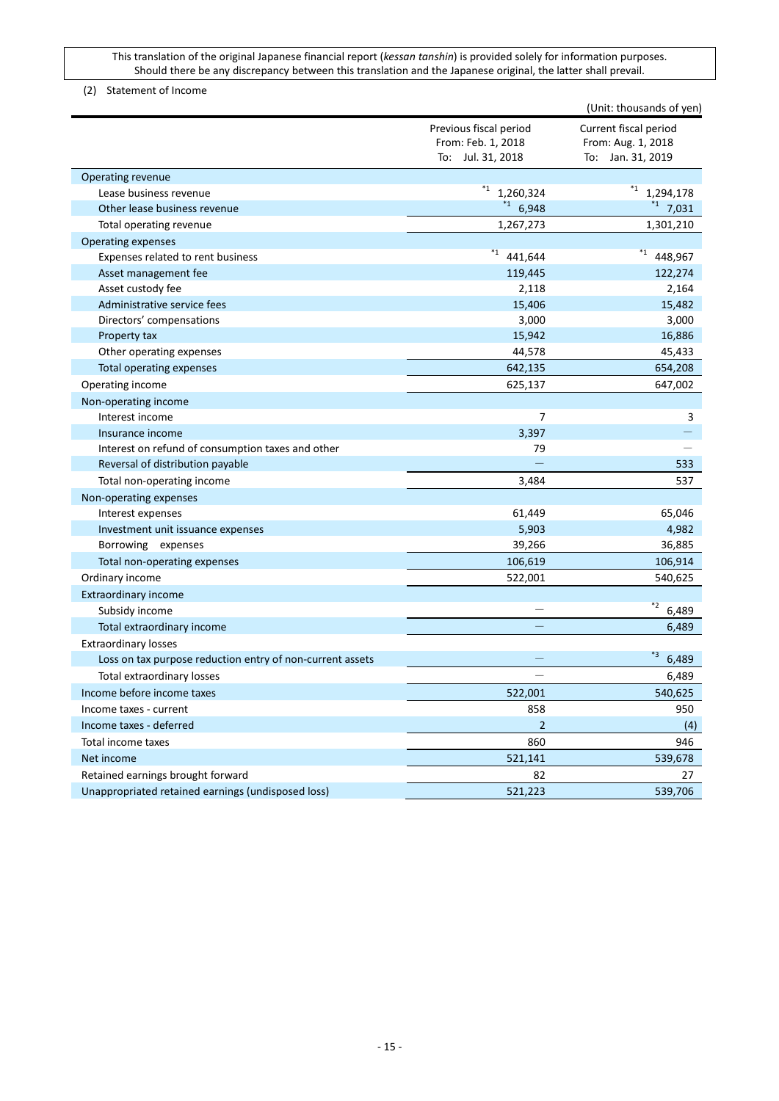<span id="page-14-0"></span>(2) Statement of Income

|                                                           |                                              | (Unit: thousands of yen)                    |
|-----------------------------------------------------------|----------------------------------------------|---------------------------------------------|
|                                                           | Previous fiscal period<br>From: Feb. 1, 2018 | Current fiscal period<br>From: Aug. 1, 2018 |
|                                                           | To: Jul. 31, 2018                            | To: Jan. 31, 2019                           |
| Operating revenue                                         |                                              |                                             |
| Lease business revenue                                    | $*_{1}$<br>1,260,324                         | $*_{1}$<br>1,294,178                        |
| Other lease business revenue                              | $1^{*1}$ 6,948                               | 1, 7, 031                                   |
| Total operating revenue                                   | 1,267,273                                    | 1,301,210                                   |
| <b>Operating expenses</b>                                 |                                              |                                             |
| Expenses related to rent business                         | $*_{1}$<br>441,644                           | $*_{1}$<br>448,967                          |
| Asset management fee                                      | 119,445                                      | 122,274                                     |
| Asset custody fee                                         | 2,118                                        | 2,164                                       |
| Administrative service fees                               | 15,406                                       | 15,482                                      |
| Directors' compensations                                  | 3,000                                        | 3,000                                       |
| Property tax                                              | 15,942                                       | 16,886                                      |
| Other operating expenses                                  | 44,578                                       | 45,433                                      |
| Total operating expenses                                  | 642,135                                      | 654,208                                     |
| Operating income                                          | 625,137                                      | 647,002                                     |
| Non-operating income                                      |                                              |                                             |
| Interest income                                           | 7                                            | 3                                           |
| Insurance income                                          | 3,397                                        |                                             |
| Interest on refund of consumption taxes and other         | 79                                           |                                             |
| Reversal of distribution payable                          |                                              | 533                                         |
| Total non-operating income                                | 3,484                                        | 537                                         |
| Non-operating expenses                                    |                                              |                                             |
| Interest expenses                                         | 61,449                                       | 65,046                                      |
| Investment unit issuance expenses                         | 5,903                                        | 4,982                                       |
| Borrowing expenses                                        | 39,266                                       | 36,885                                      |
| Total non-operating expenses                              | 106,619                                      | 106,914                                     |
| Ordinary income                                           | 522,001                                      | 540,625                                     |
| <b>Extraordinary income</b>                               |                                              |                                             |
| Subsidy income                                            |                                              | $*2$<br>6,489                               |
| Total extraordinary income                                |                                              | 6,489                                       |
| <b>Extraordinary losses</b>                               |                                              |                                             |
| Loss on tax purpose reduction entry of non-current assets |                                              | *3<br>6,489                                 |
| Total extraordinary losses                                |                                              | 6,489                                       |
| Income before income taxes                                | 522,001                                      | 540,625                                     |
| Income taxes - current                                    | 858                                          | 950                                         |
| Income taxes - deferred                                   | $\overline{2}$                               | (4)                                         |
| Total income taxes                                        | 860                                          | 946                                         |
| Net income                                                | 521,141                                      | 539,678                                     |
| Retained earnings brought forward                         | 82                                           | 27                                          |
| Unappropriated retained earnings (undisposed loss)        | 521,223                                      | 539,706                                     |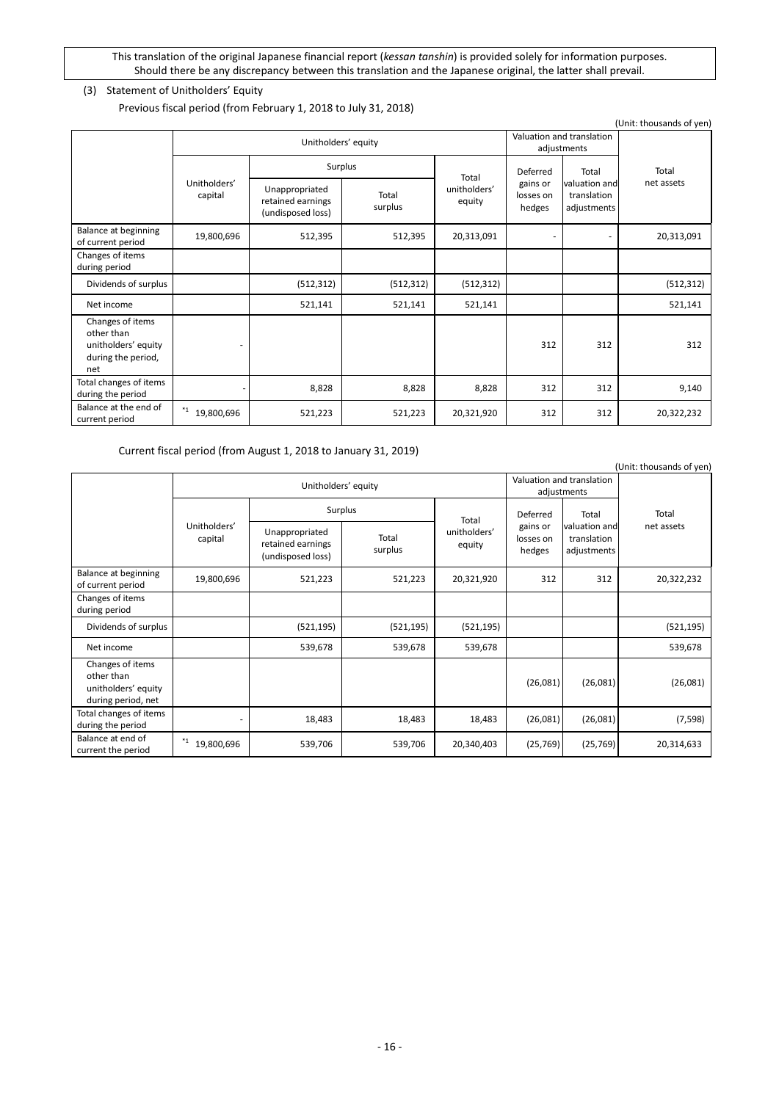# <span id="page-15-0"></span>(3) Statement of Unitholders' Equity

Previous fiscal period (from February 1, 2018 to July 31, 2018)

|                                                                                    |                         |                                                          |                  |                        |                                          |                                             | (Unit: thousands of yen) |
|------------------------------------------------------------------------------------|-------------------------|----------------------------------------------------------|------------------|------------------------|------------------------------------------|---------------------------------------------|--------------------------|
|                                                                                    | Unitholders' equity     |                                                          |                  |                        | Valuation and translation<br>adjustments |                                             |                          |
|                                                                                    | Surplus                 | Total                                                    | Deferred         | Total                  | Total                                    |                                             |                          |
|                                                                                    | Unitholders'<br>capital | Unappropriated<br>retained earnings<br>(undisposed loss) | Total<br>surplus | unitholders'<br>equity | gains or<br>losses on<br>hedges          | valuation and<br>translation<br>adjustments | net assets               |
| Balance at beginning<br>of current period                                          | 19,800,696              | 512,395                                                  | 512,395          | 20,313,091             | ٠                                        |                                             | 20,313,091               |
| Changes of items<br>during period                                                  |                         |                                                          |                  |                        |                                          |                                             |                          |
| Dividends of surplus                                                               |                         | (512, 312)                                               | (512, 312)       | (512, 312)             |                                          |                                             | (512, 312)               |
| Net income                                                                         |                         | 521,141                                                  | 521,141          | 521,141                |                                          |                                             | 521,141                  |
| Changes of items<br>other than<br>unitholders' equity<br>during the period,<br>net |                         |                                                          |                  |                        | 312                                      | 312                                         | 312                      |
| Total changes of items<br>during the period                                        |                         | 8,828                                                    | 8,828            | 8,828                  | 312                                      | 312                                         | 9,140                    |
| Balance at the end of<br>current period                                            | *1<br>19,800,696        | 521,223                                                  | 521,223          | 20,321,920             | 312                                      | 312                                         | 20,322,232               |

Current fiscal period (from August 1, 2018 to January 31, 2019)

|                                                                             |                         |                                                          |                  |                        |                                 |                                             | (Unit: thousands of yen) |       |
|-----------------------------------------------------------------------------|-------------------------|----------------------------------------------------------|------------------|------------------------|---------------------------------|---------------------------------------------|--------------------------|-------|
|                                                                             | Unitholders' equity     |                                                          |                  |                        |                                 | Valuation and translation<br>adjustments    |                          |       |
|                                                                             |                         | Surplus                                                  |                  | Total                  |                                 | Deferred                                    | Total                    | Total |
|                                                                             | Unitholders'<br>capital | Unappropriated<br>retained earnings<br>(undisposed loss) | Total<br>surplus | unitholders'<br>equity | gains or<br>losses on<br>hedges | valuation and<br>translation<br>adjustments | net assets               |       |
| Balance at beginning<br>of current period                                   | 19,800,696              | 521,223                                                  | 521,223          | 20,321,920             | 312                             | 312                                         | 20,322,232               |       |
| Changes of items<br>during period                                           |                         |                                                          |                  |                        |                                 |                                             |                          |       |
| Dividends of surplus                                                        |                         | (521, 195)                                               | (521, 195)       | (521, 195)             |                                 |                                             | (521, 195)               |       |
| Net income                                                                  |                         | 539,678                                                  | 539,678          | 539,678                |                                 |                                             | 539,678                  |       |
| Changes of items<br>other than<br>unitholders' equity<br>during period, net |                         |                                                          |                  |                        | (26,081)                        | (26,081)                                    | (26,081)                 |       |
| Total changes of items<br>during the period                                 |                         | 18,483                                                   | 18,483           | 18,483                 | (26,081)                        | (26,081)                                    | (7, 598)                 |       |
| Balance at end of<br>current the period                                     | *1<br>19,800,696        | 539,706                                                  | 539,706          | 20,340,403             | (25, 769)                       | (25, 769)                                   | 20,314,633               |       |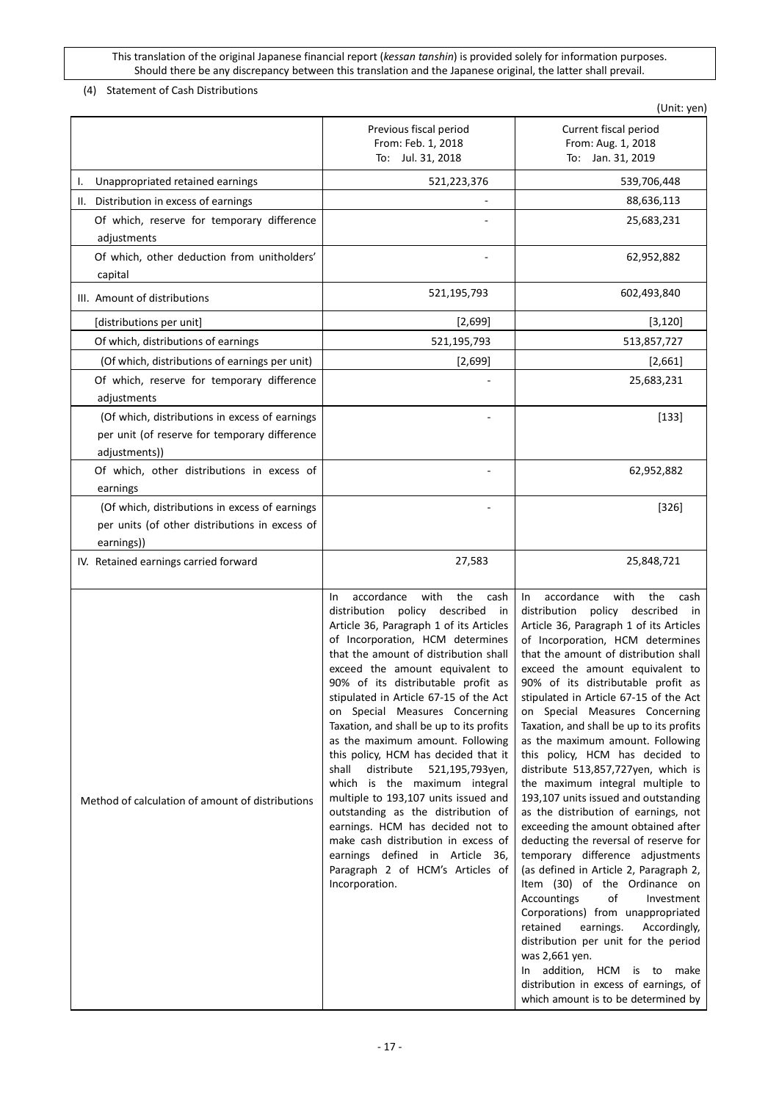<span id="page-16-0"></span>(4) Statement of Cash Distributions

|                                                                                                                  |                                                                                                                                                                                                                                                                                                                                                                                                                                                                                                                                                                                                                                                                                                                                                                                                             | (Unit: yen)                                                                                                                                                                                                                                                                                                                                                                                                                                                                                                                                                                                                                                                                                                                                                                                                                                                                                                                                                                                                                                                                                                                       |
|------------------------------------------------------------------------------------------------------------------|-------------------------------------------------------------------------------------------------------------------------------------------------------------------------------------------------------------------------------------------------------------------------------------------------------------------------------------------------------------------------------------------------------------------------------------------------------------------------------------------------------------------------------------------------------------------------------------------------------------------------------------------------------------------------------------------------------------------------------------------------------------------------------------------------------------|-----------------------------------------------------------------------------------------------------------------------------------------------------------------------------------------------------------------------------------------------------------------------------------------------------------------------------------------------------------------------------------------------------------------------------------------------------------------------------------------------------------------------------------------------------------------------------------------------------------------------------------------------------------------------------------------------------------------------------------------------------------------------------------------------------------------------------------------------------------------------------------------------------------------------------------------------------------------------------------------------------------------------------------------------------------------------------------------------------------------------------------|
|                                                                                                                  | Previous fiscal period<br>From: Feb. 1, 2018<br>To: Jul. 31, 2018                                                                                                                                                                                                                                                                                                                                                                                                                                                                                                                                                                                                                                                                                                                                           | Current fiscal period<br>From: Aug. 1, 2018<br>To: Jan. 31, 2019                                                                                                                                                                                                                                                                                                                                                                                                                                                                                                                                                                                                                                                                                                                                                                                                                                                                                                                                                                                                                                                                  |
| Unappropriated retained earnings<br>I.                                                                           | 521,223,376                                                                                                                                                                                                                                                                                                                                                                                                                                                                                                                                                                                                                                                                                                                                                                                                 | 539,706,448                                                                                                                                                                                                                                                                                                                                                                                                                                                                                                                                                                                                                                                                                                                                                                                                                                                                                                                                                                                                                                                                                                                       |
| II. Distribution in excess of earnings                                                                           |                                                                                                                                                                                                                                                                                                                                                                                                                                                                                                                                                                                                                                                                                                                                                                                                             | 88,636,113                                                                                                                                                                                                                                                                                                                                                                                                                                                                                                                                                                                                                                                                                                                                                                                                                                                                                                                                                                                                                                                                                                                        |
| Of which, reserve for temporary difference<br>adjustments                                                        |                                                                                                                                                                                                                                                                                                                                                                                                                                                                                                                                                                                                                                                                                                                                                                                                             | 25,683,231                                                                                                                                                                                                                                                                                                                                                                                                                                                                                                                                                                                                                                                                                                                                                                                                                                                                                                                                                                                                                                                                                                                        |
| Of which, other deduction from unitholders'<br>capital                                                           |                                                                                                                                                                                                                                                                                                                                                                                                                                                                                                                                                                                                                                                                                                                                                                                                             | 62,952,882                                                                                                                                                                                                                                                                                                                                                                                                                                                                                                                                                                                                                                                                                                                                                                                                                                                                                                                                                                                                                                                                                                                        |
| III. Amount of distributions                                                                                     | 521,195,793                                                                                                                                                                                                                                                                                                                                                                                                                                                                                                                                                                                                                                                                                                                                                                                                 | 602,493,840                                                                                                                                                                                                                                                                                                                                                                                                                                                                                                                                                                                                                                                                                                                                                                                                                                                                                                                                                                                                                                                                                                                       |
| [distributions per unit]                                                                                         | [2,699]                                                                                                                                                                                                                                                                                                                                                                                                                                                                                                                                                                                                                                                                                                                                                                                                     | [3, 120]                                                                                                                                                                                                                                                                                                                                                                                                                                                                                                                                                                                                                                                                                                                                                                                                                                                                                                                                                                                                                                                                                                                          |
| Of which, distributions of earnings                                                                              | 521,195,793                                                                                                                                                                                                                                                                                                                                                                                                                                                                                                                                                                                                                                                                                                                                                                                                 | 513,857,727                                                                                                                                                                                                                                                                                                                                                                                                                                                                                                                                                                                                                                                                                                                                                                                                                                                                                                                                                                                                                                                                                                                       |
| (Of which, distributions of earnings per unit)                                                                   | [2,699]                                                                                                                                                                                                                                                                                                                                                                                                                                                                                                                                                                                                                                                                                                                                                                                                     | [2,661]                                                                                                                                                                                                                                                                                                                                                                                                                                                                                                                                                                                                                                                                                                                                                                                                                                                                                                                                                                                                                                                                                                                           |
| Of which, reserve for temporary difference<br>adjustments                                                        |                                                                                                                                                                                                                                                                                                                                                                                                                                                                                                                                                                                                                                                                                                                                                                                                             | 25,683,231                                                                                                                                                                                                                                                                                                                                                                                                                                                                                                                                                                                                                                                                                                                                                                                                                                                                                                                                                                                                                                                                                                                        |
| (Of which, distributions in excess of earnings<br>per unit (of reserve for temporary difference<br>adjustments)) |                                                                                                                                                                                                                                                                                                                                                                                                                                                                                                                                                                                                                                                                                                                                                                                                             | $[133]$                                                                                                                                                                                                                                                                                                                                                                                                                                                                                                                                                                                                                                                                                                                                                                                                                                                                                                                                                                                                                                                                                                                           |
| Of which, other distributions in excess of                                                                       |                                                                                                                                                                                                                                                                                                                                                                                                                                                                                                                                                                                                                                                                                                                                                                                                             | 62,952,882                                                                                                                                                                                                                                                                                                                                                                                                                                                                                                                                                                                                                                                                                                                                                                                                                                                                                                                                                                                                                                                                                                                        |
| earnings                                                                                                         |                                                                                                                                                                                                                                                                                                                                                                                                                                                                                                                                                                                                                                                                                                                                                                                                             |                                                                                                                                                                                                                                                                                                                                                                                                                                                                                                                                                                                                                                                                                                                                                                                                                                                                                                                                                                                                                                                                                                                                   |
| (Of which, distributions in excess of earnings<br>per units (of other distributions in excess of<br>earnings))   |                                                                                                                                                                                                                                                                                                                                                                                                                                                                                                                                                                                                                                                                                                                                                                                                             | $[326]$                                                                                                                                                                                                                                                                                                                                                                                                                                                                                                                                                                                                                                                                                                                                                                                                                                                                                                                                                                                                                                                                                                                           |
| IV. Retained earnings carried forward                                                                            | 27,583                                                                                                                                                                                                                                                                                                                                                                                                                                                                                                                                                                                                                                                                                                                                                                                                      | 25,848,721                                                                                                                                                                                                                                                                                                                                                                                                                                                                                                                                                                                                                                                                                                                                                                                                                                                                                                                                                                                                                                                                                                                        |
| Method of calculation of amount of distributions                                                                 | accordance<br>with<br>the<br>cash<br>In.<br>distribution policy described in<br>Article 36, Paragraph 1 of its Articles<br>of Incorporation, HCM determines<br>that the amount of distribution shall<br>exceed the amount equivalent to<br>90% of its distributable profit as<br>stipulated in Article 67-15 of the Act<br>on Special Measures Concerning<br>Taxation, and shall be up to its profits<br>as the maximum amount. Following<br>this policy, HCM has decided that it<br>distribute 521,195,793yen,<br>shall<br>which is the maximum integral<br>multiple to 193,107 units issued and<br>outstanding as the distribution of<br>earnings. HCM has decided not to<br>make cash distribution in excess of<br>earnings defined in Article 36,<br>Paragraph 2 of HCM's Articles of<br>Incorporation. | accordance<br>with<br>the<br>cash<br>In.<br>distribution policy described in<br>Article 36, Paragraph 1 of its Articles<br>of Incorporation, HCM determines<br>that the amount of distribution shall<br>exceed the amount equivalent to<br>90% of its distributable profit as<br>stipulated in Article 67-15 of the Act<br>on Special Measures Concerning<br>Taxation, and shall be up to its profits<br>as the maximum amount. Following<br>this policy, HCM has decided to<br>distribute 513,857,727yen, which is<br>the maximum integral multiple to<br>193,107 units issued and outstanding<br>as the distribution of earnings, not<br>exceeding the amount obtained after<br>deducting the reversal of reserve for<br>temporary difference adjustments<br>(as defined in Article 2, Paragraph 2,<br>Item (30) of the Ordinance on<br>Accountings<br>of<br>Investment<br>Corporations) from unappropriated<br>retained<br>earnings.<br>Accordingly,<br>distribution per unit for the period<br>was 2,661 yen.<br>In addition, HCM is to make<br>distribution in excess of earnings, of<br>which amount is to be determined by |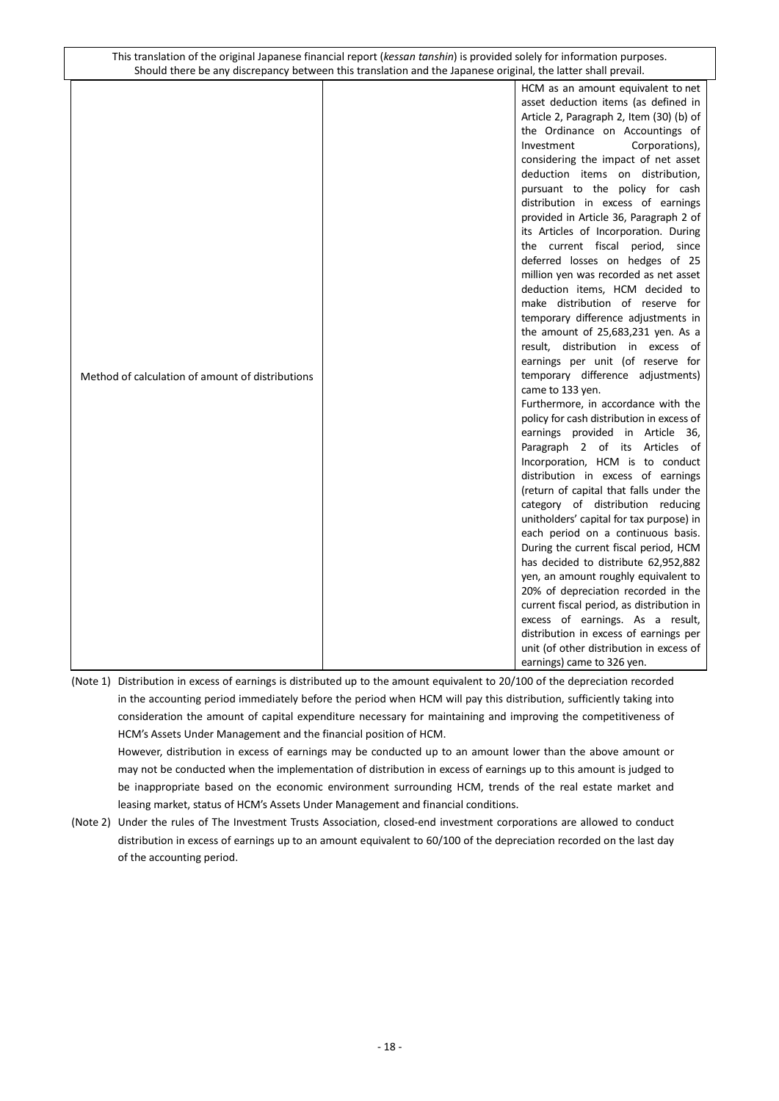|                                                  | HCM as an amount equivalent to net        |
|--------------------------------------------------|-------------------------------------------|
|                                                  | asset deduction items (as defined in      |
|                                                  | Article 2, Paragraph 2, Item (30) (b) of  |
|                                                  | the Ordinance on Accountings of           |
|                                                  | Investment<br>Corporations),              |
|                                                  | considering the impact of net asset       |
|                                                  | deduction items on distribution,          |
|                                                  | pursuant to the policy for cash           |
|                                                  | distribution in excess of earnings        |
|                                                  | provided in Article 36, Paragraph 2 of    |
|                                                  | its Articles of Incorporation. During     |
|                                                  | the current fiscal period, since          |
|                                                  | deferred losses on hedges of 25           |
|                                                  | million yen was recorded as net asset     |
|                                                  | deduction items, HCM decided to           |
|                                                  | make distribution of reserve for          |
|                                                  | temporary difference adjustments in       |
|                                                  | the amount of 25,683,231 yen. As a        |
|                                                  | result, distribution in excess of         |
|                                                  | earnings per unit (of reserve for         |
| Method of calculation of amount of distributions | temporary difference adjustments)         |
|                                                  | came to 133 yen.                          |
|                                                  | Furthermore, in accordance with the       |
|                                                  | policy for cash distribution in excess of |
|                                                  | earnings provided in Article 36,          |
|                                                  | Paragraph 2 of its Articles<br>of         |
|                                                  | Incorporation, HCM is to conduct          |
|                                                  | distribution in excess of earnings        |
|                                                  | (return of capital that falls under the   |
|                                                  | category of distribution reducing         |
|                                                  | unitholders' capital for tax purpose) in  |
|                                                  | each period on a continuous basis.        |
|                                                  | During the current fiscal period, HCM     |
|                                                  | has decided to distribute 62,952,882      |
|                                                  | yen, an amount roughly equivalent to      |
|                                                  | 20% of depreciation recorded in the       |
|                                                  | current fiscal period, as distribution in |
|                                                  | excess of earnings. As a result,          |
|                                                  | distribution in excess of earnings per    |
|                                                  | unit (of other distribution in excess of  |
|                                                  |                                           |
|                                                  | earnings) came to 326 yen.                |

(Note 1) Distribution in excess of earnings is distributed up to the amount equivalent to 20/100 of the depreciation recorded in the accounting period immediately before the period when HCM will pay this distribution, sufficiently taking into consideration the amount of capital expenditure necessary for maintaining and improving the competitiveness of HCM's Assets Under Management and the financial position of HCM.

However, distribution in excess of earnings may be conducted up to an amount lower than the above amount or may not be conducted when the implementation of distribution in excess of earnings up to this amount is judged to be inappropriate based on the economic environment surrounding HCM, trends of the real estate market and leasing market, status of HCM's Assets Under Management and financial conditions.

(Note 2) Under the rules of The Investment Trusts Association, closed-end investment corporations are allowed to conduct distribution in excess of earnings up to an amount equivalent to 60/100 of the depreciation recorded on the last day of the accounting period.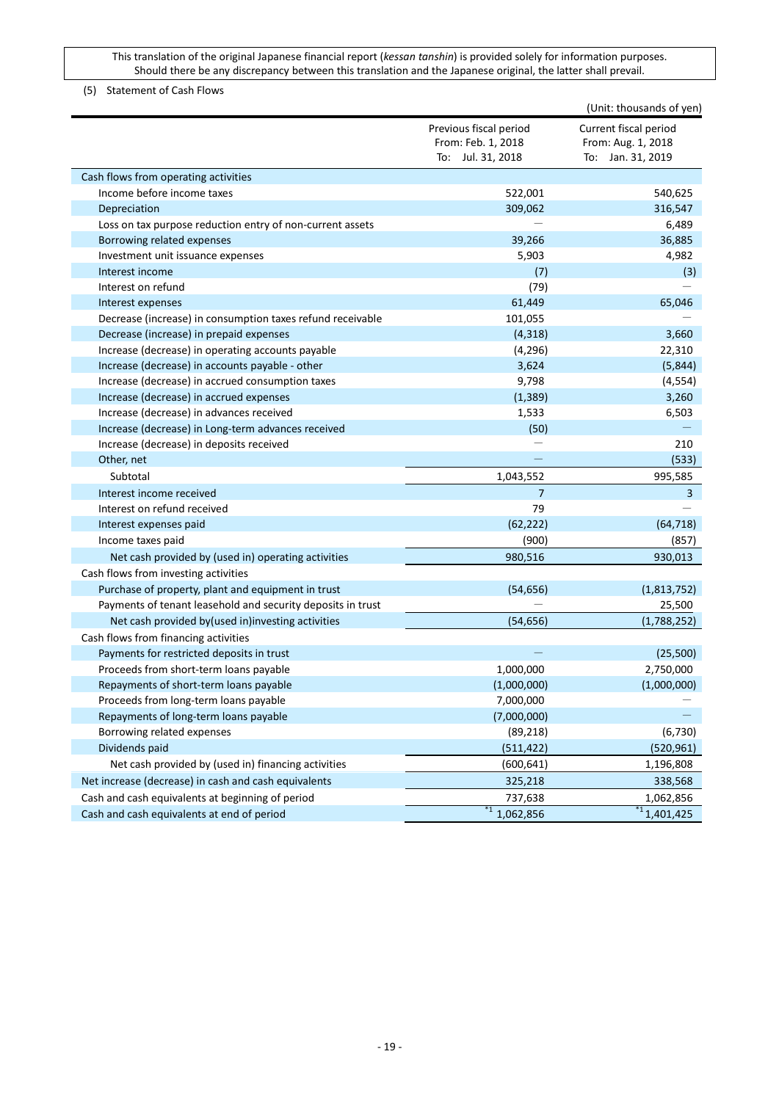## <span id="page-18-0"></span>(5) Statement of Cash Flows

|                                                             |                        | (Unit: thousands of yen) |
|-------------------------------------------------------------|------------------------|--------------------------|
|                                                             | Previous fiscal period | Current fiscal period    |
|                                                             | From: Feb. 1, 2018     | From: Aug. 1, 2018       |
|                                                             | To: Jul. 31, 2018      | To: Jan. 31, 2019        |
| Cash flows from operating activities                        |                        |                          |
| Income before income taxes                                  | 522,001                | 540,625                  |
| Depreciation                                                | 309,062                | 316,547                  |
| Loss on tax purpose reduction entry of non-current assets   |                        | 6,489                    |
| Borrowing related expenses                                  | 39,266                 | 36,885                   |
| Investment unit issuance expenses                           | 5,903                  | 4,982                    |
| Interest income                                             | (7)                    | (3)                      |
| Interest on refund                                          | (79)                   |                          |
| Interest expenses                                           | 61,449                 | 65,046                   |
| Decrease (increase) in consumption taxes refund receivable  | 101,055                |                          |
| Decrease (increase) in prepaid expenses                     | (4, 318)               | 3,660                    |
| Increase (decrease) in operating accounts payable           | (4, 296)               | 22,310                   |
| Increase (decrease) in accounts payable - other             | 3,624                  | (5,844)                  |
| Increase (decrease) in accrued consumption taxes            | 9,798                  | (4, 554)                 |
| Increase (decrease) in accrued expenses                     | (1, 389)               | 3,260                    |
| Increase (decrease) in advances received                    | 1,533                  | 6,503                    |
| Increase (decrease) in Long-term advances received          | (50)                   |                          |
| Increase (decrease) in deposits received                    |                        | 210                      |
| Other, net                                                  |                        | (533)                    |
| Subtotal                                                    | 1,043,552              | 995,585                  |
| Interest income received                                    | 7                      | 3                        |
| Interest on refund received                                 | 79                     |                          |
| Interest expenses paid                                      | (62, 222)              | (64, 718)                |
| Income taxes paid                                           | (900)                  | (857)                    |
| Net cash provided by (used in) operating activities         | 980,516                | 930,013                  |
| Cash flows from investing activities                        |                        |                          |
| Purchase of property, plant and equipment in trust          | (54, 656)              | (1,813,752)              |
| Payments of tenant leasehold and security deposits in trust |                        | 25,500                   |
| Net cash provided by(used in)investing activities           | (54, 656)              | (1,788,252)              |
| Cash flows from financing activities                        |                        |                          |
| Payments for restricted deposits in trust                   |                        | (25,500)                 |
| Proceeds from short-term loans payable                      | 1,000,000              | 2,750,000                |
| Repayments of short-term loans payable                      | (1,000,000)            | (1,000,000)              |
| Proceeds from long-term loans payable                       | 7,000,000              |                          |
| Repayments of long-term loans payable                       | (7,000,000)            |                          |
| Borrowing related expenses                                  | (89, 218)              | (6, 730)                 |
| Dividends paid                                              | (511, 422)             | (520, 961)               |
| Net cash provided by (used in) financing activities         | (600, 641)             | 1,196,808                |
| Net increase (decrease) in cash and cash equivalents        | 325,218                | 338,568                  |
| Cash and cash equivalents at beginning of period            | 737,638                | 1,062,856                |
| Cash and cash equivalents at end of period                  | $*1$ ,062,856          | $\overline{1}$ 1,401,425 |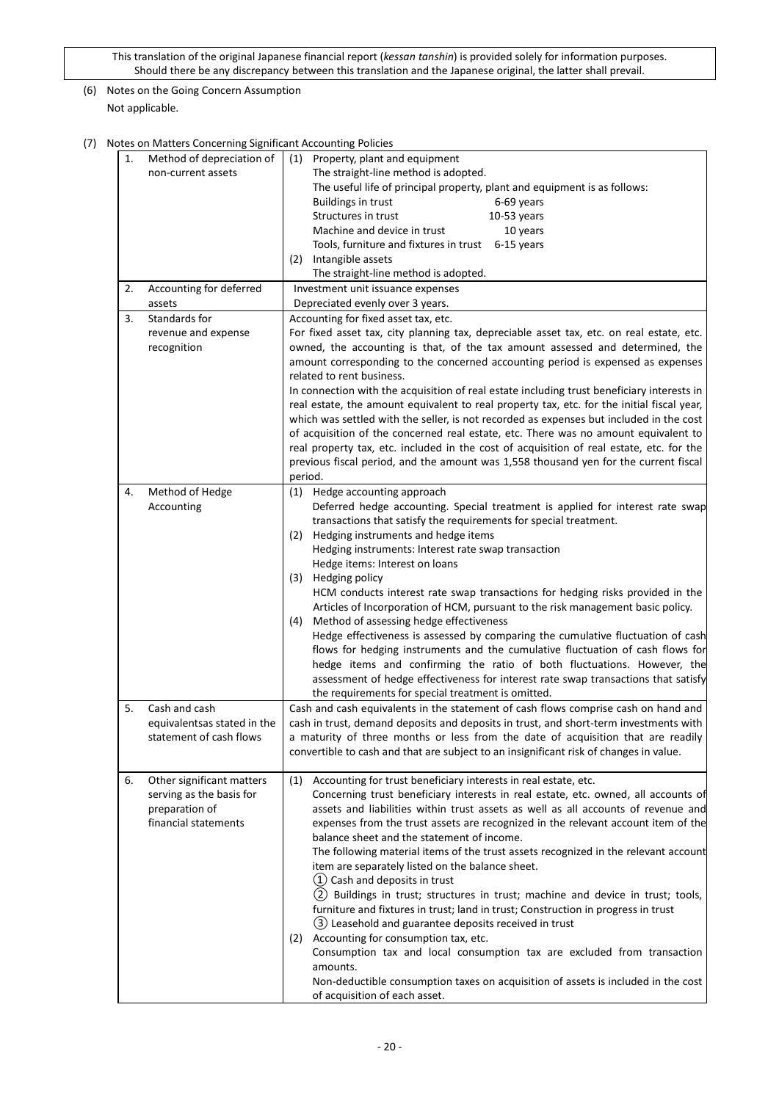# <span id="page-19-0"></span>(6) Notes on the Going Concern Assumption Not applicable.

<span id="page-19-1"></span>(7) Notes on Matters Concerning Significant Accounting Policies

| 1. | Method of depreciation of   | (1) Property, plant and equipment                                                          |
|----|-----------------------------|--------------------------------------------------------------------------------------------|
|    | non-current assets          | The straight-line method is adopted.                                                       |
|    |                             | The useful life of principal property, plant and equipment is as follows:                  |
|    |                             | <b>Buildings in trust</b><br>6-69 years                                                    |
|    |                             | Structures in trust<br>$10-53$ years                                                       |
|    |                             | Machine and device in trust<br>10 years                                                    |
|    |                             | Tools, furniture and fixtures in trust 6-15 years                                          |
|    |                             | Intangible assets<br>(2)                                                                   |
|    |                             | The straight-line method is adopted.                                                       |
| 2. | Accounting for deferred     | Investment unit issuance expenses                                                          |
|    | assets                      | Depreciated evenly over 3 years.                                                           |
|    | Standards for               |                                                                                            |
| 3. |                             | Accounting for fixed asset tax, etc.                                                       |
|    | revenue and expense         | For fixed asset tax, city planning tax, depreciable asset tax, etc. on real estate, etc.   |
|    | recognition                 | owned, the accounting is that, of the tax amount assessed and determined, the              |
|    |                             | amount corresponding to the concerned accounting period is expensed as expenses            |
|    |                             | related to rent business.                                                                  |
|    |                             | In connection with the acquisition of real estate including trust beneficiary interests in |
|    |                             | real estate, the amount equivalent to real property tax, etc. for the initial fiscal year, |
|    |                             | which was settled with the seller, is not recorded as expenses but included in the cost    |
|    |                             | of acquisition of the concerned real estate, etc. There was no amount equivalent to        |
|    |                             | real property tax, etc. included in the cost of acquisition of real estate, etc. for the   |
|    |                             | previous fiscal period, and the amount was 1,558 thousand yen for the current fiscal       |
|    |                             | period.                                                                                    |
| 4. | Method of Hedge             | Hedge accounting approach<br>(1)                                                           |
|    | Accounting                  | Deferred hedge accounting. Special treatment is applied for interest rate swap             |
|    |                             | transactions that satisfy the requirements for special treatment.                          |
|    |                             | Hedging instruments and hedge items<br>(2)                                                 |
|    |                             | Hedging instruments: Interest rate swap transaction                                        |
|    |                             | Hedge items: Interest on loans                                                             |
|    |                             | (3) Hedging policy                                                                         |
|    |                             | HCM conducts interest rate swap transactions for hedging risks provided in the             |
|    |                             | Articles of Incorporation of HCM, pursuant to the risk management basic policy.            |
|    |                             |                                                                                            |
|    |                             | Method of assessing hedge effectiveness<br>(4)                                             |
|    |                             | Hedge effectiveness is assessed by comparing the cumulative fluctuation of cash            |
|    |                             | flows for hedging instruments and the cumulative fluctuation of cash flows for             |
|    |                             | hedge items and confirming the ratio of both fluctuations. However, the                    |
|    |                             | assessment of hedge effectiveness for interest rate swap transactions that satisfy         |
|    |                             | the requirements for special treatment is omitted.                                         |
| 5. | Cash and cash               | Cash and cash equivalents in the statement of cash flows comprise cash on hand and         |
|    | equivalentsas stated in the | cash in trust, demand deposits and deposits in trust, and short-term investments with      |
|    | statement of cash flows     | a maturity of three months or less from the date of acquisition that are readily           |
|    |                             | convertible to cash and that are subject to an insignificant risk of changes in value.     |
|    |                             |                                                                                            |
| 6. | Other significant matters   | Accounting for trust beneficiary interests in real estate, etc.<br>(1)                     |
|    | serving as the basis for    | Concerning trust beneficiary interests in real estate, etc. owned, all accounts of         |
|    | preparation of              | assets and liabilities within trust assets as well as all accounts of revenue and          |
|    | financial statements        | expenses from the trust assets are recognized in the relevant account item of the          |
|    |                             | balance sheet and the statement of income.                                                 |
|    |                             | The following material items of the trust assets recognized in the relevant account        |
|    |                             | item are separately listed on the balance sheet.                                           |
|    |                             | (1) Cash and deposits in trust                                                             |
|    |                             | (2) Buildings in trust; structures in trust; machine and device in trust; tools,           |
|    |                             | furniture and fixtures in trust; land in trust; Construction in progress in trust          |
|    |                             | (3) Leasehold and guarantee deposits received in trust                                     |
|    |                             | (2) Accounting for consumption tax, etc.                                                   |
|    |                             | Consumption tax and local consumption tax are excluded from transaction                    |
|    |                             | amounts.                                                                                   |
|    |                             | Non-deductible consumption taxes on acquisition of assets is included in the cost          |
|    |                             | of acquisition of each asset.                                                              |
|    |                             |                                                                                            |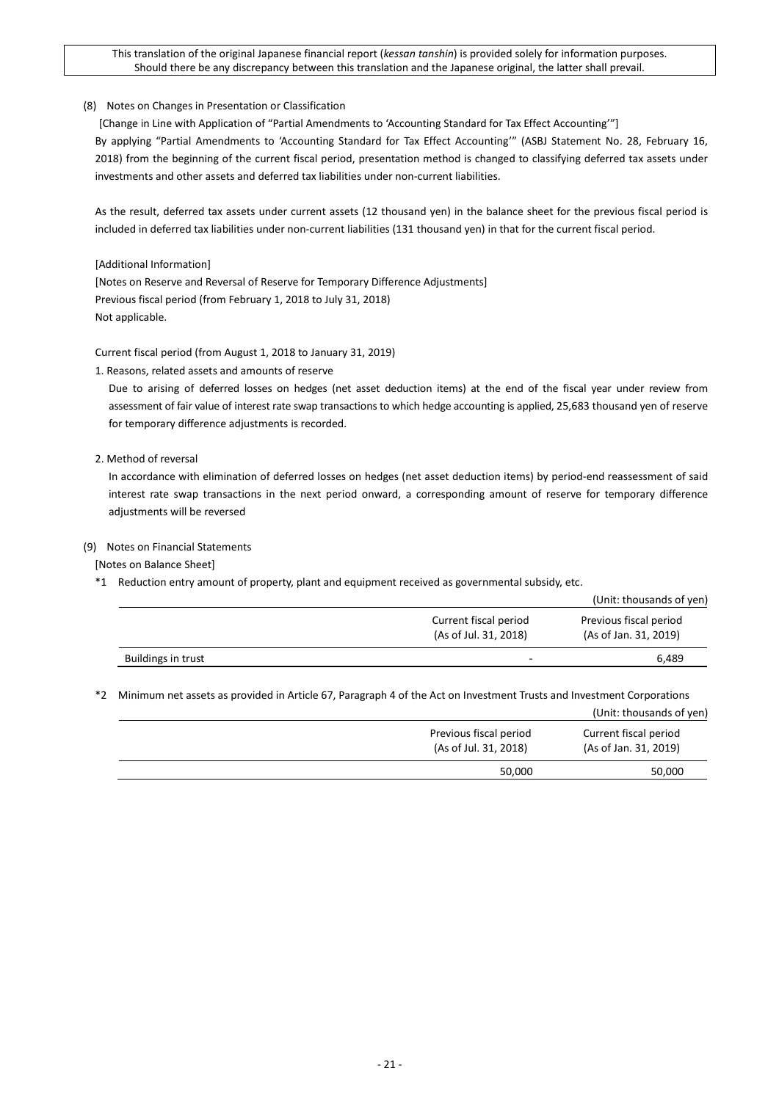## <span id="page-20-0"></span>(8) Notes on Changes in Presentation or Classification

[Change in Line with Application of "Partial Amendments to 'Accounting Standard for Tax Effect Accounting'"] By applying "Partial Amendments to 'Accounting Standard for Tax Effect Accounting'" (ASBJ Statement No. 28, February 16, 2018) from the beginning of the current fiscal period, presentation method is changed to classifying deferred tax assets under investments and other assets and deferred tax liabilities under non-current liabilities.

As the result, deferred tax assets under current assets (12 thousand yen) in the balance sheet for the previous fiscal period is included in deferred tax liabilities under non-current liabilities (131 thousand yen) in that for the current fiscal period.

[Additional Information]

[Notes on Reserve and Reversal of Reserve for Temporary Difference Adjustments] Previous fiscal period (from February 1, 2018 to July 31, 2018) Not applicable.

Current fiscal period (from August 1, 2018 to January 31, 2019)

1. Reasons, related assets and amounts of reserve

Due to arising of deferred losses on hedges (net asset deduction items) at the end of the fiscal year under review from assessment of fair value of interest rate swap transactions to which hedge accounting is applied, 25,683 thousand yen of reserve for temporary difference adjustments is recorded.

2. Method of reversal

In accordance with elimination of deferred losses on hedges (net asset deduction items) by period-end reassessment of said interest rate swap transactions in the next period onward, a corresponding amount of reserve for temporary difference adjustments will be reversed

#### <span id="page-20-1"></span>(9) Notes on Financial Statements

[Notes on Balance Sheet]

\*1 Reduction entry amount of property, plant and equipment received as governmental subsidy, etc.

|                    |                                                | (Unit: thousands of yen)                        |
|--------------------|------------------------------------------------|-------------------------------------------------|
|                    | Current fiscal period<br>(As of Jul. 31, 2018) | Previous fiscal period<br>(As of Jan. 31, 2019) |
| Buildings in trust | $\overline{a}$                                 | 6,489                                           |

\*2 Minimum net assets as provided in Article 67, Paragraph 4 of the Act on Investment Trusts and Investment Corporations

|                                                 | (Unit: thousands of yen)                       |
|-------------------------------------------------|------------------------------------------------|
| Previous fiscal period<br>(As of Jul. 31, 2018) | Current fiscal period<br>(As of Jan. 31, 2019) |
| 50,000                                          | 50,000                                         |
|                                                 |                                                |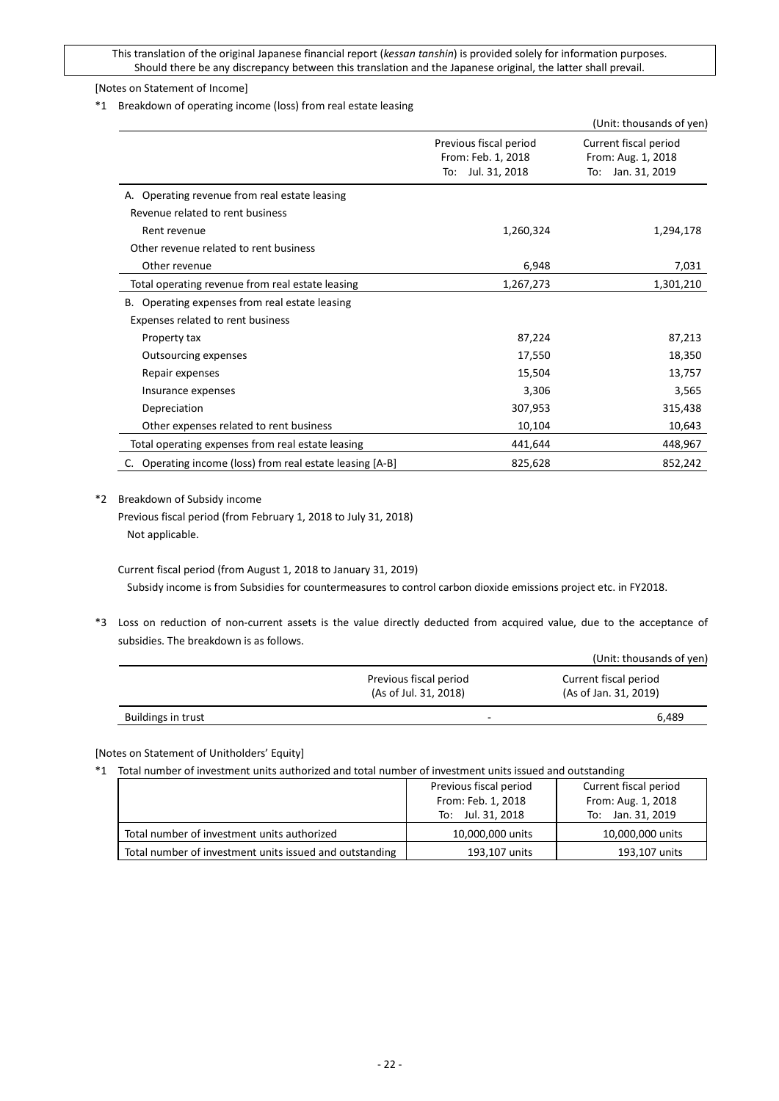## [Notes on Statement of Income]

\*1 Breakdown of operating income (loss) from real estate leasing

|                                                        |                                                                      | (Unit: thousands of yen)                                            |
|--------------------------------------------------------|----------------------------------------------------------------------|---------------------------------------------------------------------|
|                                                        | Previous fiscal period<br>From: Feb. 1, 2018<br>Jul. 31, 2018<br>To: | Current fiscal period<br>From: Aug. 1, 2018<br>Jan. 31, 2019<br>To: |
| A. Operating revenue from real estate leasing          |                                                                      |                                                                     |
| Revenue related to rent business                       |                                                                      |                                                                     |
| Rent revenue                                           | 1,260,324                                                            | 1,294,178                                                           |
| Other revenue related to rent business                 |                                                                      |                                                                     |
| Other revenue                                          | 6,948                                                                | 7,031                                                               |
| Total operating revenue from real estate leasing       | 1,267,273                                                            | 1,301,210                                                           |
| Operating expenses from real estate leasing<br>В.      |                                                                      |                                                                     |
| Expenses related to rent business                      |                                                                      |                                                                     |
| Property tax                                           | 87,224                                                               | 87,213                                                              |
| Outsourcing expenses                                   | 17,550                                                               | 18,350                                                              |
| Repair expenses                                        | 15,504                                                               | 13,757                                                              |
| Insurance expenses                                     | 3,306                                                                | 3,565                                                               |
| Depreciation                                           | 307,953                                                              | 315,438                                                             |
| Other expenses related to rent business                | 10,104                                                               | 10,643                                                              |
| Total operating expenses from real estate leasing      | 441,644                                                              | 448,967                                                             |
| Operating income (loss) from real estate leasing [A-B] | 825,628                                                              | 852,242                                                             |

\*2 Breakdown of Subsidy income

Previous fiscal period (from February 1, 2018 to July 31, 2018) Not applicable.

Current fiscal period (from August 1, 2018 to January 31, 2019)

Subsidy income is from Subsidies for countermeasures to control carbon dioxide emissions project etc. in FY2018.

\*3 Loss on reduction of non-current assets is the value directly deducted from acquired value, due to the acceptance of subsidies. The breakdown is as follows.

|                    |                                                 | (Unit: thousands of yen)                       |
|--------------------|-------------------------------------------------|------------------------------------------------|
|                    | Previous fiscal period<br>(As of Jul. 31, 2018) | Current fiscal period<br>(As of Jan. 31, 2019) |
| Buildings in trust | -                                               | 6.489                                          |

[Notes on Statement of Unitholders' Equity]

\*1 Total number of investment units authorized and total number of investment units issued and outstanding

|                                                         | Previous fiscal period | Current fiscal period |
|---------------------------------------------------------|------------------------|-----------------------|
|                                                         | From: Feb. 1, 2018     | From: Aug. 1, 2018    |
|                                                         | To: Jul. 31, 2018      | To: Jan. 31, 2019     |
| Total number of investment units authorized             | 10,000,000 units       | 10,000,000 units      |
| Total number of investment units issued and outstanding | 193,107 units          | 193,107 units         |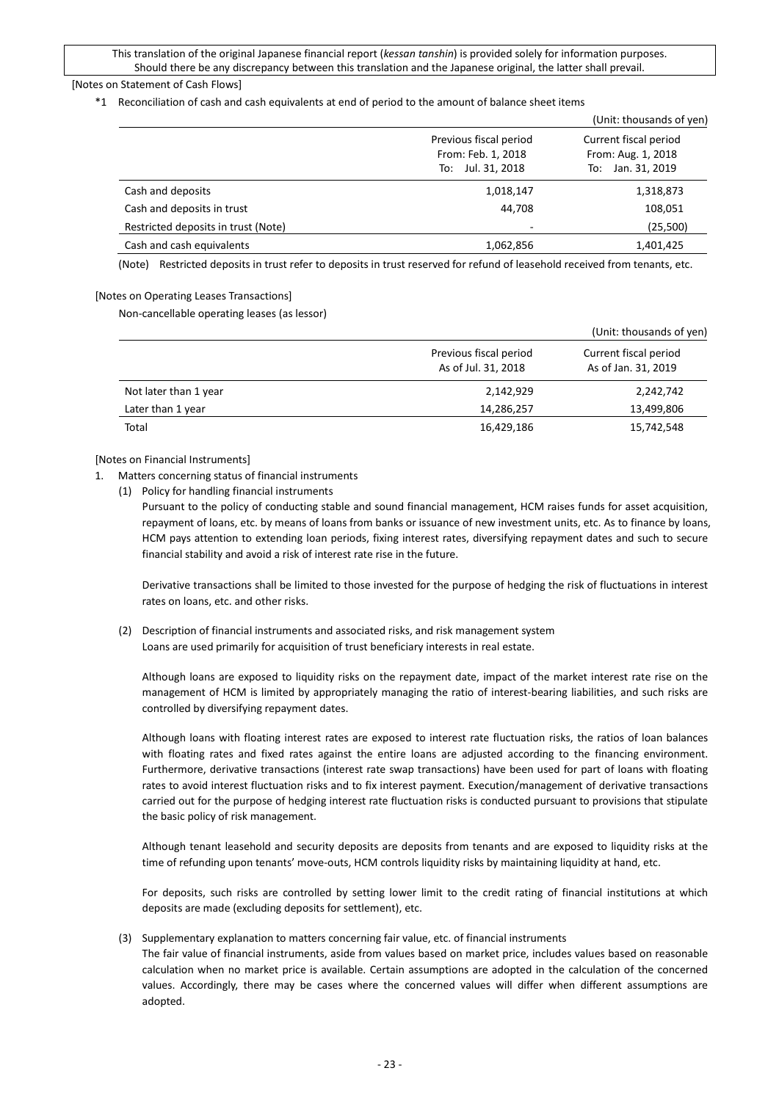### [Notes on Statement of Cash Flows]

\*1 Reconciliation of cash and cash equivalents at end of period to the amount of balance sheet items

|                                     |                                                                                                                                             | (Unit: thousands of yen) |
|-------------------------------------|---------------------------------------------------------------------------------------------------------------------------------------------|--------------------------|
|                                     | Previous fiscal period<br>Current fiscal period<br>From: Feb. 1, 2018<br>From: Aug. 1, 2018<br>Jul. 31, 2018<br>Jan. 31, 2019<br>To:<br>To: |                          |
| Cash and deposits                   | 1,018,147                                                                                                                                   | 1,318,873                |
| Cash and deposits in trust          | 44,708                                                                                                                                      | 108,051                  |
| Restricted deposits in trust (Note) | -                                                                                                                                           | (25,500)                 |
| Cash and cash equivalents           | 1,062,856                                                                                                                                   | 1,401,425                |

(Note) Restricted deposits in trust refer to deposits in trust reserved for refund of leasehold received from tenants, etc.

#### [Notes on Operating Leases Transactions]

Non-cancellable operating leases (as lessor)

|                       |                                               | (Unit: thousands of yen)                     |
|-----------------------|-----------------------------------------------|----------------------------------------------|
|                       | Previous fiscal period<br>As of Jul. 31, 2018 | Current fiscal period<br>As of Jan. 31, 2019 |
| Not later than 1 year | 2,142,929                                     | 2,242,742                                    |
| Later than 1 year     | 14,286,257                                    | 13,499,806                                   |
| Total                 | 16,429,186                                    | 15,742,548                                   |

#### [Notes on Financial Instruments]

- 1. Matters concerning status of financial instruments
	- (1) Policy for handling financial instruments

Pursuant to the policy of conducting stable and sound financial management, HCM raises funds for asset acquisition, repayment of loans, etc. by means of loans from banks or issuance of new investment units, etc. As to finance by loans, HCM pays attention to extending loan periods, fixing interest rates, diversifying repayment dates and such to secure financial stability and avoid a risk of interest rate rise in the future.

Derivative transactions shall be limited to those invested for the purpose of hedging the risk of fluctuations in interest rates on loans, etc. and other risks.

(2) Description of financial instruments and associated risks, and risk management system Loans are used primarily for acquisition of trust beneficiary interests in real estate.

Although loans are exposed to liquidity risks on the repayment date, impact of the market interest rate rise on the management of HCM is limited by appropriately managing the ratio of interest-bearing liabilities, and such risks are controlled by diversifying repayment dates.

Although loans with floating interest rates are exposed to interest rate fluctuation risks, the ratios of loan balances with floating rates and fixed rates against the entire loans are adjusted according to the financing environment. Furthermore, derivative transactions (interest rate swap transactions) have been used for part of loans with floating rates to avoid interest fluctuation risks and to fix interest payment. Execution/management of derivative transactions carried out for the purpose of hedging interest rate fluctuation risks is conducted pursuant to provisions that stipulate the basic policy of risk management.

Although tenant leasehold and security deposits are deposits from tenants and are exposed to liquidity risks at the time of refunding upon tenants' move-outs, HCM controls liquidity risks by maintaining liquidity at hand, etc.

For deposits, such risks are controlled by setting lower limit to the credit rating of financial institutions at which deposits are made (excluding deposits for settlement), etc.

(3) Supplementary explanation to matters concerning fair value, etc. of financial instruments

The fair value of financial instruments, aside from values based on market price, includes values based on reasonable calculation when no market price is available. Certain assumptions are adopted in the calculation of the concerned values. Accordingly, there may be cases where the concerned values will differ when different assumptions are adopted.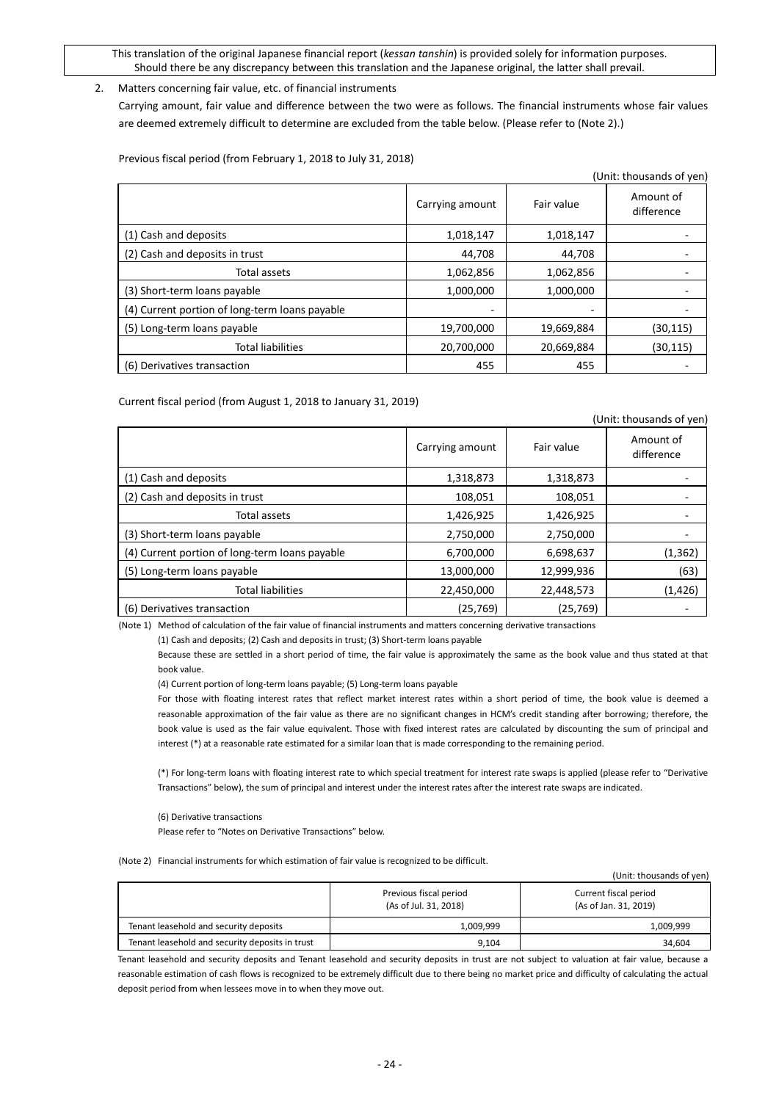### 2. Matters concerning fair value, etc. of financial instruments

Carrying amount, fair value and difference between the two were as follows. The financial instruments whose fair values are deemed extremely difficult to determine are excluded from the table below. (Please refer to (Note 2).)

Previous fiscal period (from February 1, 2018 to July 31, 2018)

| (Unit: thousands of yen)                       |                 |            |                         |  |
|------------------------------------------------|-----------------|------------|-------------------------|--|
|                                                | Carrying amount | Fair value | Amount of<br>difference |  |
| (1) Cash and deposits                          | 1,018,147       | 1,018,147  |                         |  |
| (2) Cash and deposits in trust                 | 44,708          | 44,708     |                         |  |
| Total assets                                   | 1,062,856       | 1,062,856  |                         |  |
| (3) Short-term loans payable                   | 1,000,000       | 1,000,000  |                         |  |
| (4) Current portion of long-term loans payable |                 |            |                         |  |
| (5) Long-term loans payable                    | 19,700,000      | 19,669,884 | (30, 115)               |  |
| <b>Total liabilities</b>                       | 20,700,000      | 20,669,884 | (30, 115)               |  |
| (6) Derivatives transaction                    | 455             | 455        |                         |  |

Current fiscal period (from August 1, 2018 to January 31, 2019)

| (Unit: thousands of yen)                       |                 |            |                         |
|------------------------------------------------|-----------------|------------|-------------------------|
|                                                | Carrying amount | Fair value | Amount of<br>difference |
| (1) Cash and deposits                          | 1,318,873       | 1,318,873  |                         |
| (2) Cash and deposits in trust                 | 108,051         | 108,051    |                         |
| Total assets                                   | 1,426,925       | 1,426,925  |                         |
| (3) Short-term loans payable                   | 2,750,000       | 2,750,000  |                         |
| (4) Current portion of long-term loans payable | 6,700,000       | 6,698,637  | (1, 362)                |
| (5) Long-term loans payable                    | 13,000,000      | 12,999,936 | (63)                    |
| <b>Total liabilities</b>                       | 22,450,000      | 22,448,573 | (1,426)                 |
| (6) Derivatives transaction                    | (25, 769)       | (25, 769)  |                         |

(Note 1) Method of calculation of the fair value of financial instruments and matters concerning derivative transactions

(1) Cash and deposits; (2) Cash and deposits in trust; (3) Short-term loans payable

Because these are settled in a short period of time, the fair value is approximately the same as the book value and thus stated at that book value.

(4) Current portion of long-term loans payable; (5) Long-term loans payable

For those with floating interest rates that reflect market interest rates within a short period of time, the book value is deemed a reasonable approximation of the fair value as there are no significant changes in HCM's credit standing after borrowing; therefore, the book value is used as the fair value equivalent. Those with fixed interest rates are calculated by discounting the sum of principal and interest (\*) at a reasonable rate estimated for a similar loan that is made corresponding to the remaining period.

(\*) For long-term loans with floating interest rate to which special treatment for interest rate swaps is applied (please refer to "Derivative Transactions" below), the sum of principal and interest under the interest rates after the interest rate swaps are indicated.

(6) Derivative transactions

Please refer to "Notes on Derivative Transactions" below.

(Note 2) Financial instruments for which estimation of fair value is recognized to be difficult.

(Unit: thousands of yen)

(Unit: the subset of  $\mathcal{L}$  yen)

|                                                 | Previous fiscal period<br>(As of Jul. 31, 2018) | Current fiscal period<br>(As of Jan. 31, 2019) |  |  |
|-------------------------------------------------|-------------------------------------------------|------------------------------------------------|--|--|
| Tenant leasehold and security deposits          | 1,009,999                                       | 1,009,999                                      |  |  |
| Tenant leasehold and security deposits in trust | 9,104                                           | 34.604                                         |  |  |

Tenant leasehold and security deposits and Tenant leasehold and security deposits in trust are not subject to valuation at fair value, because a reasonable estimation of cash flows is recognized to be extremely difficult due to there being no market price and difficulty of calculating the actual deposit period from when lessees move in to when they move out.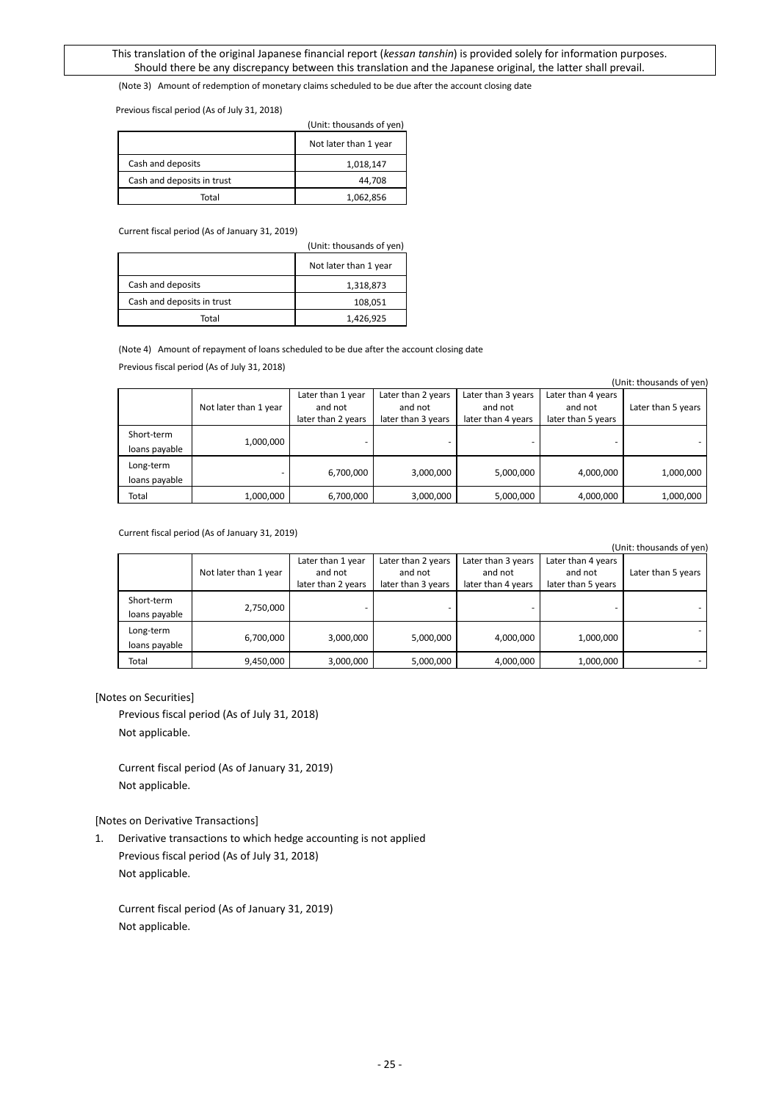(Note 3) Amount of redemption of monetary claims scheduled to be due after the account closing date

Previous fiscal period (As of July 31, 2018)

|                            | (Unit: thousands of yen) |
|----------------------------|--------------------------|
|                            | Not later than 1 year    |
| Cash and deposits          | 1,018,147                |
| Cash and deposits in trust | 44,708                   |
| Total                      | 1,062,856                |

Current fiscal period (As of January 31, 2019)

|                            | (Unit: thousands of yen) |
|----------------------------|--------------------------|
|                            | Not later than 1 year    |
| Cash and deposits          | 1,318,873                |
| Cash and deposits in trust | 108,051                  |
| Total                      | 1,426,925                |

(Note 4) Amount of repayment of loans scheduled to be due after the account closing date

Previous fiscal period (As of July 31, 2018)

|                             |                       |                                                    |                                                     |                                                     |                                                     | (Unit: thousands of yen |
|-----------------------------|-----------------------|----------------------------------------------------|-----------------------------------------------------|-----------------------------------------------------|-----------------------------------------------------|-------------------------|
|                             | Not later than 1 year | Later than 1 year<br>and not<br>later than 2 years | Later than 2 years<br>and not<br>later than 3 years | Later than 3 years<br>and not<br>later than 4 years | Later than 4 years<br>and not<br>later than 5 years | Later than 5 years      |
| Short-term<br>loans payable | 1,000,000             |                                                    |                                                     |                                                     |                                                     |                         |
| Long-term<br>loans payable  |                       | 6,700,000                                          | 3,000,000                                           | 5,000,000                                           | 4,000,000                                           | 1,000,000               |
| Total                       | 1,000,000             | 6,700,000                                          | 3,000,000                                           | 5,000,000                                           | 4,000,000                                           | 1,000,000               |

Current fiscal period (As of January 31, 2019)

(Unit: thousands of yen)

|                             |                       |                                                    |                                                     |                                                     |                                                     | ו יוסי ויט כשוושטווי |
|-----------------------------|-----------------------|----------------------------------------------------|-----------------------------------------------------|-----------------------------------------------------|-----------------------------------------------------|----------------------|
|                             | Not later than 1 year | Later than 1 year<br>and not<br>later than 2 years | Later than 2 years<br>and not<br>later than 3 years | Later than 3 years<br>and not<br>later than 4 years | Later than 4 years<br>and not<br>later than 5 years | Later than 5 years   |
| Short-term<br>loans payable | 2,750,000             |                                                    |                                                     |                                                     |                                                     |                      |
| Long-term<br>loans payable  | 6,700,000             | 3,000,000                                          | 5,000,000                                           | 4,000,000                                           | 1,000,000                                           | ۰                    |
| Total                       | 9,450,000             | 3,000,000                                          | 5,000,000                                           | 4,000,000                                           | 1,000,000                                           |                      |

#### [Notes on Securities]

Previous fiscal period (As of July 31, 2018) Not applicable.

Current fiscal period (As of January 31, 2019) Not applicable.

[Notes on Derivative Transactions]

1. Derivative transactions to which hedge accounting is not applied Previous fiscal period (As of July 31, 2018) Not applicable.

Current fiscal period (As of January 31, 2019) Not applicable.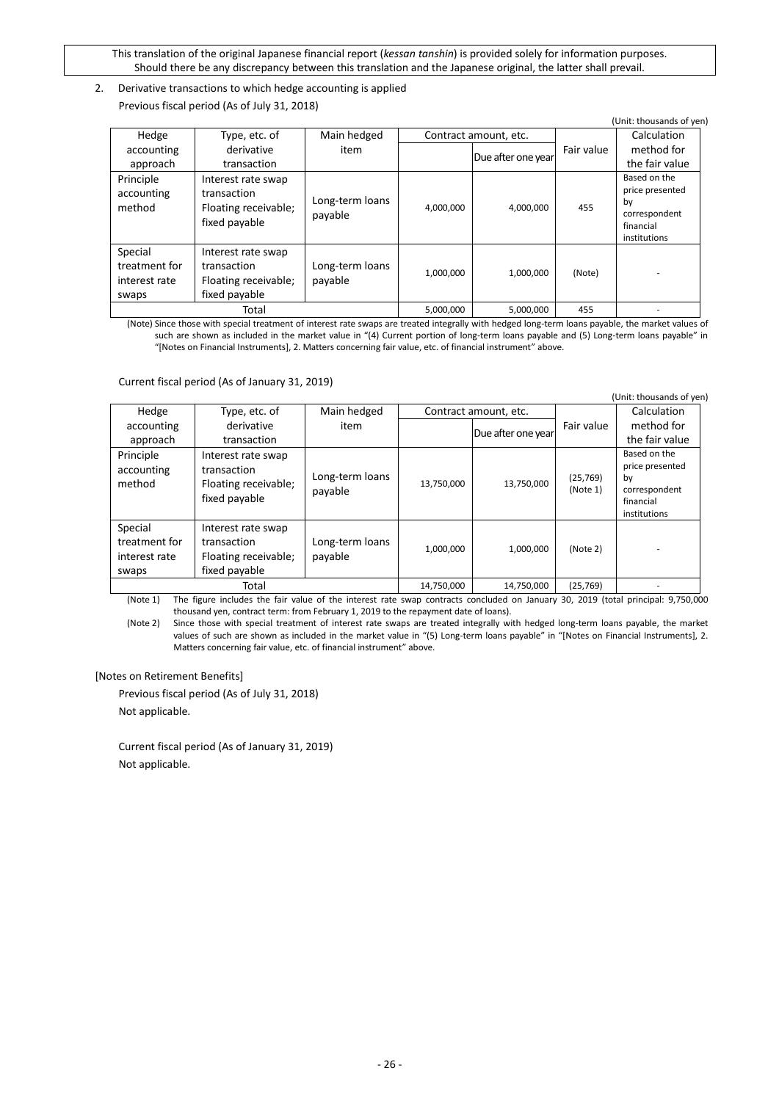# 2. Derivative transactions to which hedge accounting is applied Previous fiscal period (As of July 31, 2018)

|                                                    |                                                                            |                            |           |                       |            | (Unit: thousands of yen)                                                            |
|----------------------------------------------------|----------------------------------------------------------------------------|----------------------------|-----------|-----------------------|------------|-------------------------------------------------------------------------------------|
| Hedge                                              | Type, etc. of                                                              | Main hedged                |           | Contract amount, etc. |            | Calculation                                                                         |
| accounting                                         | derivative                                                                 | item                       |           | Due after one year    | Fair value | method for                                                                          |
| approach                                           | transaction                                                                |                            |           |                       |            | the fair value                                                                      |
| Principle<br>accounting<br>method                  | Interest rate swap<br>transaction<br>Floating receivable;<br>fixed payable | Long-term loans<br>payable | 4,000,000 | 4,000,000             | 455        | Based on the<br>price presented<br>bv<br>correspondent<br>financial<br>institutions |
| Special<br>treatment for<br>interest rate<br>swaps | Interest rate swap<br>transaction<br>Floating receivable;<br>fixed payable | Long-term loans<br>payable | 1,000,000 | 1,000,000             | (Note)     |                                                                                     |
|                                                    | Total                                                                      |                            | 5,000,000 | 5,000,000             | 455        |                                                                                     |

(Note) Since those with special treatment of interest rate swaps are treated integrally with hedged long-term loans payable, the market values of such are shown as included in the market value in "(4) Current portion of long-term loans payable and (5) Long-term loans payable" in "[Notes on Financial Instruments], 2. Matters concerning fair value, etc. of financial instrument" above.

Current fiscal period (As of January 31, 2019)

|                                                    |                                                                            |                            |            |                       |                       | (Unit: thousands of yen)                                                            |
|----------------------------------------------------|----------------------------------------------------------------------------|----------------------------|------------|-----------------------|-----------------------|-------------------------------------------------------------------------------------|
| Hedge                                              | Type, etc. of                                                              | Main hedged                |            | Contract amount, etc. |                       | Calculation                                                                         |
| accounting                                         | derivative                                                                 | item                       |            | Due after one year    | Fair value            | method for                                                                          |
| approach                                           | transaction                                                                |                            |            |                       |                       | the fair value                                                                      |
| Principle<br>accounting<br>method                  | Interest rate swap<br>transaction<br>Floating receivable;<br>fixed payable | Long-term loans<br>payable | 13,750,000 | 13,750,000            | (25, 769)<br>(Note 1) | Based on the<br>price presented<br>by<br>correspondent<br>financial<br>institutions |
| Special<br>treatment for<br>interest rate<br>swaps | Interest rate swap<br>transaction<br>Floating receivable;<br>fixed payable | Long-term loans<br>payable | 1,000,000  | 1,000,000             | (Note 2)              |                                                                                     |
|                                                    | Total                                                                      |                            | 14,750,000 | 14,750,000            | (25, 769)             |                                                                                     |

(Note 1) The figure includes the fair value of the interest rate swap contracts concluded on January 30, 2019 (total principal: 9,750,000 thousand yen, contract term: from February 1, 2019 to the repayment date of loans).

(Note 2) Since those with special treatment of interest rate swaps are treated integrally with hedged long-term loans payable, the market values of such are shown as included in the market value in "(5) Long-term loans payable" in "[Notes on Financial Instruments], 2. Matters concerning fair value, etc. of financial instrument" above.

# [Notes on Retirement Benefits]

Previous fiscal period (As of July 31, 2018) Not applicable.

Current fiscal period (As of January 31, 2019) Not applicable.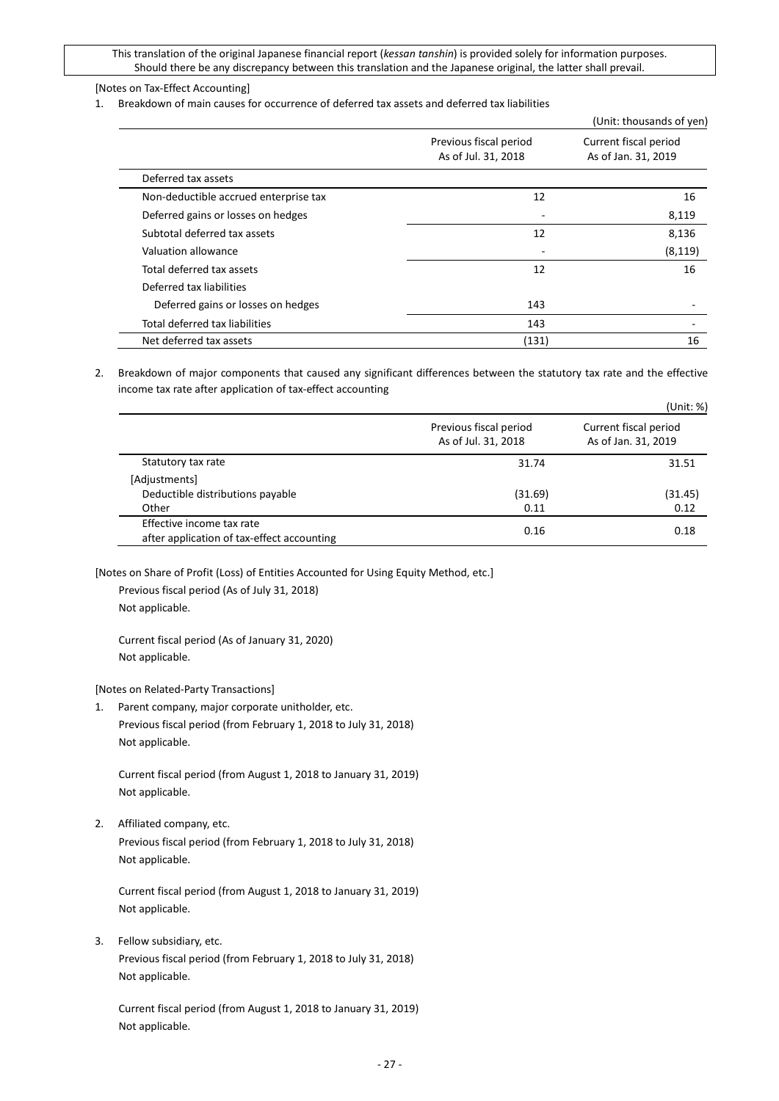### [Notes on Tax-Effect Accounting]

1. Breakdown of main causes for occurrence of deferred tax assets and deferred tax liabilities

|                                       |                                               | (Unit: thousands of yen)                     |  |
|---------------------------------------|-----------------------------------------------|----------------------------------------------|--|
|                                       | Previous fiscal period<br>As of Jul. 31, 2018 | Current fiscal period<br>As of Jan. 31, 2019 |  |
| Deferred tax assets                   |                                               |                                              |  |
| Non-deductible accrued enterprise tax | 12                                            | 16                                           |  |
| Deferred gains or losses on hedges    |                                               | 8,119                                        |  |
| Subtotal deferred tax assets          | 12                                            | 8,136                                        |  |
| Valuation allowance                   |                                               | (8, 119)                                     |  |
| Total deferred tax assets             | 12                                            | 16                                           |  |
| Deferred tax liabilities              |                                               |                                              |  |
| Deferred gains or losses on hedges    | 143                                           |                                              |  |
| Total deferred tax liabilities        | 143                                           |                                              |  |
| Net deferred tax assets               | (131)                                         | 16                                           |  |

2. Breakdown of major components that caused any significant differences between the statutory tax rate and the effective income tax rate after application of tax-effect accounting

|                                                                         |                                               | (Unit: %)                                    |
|-------------------------------------------------------------------------|-----------------------------------------------|----------------------------------------------|
|                                                                         | Previous fiscal period<br>As of Jul. 31, 2018 | Current fiscal period<br>As of Jan. 31, 2019 |
| Statutory tax rate                                                      | 31.74                                         | 31.51                                        |
| [Adjustments]                                                           |                                               |                                              |
| Deductible distributions payable                                        | (31.69)                                       | (31.45)                                      |
| Other                                                                   | 0.11                                          | 0.12                                         |
| Effective income tax rate<br>after application of tax-effect accounting | 0.16                                          | 0.18                                         |

[Notes on Share of Profit (Loss) of Entities Accounted for Using Equity Method, etc.]

Previous fiscal period (As of July 31, 2018) Not applicable.

Current fiscal period (As of January 31, 2020) Not applicable.

[Notes on Related-Party Transactions]

1. Parent company, major corporate unitholder, etc. Previous fiscal period (from February 1, 2018 to July 31, 2018) Not applicable.

Current fiscal period (from August 1, 2018 to January 31, 2019) Not applicable.

2. Affiliated company, etc. Previous fiscal period (from February 1, 2018 to July 31, 2018) Not applicable.

Current fiscal period (from August 1, 2018 to January 31, 2019) Not applicable.

3. Fellow subsidiary, etc. Previous fiscal period (from February 1, 2018 to July 31, 2018) Not applicable.

Current fiscal period (from August 1, 2018 to January 31, 2019) Not applicable.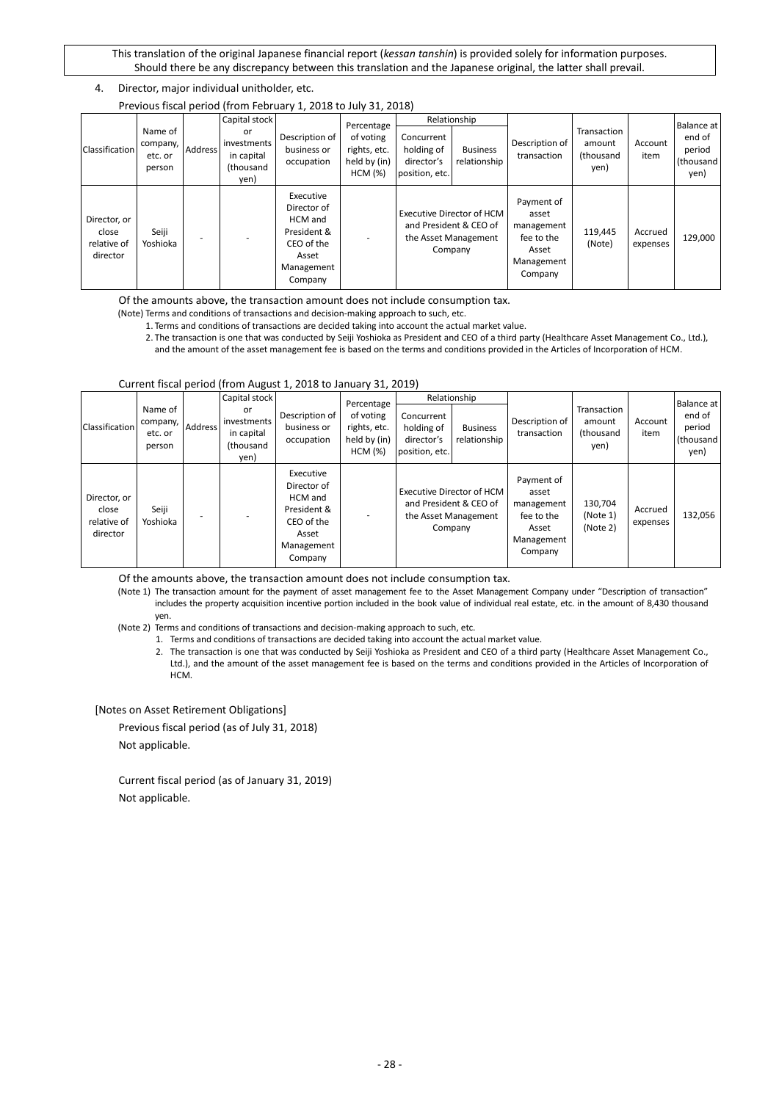## 4. Director, major individual unitholder, etc.

|                                                  |                                          |         |                                                      | Previous fiscal period (from February 1, 2018 to July 31, 2018)                                    |                                                      |                                                          |                                                                                               |                                                                                   |                                                    |                     |                                       |
|--------------------------------------------------|------------------------------------------|---------|------------------------------------------------------|----------------------------------------------------------------------------------------------------|------------------------------------------------------|----------------------------------------------------------|-----------------------------------------------------------------------------------------------|-----------------------------------------------------------------------------------|----------------------------------------------------|---------------------|---------------------------------------|
|                                                  |                                          |         | Capital stock                                        |                                                                                                    | Percentage                                           |                                                          | Relationship                                                                                  |                                                                                   |                                                    |                     | Balance at                            |
| Classification                                   | Name of<br>company,<br>etc. or<br>person | Address | or<br>investments<br>in capital<br>(thousand<br>yen) | Description of<br>business or<br>occupation                                                        | of voting<br>rights, etc.<br>held by (in)<br>HCM (%) | Concurrent<br>holding of<br>director's<br>position, etc. | <b>Business</b><br>relationship                                                               | Description of<br>transaction                                                     | Transaction<br>amount<br><i>(thousand)</i><br>yen) | Account<br>item     | end of<br>period<br>(thousand<br>yen) |
| Director, or<br>close<br>relative of<br>director | Seiji<br>Yoshioka                        |         |                                                      | Executive<br>Director of<br>HCM and<br>President &<br>CEO of the<br>Asset<br>Management<br>Company |                                                      |                                                          | <b>Executive Director of HCM</b><br>and President & CEO of<br>the Asset Management<br>Company | Payment of<br>asset<br>management<br>fee to the<br>Asset<br>Management<br>Company | 119,445<br>(Note)                                  | Accrued<br>expenses | 129,000                               |

Of the amounts above, the transaction amount does not include consumption tax.

(Note) Terms and conditions of transactions and decision-making approach to such, etc.

1. Terms and conditions of transactions are decided taking into account the actual market value.

2. The transaction is one that was conducted by Seiji Yoshioka as President and CEO of a third party (Healthcare Asset Management Co., Ltd.),

and the amount of the asset management fee is based on the terms and conditions provided in the Articles of Incorporation of HCM.

#### Current fiscal period (from August 1, 2018 to January 31, 2019)

|                                                  |                                          |                | Capital stock                                        |                                                                                                    | Percentage                                           |                                                          | Relationship                                                                           |                                                                                   |                                            |                     | Balance at                             |
|--------------------------------------------------|------------------------------------------|----------------|------------------------------------------------------|----------------------------------------------------------------------------------------------------|------------------------------------------------------|----------------------------------------------------------|----------------------------------------------------------------------------------------|-----------------------------------------------------------------------------------|--------------------------------------------|---------------------|----------------------------------------|
| Classification                                   | Name of<br>company,<br>etc. or<br>person | <b>Address</b> | or<br>investments<br>in capital<br>(thousand<br>yen) | Description of<br>business or<br>occupation                                                        | of voting<br>rights, etc.<br>held by (in)<br>HCM (%) | Concurrent<br>holding of<br>director's<br>position, etc. | <b>Business</b><br>relationship                                                        | Description of<br>transaction                                                     | Transaction<br>amount<br>(thousand<br>yen) | Account<br>item     | end of<br>period<br>(thousand)<br>yen) |
| Director, or<br>close<br>relative of<br>director | Seiji<br>Yoshioka                        |                |                                                      | Executive<br>Director of<br>HCM and<br>President &<br>CEO of the<br>Asset<br>Management<br>Company |                                                      |                                                          | Executive Director of HCM<br>and President & CEO of<br>the Asset Management<br>Company | Payment of<br>asset<br>management<br>fee to the<br>Asset<br>Management<br>Company | 130,704<br>(Note 1)<br>(Note 2)            | Accrued<br>expenses | 132,056                                |

Of the amounts above, the transaction amount does not include consumption tax.

(Note 1) The transaction amount for the payment of asset management fee to the Asset Management Company under "Description of transaction" includes the property acquisition incentive portion included in the book value of individual real estate, etc. in the amount of 8,430 thousand yen.

(Note 2) Terms and conditions of transactions and decision-making approach to such, etc.

1. Terms and conditions of transactions are decided taking into account the actual market value.

2. The transaction is one that was conducted by Seiji Yoshioka as President and CEO of a third party (Healthcare Asset Management Co., Ltd.), and the amount of the asset management fee is based on the terms and conditions provided in the Articles of Incorporation of HCM.

[Notes on Asset Retirement Obligations]

Previous fiscal period (as of July 31, 2018) Not applicable.

Current fiscal period (as of January 31, 2019) Not applicable.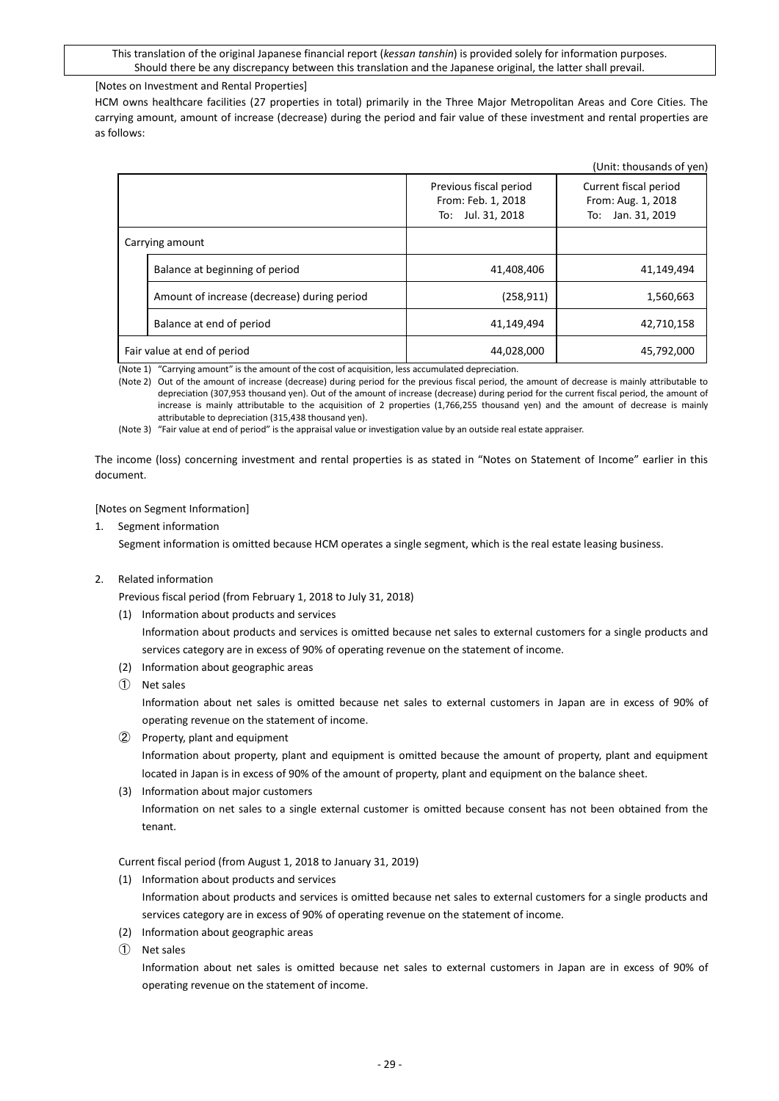### [Notes on Investment and Rental Properties]

HCM owns healthcare facilities (27 properties in total) primarily in the Three Major Metropolitan Areas and Core Cities. The carrying amount, amount of increase (decrease) during the period and fair value of these investment and rental properties are as follows:

|                                             |                                                                   | (Unit: thousands of yen)                                            |
|---------------------------------------------|-------------------------------------------------------------------|---------------------------------------------------------------------|
|                                             | Previous fiscal period<br>From: Feb. 1, 2018<br>To: Jul. 31, 2018 | Current fiscal period<br>From: Aug. 1, 2018<br>Jan. 31, 2019<br>To: |
| Carrying amount                             |                                                                   |                                                                     |
| Balance at beginning of period              | 41,408,406                                                        | 41,149,494                                                          |
| Amount of increase (decrease) during period | (258, 911)                                                        | 1,560,663                                                           |
| Balance at end of period                    | 41,149,494                                                        | 42,710,158                                                          |
| Fair value at end of period                 | 44,028,000                                                        | 45,792,000                                                          |

(Note 1) "Carrying amount" is the amount of the cost of acquisition, less accumulated depreciation.

(Note 2) Out of the amount of increase (decrease) during period for the previous fiscal period, the amount of decrease is mainly attributable to depreciation (307,953 thousand yen). Out of the amount of increase (decrease) during period for the current fiscal period, the amount of increase is mainly attributable to the acquisition of 2 properties (1,766,255 thousand yen) and the amount of decrease is mainly attributable to depreciation (315,438 thousand yen).

(Note 3) "Fair value at end of period" is the appraisal value or investigation value by an outside real estate appraiser.

The income (loss) concerning investment and rental properties is as stated in "Notes on Statement of Income" earlier in this document.

#### [Notes on Segment Information]

1. Segment information

Segment information is omitted because HCM operates a single segment, which is the real estate leasing business.

2. Related information

Previous fiscal period (from February 1, 2018 to July 31, 2018)

(1) Information about products and services

Information about products and services is omitted because net sales to external customers for a single products and services category are in excess of 90% of operating revenue on the statement of income.

- (2) Information about geographic areas
- ➀ Net sales

Information about net sales is omitted because net sales to external customers in Japan are in excess of 90% of operating revenue on the statement of income.

- ➁ Property, plant and equipment Information about property, plant and equipment is omitted because the amount of property, plant and equipment located in Japan is in excess of 90% of the amount of property, plant and equipment on the balance sheet.
- (3) Information about major customers Information on net sales to a single external customer is omitted because consent has not been obtained from the tenant.

Current fiscal period (from August 1, 2018 to January 31, 2019)

(1) Information about products and services

Information about products and services is omitted because net sales to external customers for a single products and services category are in excess of 90% of operating revenue on the statement of income.

- (2) Information about geographic areas
- ➀ Net sales

Information about net sales is omitted because net sales to external customers in Japan are in excess of 90% of operating revenue on the statement of income.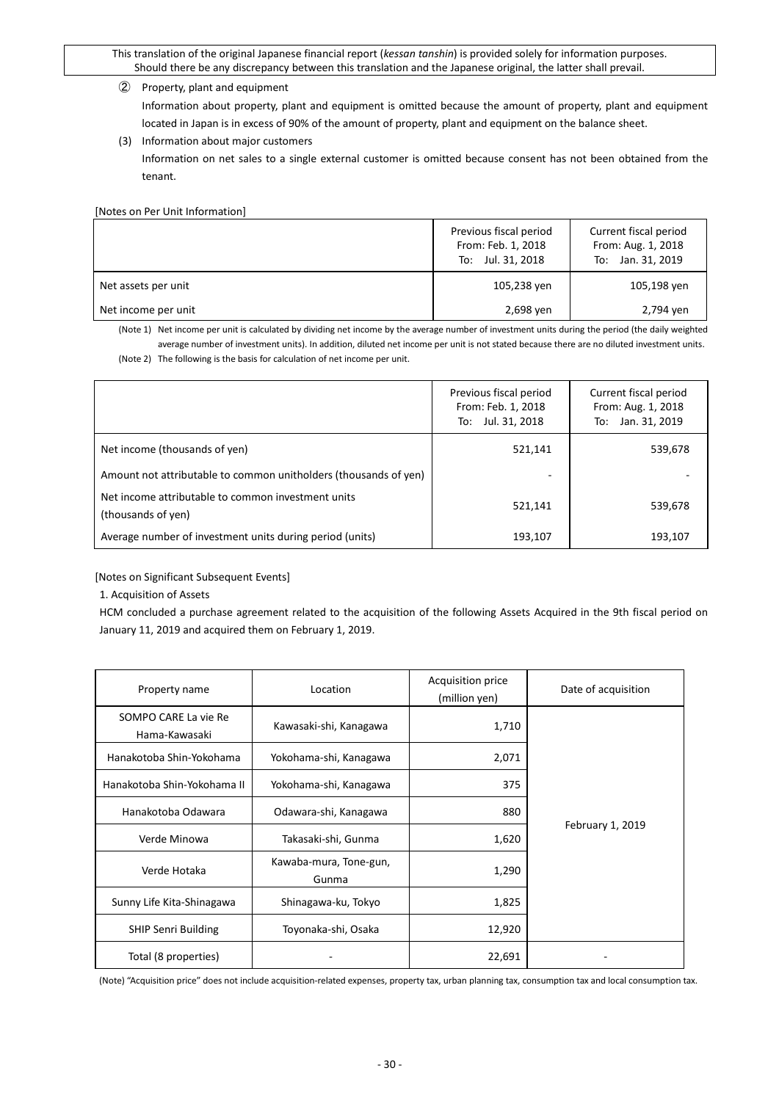### ➁ Property, plant and equipment

Information about property, plant and equipment is omitted because the amount of property, plant and equipment located in Japan is in excess of 90% of the amount of property, plant and equipment on the balance sheet.

(3) Information about major customers

Information on net sales to a single external customer is omitted because consent has not been obtained from the tenant.

[Notes on Per Unit Information]

|                     | Previous fiscal period<br>From: Feb. 1, 2018<br>To: Jul. 31, 2018 | Current fiscal period<br>From: Aug. 1, 2018<br>To: Jan. 31, 2019 |
|---------------------|-------------------------------------------------------------------|------------------------------------------------------------------|
| Net assets per unit | 105,238 yen                                                       | 105,198 yen                                                      |
| Net income per unit | 2,698 ven                                                         | 2,794 yen                                                        |

(Note 1) Net income per unit is calculated by dividing net income by the average number of investment units during the period (the daily weighted average number of investment units). In addition, diluted net income per unit is not stated because there are no diluted investment units. (Note 2) The following is the basis for calculation of net income per unit.

|                                                                          | Previous fiscal period<br>From: Feb. 1, 2018<br>To: Jul. 31, 2018 | Current fiscal period<br>From: Aug. 1, 2018<br>Jan. 31, 2019<br>To: |
|--------------------------------------------------------------------------|-------------------------------------------------------------------|---------------------------------------------------------------------|
| Net income (thousands of yen)                                            | 521,141                                                           | 539,678                                                             |
| Amount not attributable to common unitholders (thousands of yen)         |                                                                   |                                                                     |
| Net income attributable to common investment units<br>(thousands of yen) | 521,141                                                           | 539,678                                                             |
| Average number of investment units during period (units)                 | 193,107                                                           | 193,107                                                             |

[Notes on Significant Subsequent Events]

1. Acquisition of Assets

HCM concluded a purchase agreement related to the acquisition of the following Assets Acquired in the 9th fiscal period on January 11, 2019 and acquired them on February 1, 2019.

| Property name                         | Location                        | Acquisition price<br>(million yen) | Date of acquisition |
|---------------------------------------|---------------------------------|------------------------------------|---------------------|
| SOMPO CARE La vie Re<br>Hama-Kawasaki | Kawasaki-shi, Kanagawa          | 1,710                              |                     |
| Hanakotoba Shin-Yokohama              | Yokohama-shi, Kanagawa          | 2,071                              |                     |
| Hanakotoba Shin-Yokohama II           | Yokohama-shi, Kanagawa          | 375                                |                     |
| Hanakotoba Odawara                    | Odawara-shi, Kanagawa           | 880                                |                     |
| Verde Minowa                          | Takasaki-shi, Gunma             | 1,620                              | February 1, 2019    |
| Verde Hotaka                          | Kawaba-mura, Tone-gun,<br>Gunma | 1,290                              |                     |
| Sunny Life Kita-Shinagawa             | Shinagawa-ku, Tokyo             | 1,825                              |                     |
| <b>SHIP Senri Building</b>            | Toyonaka-shi, Osaka             | 12,920                             |                     |
| Total (8 properties)                  |                                 | 22,691                             |                     |

(Note) "Acquisition price" does not include acquisition-related expenses, property tax, urban planning tax, consumption tax and local consumption tax.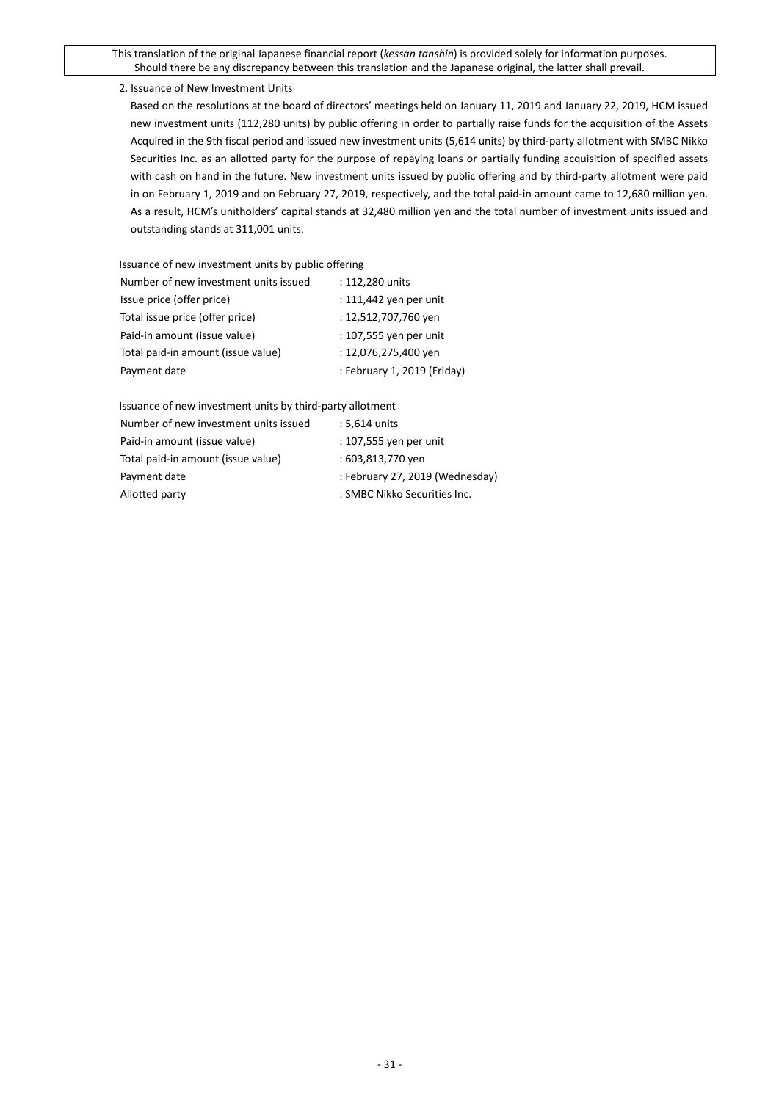2. Issuance of New Investment Units

Based on the resolutions at the board of directors' meetings held on January 11, 2019 and January 22, 2019, HCM issued new investment units (112,280 units) by public offering in order to partially raise funds for the acquisition of the Assets Acquired in the 9th fiscal period and issued new investment units (5,614 units) by third-party allotment with SMBC Nikko Securities Inc. as an allotted party for the purpose of repaying loans or partially funding acquisition of specified assets with cash on hand in the future. New investment units issued by public offering and by third-party allotment were paid in on February 1, 2019 and on February 27, 2019, respectively, and the total paid-in amount came to 12,680 million yen. As a result, HCM's unitholders' capital stands at 32,480 million yen and the total number of investment units issued and outstanding stands at 311,001 units.

Issuance of new investment units by public offering

| Number of new investment units issued | : 112,280 units             |
|---------------------------------------|-----------------------------|
| Issue price (offer price)             | : 111,442 yen per unit      |
| Total issue price (offer price)       | : 12,512,707,760 yen        |
| Paid-in amount (issue value)          | : 107,555 yen per unit      |
| Total paid-in amount (issue value)    | : 12,076,275,400 yen        |
| Payment date                          | : February 1, 2019 (Friday) |
|                                       |                             |

Issuance of new investment units by third-party allotment

| Number of new investment units issued | : 5,614 units                   |
|---------------------------------------|---------------------------------|
| Paid-in amount (issue value)          | : 107,555 yen per unit          |
| Total paid-in amount (issue value)    | : 603,813,770 yen               |
| Payment date                          | : February 27, 2019 (Wednesday) |
| Allotted party                        | : SMBC Nikko Securities Inc.    |
|                                       |                                 |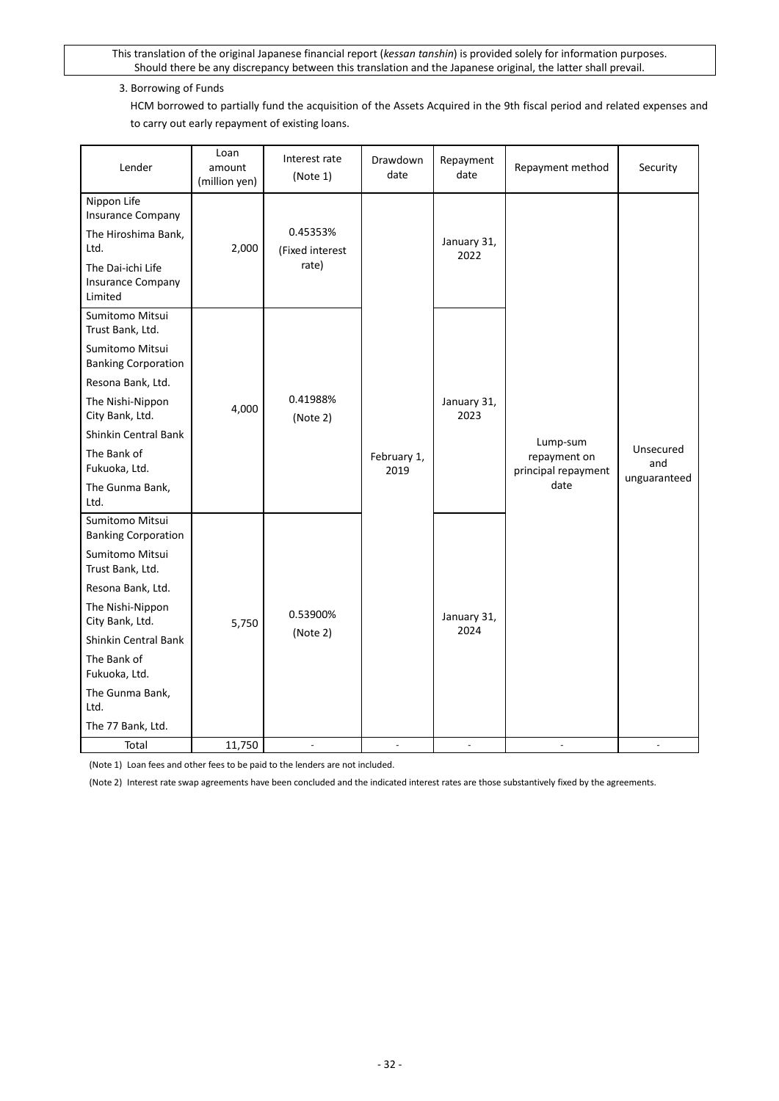# 3. Borrowing of Funds

HCM borrowed to partially fund the acquisition of the Assets Acquired in the 9th fiscal period and related expenses and to carry out early repayment of existing loans.

| Lender                                                                                                                                                                                                                                                   | Loan<br>amount<br>(million yen) | Interest rate<br>(Note 1)            | Drawdown<br>date    | Repayment<br>date   | Repayment method                                        | Security                         |
|----------------------------------------------------------------------------------------------------------------------------------------------------------------------------------------------------------------------------------------------------------|---------------------------------|--------------------------------------|---------------------|---------------------|---------------------------------------------------------|----------------------------------|
| Nippon Life<br><b>Insurance Company</b><br>The Hiroshima Bank,<br>Ltd.<br>The Dai-ichi Life<br><b>Insurance Company</b><br>Limited                                                                                                                       | 2,000                           | 0.45353%<br>(Fixed interest<br>rate) |                     | January 31,<br>2022 |                                                         |                                  |
| Sumitomo Mitsui<br>Trust Bank, Ltd.<br>Sumitomo Mitsui<br><b>Banking Corporation</b><br>Resona Bank, Ltd.<br>The Nishi-Nippon<br>City Bank, Ltd.<br>Shinkin Central Bank<br>The Bank of<br>Fukuoka, Ltd.<br>The Gunma Bank,<br>Ltd.                      | 4,000                           | 0.41988%<br>(Note 2)                 | February 1,<br>2019 | January 31,<br>2023 | Lump-sum<br>repayment on<br>principal repayment<br>date | Unsecured<br>and<br>unguaranteed |
| Sumitomo Mitsui<br><b>Banking Corporation</b><br>Sumitomo Mitsui<br>Trust Bank, Ltd.<br>Resona Bank, Ltd.<br>The Nishi-Nippon<br>City Bank, Ltd.<br>Shinkin Central Bank<br>The Bank of<br>Fukuoka, Ltd.<br>The Gunma Bank,<br>Ltd.<br>The 77 Bank, Ltd. | 5,750                           | 0.53900%<br>(Note 2)                 |                     | January 31,<br>2024 |                                                         |                                  |
| Total                                                                                                                                                                                                                                                    | 11,750                          | ×.                                   |                     | ÷                   | ä,                                                      |                                  |

(Note 1) Loan fees and other fees to be paid to the lenders are not included.

(Note 2) Interest rate swap agreements have been concluded and the indicated interest rates are those substantively fixed by the agreements.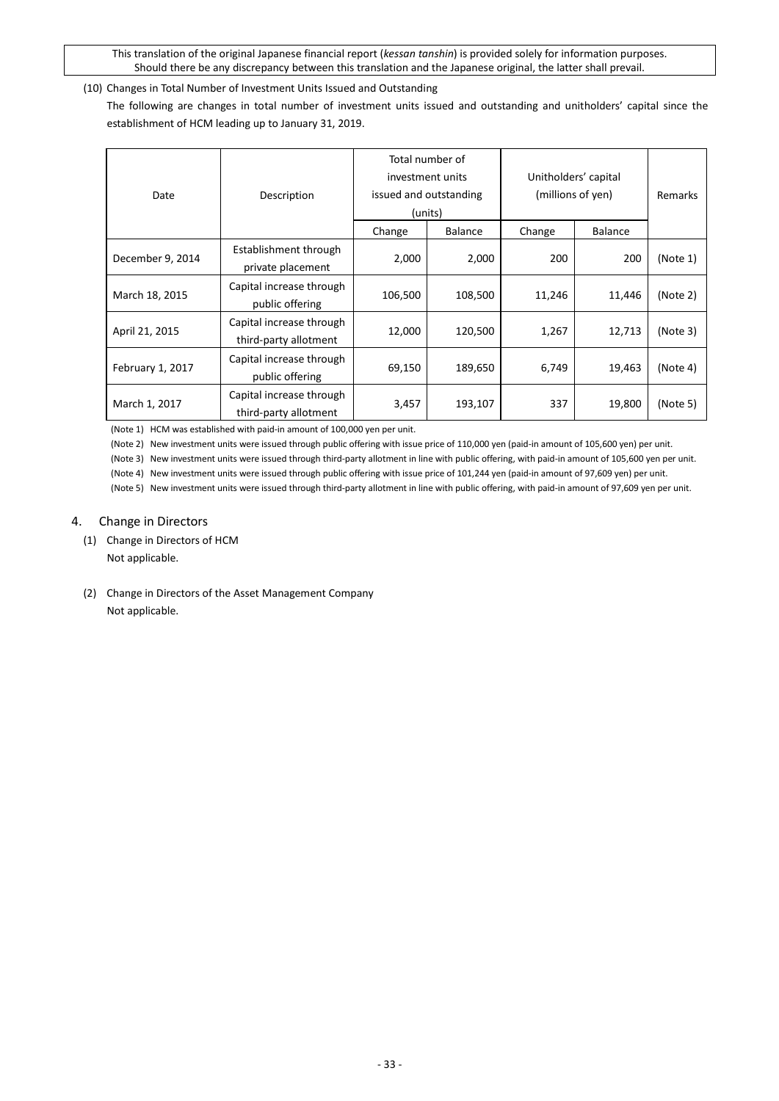# <span id="page-32-0"></span>(10) Changes in Total Number of Investment Units Issued and Outstanding

The following are changes in total number of investment units issued and outstanding and unitholders' capital since the establishment of HCM leading up to January 31, 2019.

| Date             | Description                                       | Total number of<br>investment units<br>issued and outstanding<br>(units) |                | Unitholders' capital<br>(millions of yen) | Remarks        |          |
|------------------|---------------------------------------------------|--------------------------------------------------------------------------|----------------|-------------------------------------------|----------------|----------|
|                  |                                                   | Change                                                                   | <b>Balance</b> | Change                                    | <b>Balance</b> |          |
| December 9, 2014 | Establishment through<br>private placement        | 2,000                                                                    | 2,000          | 200                                       | 200            | (Note 1) |
| March 18, 2015   | Capital increase through<br>public offering       | 106,500                                                                  | 108,500        | 11,246                                    | 11,446         | (Note 2) |
| April 21, 2015   | Capital increase through<br>third-party allotment | 12,000                                                                   | 120,500        | 1,267                                     | 12,713         | (Note3)  |
| February 1, 2017 | Capital increase through<br>public offering       | 69,150                                                                   | 189,650        | 6,749                                     | 19,463         | (Note 4) |
| March 1, 2017    | Capital increase through<br>third-party allotment | 3,457                                                                    | 193,107        | 337                                       | 19,800         | (Note 5) |

(Note 1) HCM was established with paid-in amount of 100,000 yen per unit.

(Note 2) New investment units were issued through public offering with issue price of 110,000 yen (paid-in amount of 105,600 yen) per unit.

(Note 3) New investment units were issued through third-party allotment in line with public offering, with paid-in amount of 105,600 yen per unit.

(Note 4) New investment units were issued through public offering with issue price of 101,244 yen (paid-in amount of 97,609 yen) per unit.

(Note 5) New investment units were issued through third-party allotment in line with public offering, with paid-in amount of 97,609 yen per unit.

# <span id="page-32-1"></span>4. Change in Directors

- <span id="page-32-2"></span>(1) Change in Directors of HCM Not applicable.
- <span id="page-32-3"></span>(2) Change in Directors of the Asset Management Company Not applicable.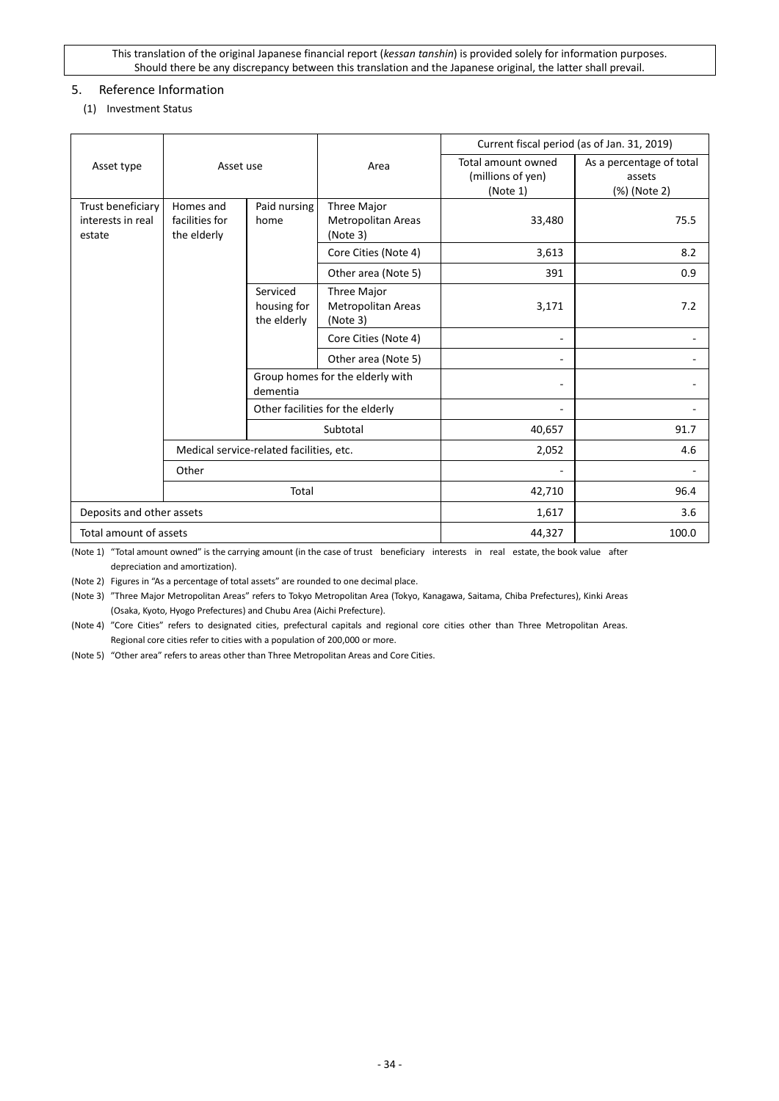# <span id="page-33-1"></span><span id="page-33-0"></span>5. Reference Information

## (1) Investment Status

|                                                  | Asset use                                                          |                                          |                                               | Current fiscal period (as of Jan. 31, 2019)         |                                                    |  |  |
|--------------------------------------------------|--------------------------------------------------------------------|------------------------------------------|-----------------------------------------------|-----------------------------------------------------|----------------------------------------------------|--|--|
| Asset type                                       |                                                                    |                                          | Area                                          | Total amount owned<br>(millions of yen)<br>(Note 1) | As a percentage of total<br>assets<br>(%) (Note 2) |  |  |
| Trust beneficiary<br>interests in real<br>estate | Homes and<br>Paid nursing<br>facilities for<br>home<br>the elderly |                                          | Three Major<br>Metropolitan Areas<br>(Note 3) | 33,480                                              | 75.5                                               |  |  |
|                                                  |                                                                    |                                          | Core Cities (Note 4)                          | 3,613                                               | 8.2                                                |  |  |
|                                                  |                                                                    |                                          | Other area (Note 5)                           | 391                                                 | 0.9                                                |  |  |
|                                                  |                                                                    | Serviced<br>housing for<br>the elderly   | Three Major<br>Metropolitan Areas<br>(Note 3) | 3,171                                               | 7.2                                                |  |  |
|                                                  |                                                                    |                                          | Core Cities (Note 4)                          |                                                     |                                                    |  |  |
|                                                  |                                                                    |                                          | Other area (Note 5)                           |                                                     |                                                    |  |  |
|                                                  |                                                                    | dementia                                 | Group homes for the elderly with              |                                                     |                                                    |  |  |
|                                                  |                                                                    |                                          | Other facilities for the elderly              |                                                     |                                                    |  |  |
|                                                  |                                                                    |                                          | Subtotal                                      | 40,657                                              | 91.7                                               |  |  |
|                                                  |                                                                    | Medical service-related facilities, etc. |                                               | 2,052                                               | 4.6                                                |  |  |
|                                                  | Other                                                              |                                          |                                               |                                                     |                                                    |  |  |
|                                                  |                                                                    | Total                                    |                                               | 42,710                                              | 96.4                                               |  |  |
| Deposits and other assets                        |                                                                    |                                          | 1,617                                         | 3.6                                                 |                                                    |  |  |
| Total amount of assets                           |                                                                    |                                          |                                               | 44,327                                              | 100.0                                              |  |  |

(Note 1) "Total amount owned" is the carrying amount (in the case of trust beneficiary interests in real estate, the book value after depreciation and amortization).

(Note 2) Figures in "As a percentage of total assets" are rounded to one decimal place.

(Note 3) "Three Major Metropolitan Areas" refers to Tokyo Metropolitan Area (Tokyo, Kanagawa, Saitama, Chiba Prefectures), Kinki Areas (Osaka, Kyoto, Hyogo Prefectures) and Chubu Area (Aichi Prefecture).

(Note 4) "Core Cities" refers to designated cities, prefectural capitals and regional core cities other than Three Metropolitan Areas. Regional core cities refer to cities with a population of 200,000 or more.

(Note 5) "Other area" refers to areas other than Three Metropolitan Areas and Core Cities.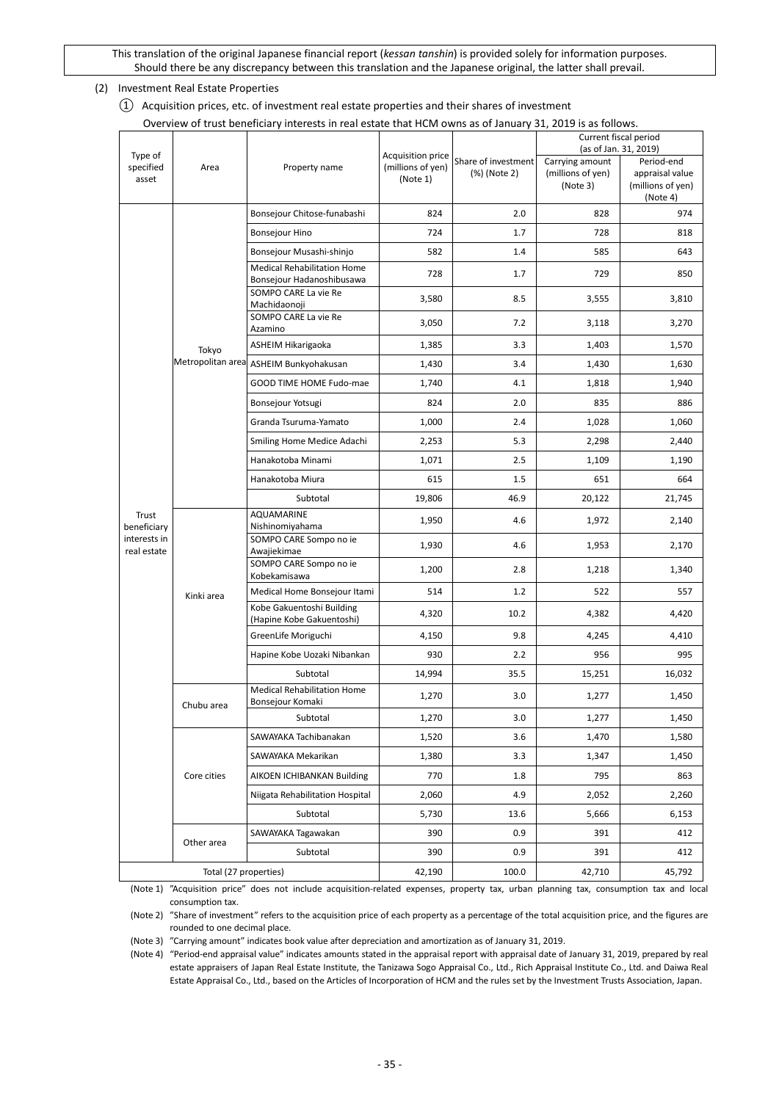<span id="page-34-1"></span><span id="page-34-0"></span>(2) Investment Real Estate Properties

① Acquisition prices, etc. of investment real estate properties and their shares of investment Overview of trust beneficiary interests in real estate that HCM owns as of January 31, 2019 is as follows.

|                               |                       | Overview of trust beneficiary interests in real estate that HCM owns as of January 31, 2019 is as follows. |                                                    |                                     |                                                  |                                                                |  |
|-------------------------------|-----------------------|------------------------------------------------------------------------------------------------------------|----------------------------------------------------|-------------------------------------|--------------------------------------------------|----------------------------------------------------------------|--|
|                               |                       |                                                                                                            |                                                    |                                     | Current fiscal period<br>(as of Jan. 31, 2019)   |                                                                |  |
| Type of<br>specified<br>asset | Area                  | Property name                                                                                              | Acquisition price<br>(millions of yen)<br>(Note 1) | Share of investment<br>(%) (Note 2) | Carrying amount<br>(millions of yen)<br>(Note 3) | Period-end<br>appraisal value<br>(millions of yen)<br>(Note 4) |  |
|                               |                       | Bonsejour Chitose-funabashi                                                                                | 824                                                | 2.0                                 | 828                                              | 974                                                            |  |
|                               |                       | <b>Bonsejour Hino</b>                                                                                      | 724                                                | 1.7                                 | 728                                              | 818                                                            |  |
|                               |                       | Bonsejour Musashi-shinjo                                                                                   | 582                                                | 1.4                                 | 585                                              | 643                                                            |  |
|                               |                       | <b>Medical Rehabilitation Home</b><br>Bonsejour Hadanoshibusawa                                            | 728                                                | 1.7                                 | 729                                              | 850                                                            |  |
|                               |                       | SOMPO CARE La vie Re<br>Machidaonoji                                                                       | 3,580                                              | 8.5                                 | 3,555                                            | 3,810                                                          |  |
|                               |                       | SOMPO CARE La vie Re<br>Azamino                                                                            | 3,050                                              | 7.2                                 | 3,118                                            | 3,270                                                          |  |
|                               | Tokyo                 | ASHEIM Hikarigaoka                                                                                         | 1,385                                              | 3.3                                 | 1,403                                            | 1,570                                                          |  |
|                               |                       | Metropolitan area ASHEIM Bunkyohakusan                                                                     | 1,430                                              | 3.4                                 | 1,430                                            | 1,630                                                          |  |
|                               |                       | GOOD TIME HOME Fudo-mae                                                                                    | 1,740                                              | 4.1                                 | 1,818                                            | 1,940                                                          |  |
|                               |                       | Bonsejour Yotsugi                                                                                          | 824                                                | 2.0                                 | 835                                              | 886                                                            |  |
|                               |                       | Granda Tsuruma-Yamato                                                                                      | 1,000                                              | 2.4                                 | 1,028                                            | 1,060                                                          |  |
|                               |                       | Smiling Home Medice Adachi                                                                                 | 2,253                                              | 5.3                                 | 2,298                                            | 2,440                                                          |  |
|                               |                       | Hanakotoba Minami                                                                                          | 1,071                                              | 2.5                                 | 1,109                                            | 1,190                                                          |  |
|                               |                       | Hanakotoba Miura                                                                                           | 615                                                | 1.5                                 | 651                                              | 664                                                            |  |
|                               |                       | Subtotal                                                                                                   | 19,806                                             | 46.9                                | 20,122                                           | 21,745                                                         |  |
| Trust<br>beneficiary          |                       | AQUAMARINE<br>Nishinomiyahama                                                                              | 1,950                                              | 4.6                                 | 1,972                                            | 2,140                                                          |  |
| interests in<br>real estate   |                       | SOMPO CARE Sompo no ie<br>Awajiekimae                                                                      | 1,930                                              | 4.6                                 | 1,953                                            | 2,170                                                          |  |
|                               |                       | SOMPO CARE Sompo no ie<br>Kobekamisawa                                                                     | 1,200                                              | 2.8                                 | 1,218                                            | 1,340                                                          |  |
|                               | Kinki area            | Medical Home Bonsejour Itami                                                                               | 514                                                | 1.2                                 | 522                                              | 557                                                            |  |
|                               |                       | Kobe Gakuentoshi Building<br>(Hapine Kobe Gakuentoshi)                                                     | 4,320                                              | 10.2                                | 4,382                                            | 4,420                                                          |  |
|                               |                       | GreenLife Moriguchi                                                                                        | 4,150                                              | 9.8                                 | 4,245                                            | 4,410                                                          |  |
|                               |                       | Hapine Kobe Uozaki Nibankan                                                                                | 930                                                | 2.2                                 | 956                                              | 995                                                            |  |
|                               |                       | Subtotal                                                                                                   | 14,994                                             | 35.5                                | 15,251                                           | 16,032                                                         |  |
|                               | Chubu area            | <b>Medical Rehabilitation Home</b><br>Bonsejour Komaki                                                     | 1,270                                              | 3.0                                 | 1,277                                            | 1,450                                                          |  |
|                               |                       | Subtotal                                                                                                   | 1,270                                              | 3.0                                 | 1,277                                            | 1,450                                                          |  |
|                               |                       | SAWAYAKA Tachibanakan                                                                                      | 1,520                                              | 3.6                                 | 1,470                                            | 1,580                                                          |  |
|                               |                       | SAWAYAKA Mekarikan                                                                                         | 1,380                                              | 3.3                                 | 1,347                                            | 1,450                                                          |  |
|                               | Core cities           | AIKOEN ICHIBANKAN Building                                                                                 | 770                                                | 1.8                                 | 795                                              | 863                                                            |  |
|                               |                       | Niigata Rehabilitation Hospital                                                                            | 2,060                                              | 4.9                                 | 2,052                                            | 2,260                                                          |  |
|                               |                       | Subtotal                                                                                                   | 5,730                                              | 13.6                                | 5,666                                            | 6,153                                                          |  |
|                               | Other area            | SAWAYAKA Tagawakan                                                                                         | 390                                                | 0.9                                 | 391                                              | 412                                                            |  |
|                               |                       | Subtotal                                                                                                   | 390                                                | 0.9                                 | 391                                              | 412                                                            |  |
|                               | Total (27 properties) |                                                                                                            | 42,190                                             | 100.0                               | 42,710                                           | 45,792                                                         |  |

(Note 1) "Acquisition price" does not include acquisition-related expenses, property tax, urban planning tax, consumption tax and local consumption tax.

(Note 2) "Share of investment" refers to the acquisition price of each property as a percentage of the total acquisition price, and the figures are rounded to one decimal place.

(Note 3) "Carrying amount" indicates book value after depreciation and amortization as of January 31, 2019.

(Note 4) "Period-end appraisal value" indicates amounts stated in the appraisal report with appraisal date of January 31, 2019, prepared by real estate appraisers of Japan Real Estate Institute, the Tanizawa Sogo Appraisal Co., Ltd., Rich Appraisal Institute Co., Ltd. and Daiwa Real Estate Appraisal Co., Ltd., based on the Articles of Incorporation of HCM and the rules set by the Investment Trusts Association, Japan.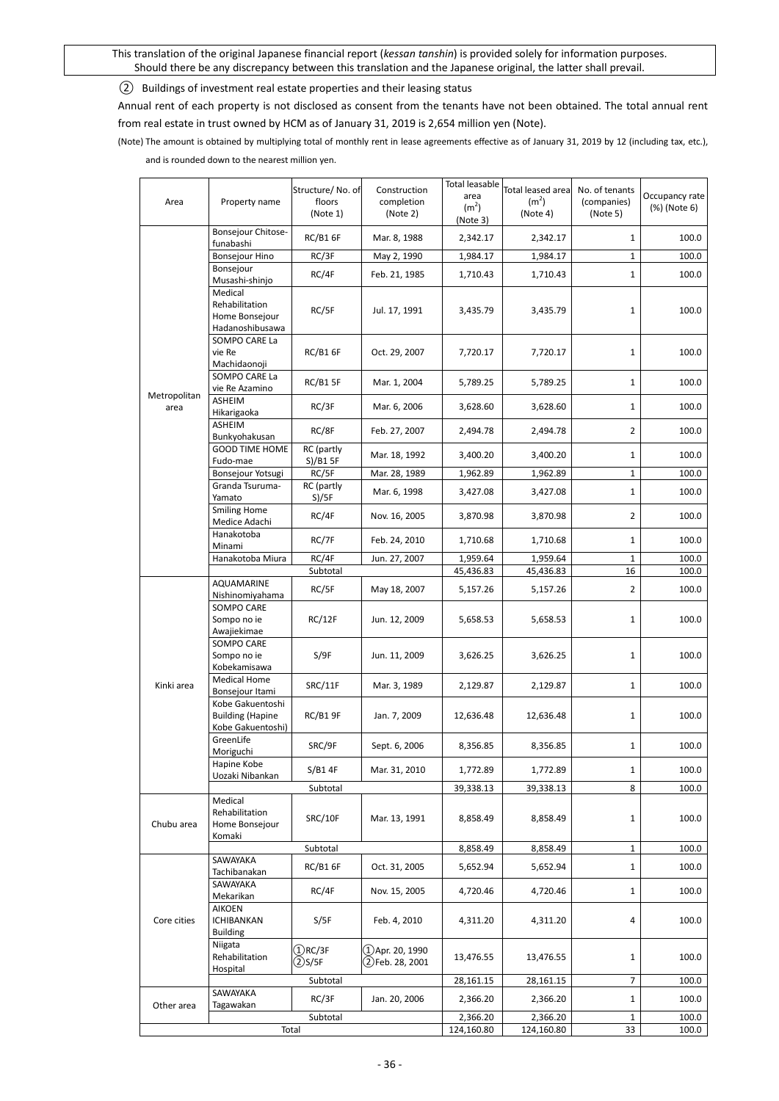<span id="page-35-0"></span>② Buildings of investment real estate properties and their leasing status

Annual rent of each property is not disclosed as consent from the tenants have not been obtained. The total annual rent from real estate in trust owned by HCM as of January 31, 2019 is 2,654 million yen (Note).

(Note) The amount is obtained by multiplying total of monthly rent in lease agreements effective as of January 31, 2019 by 12 (including tax, etc.), and is rounded down to the nearest million yen.

|              |                                             | Structure/No. of    | Construction        | Total leasable            | Total leased area     | No. of tenants<br>(companies) | Occupancy rate<br>(%) (Note 6) |  |
|--------------|---------------------------------------------|---------------------|---------------------|---------------------------|-----------------------|-------------------------------|--------------------------------|--|
| Area         | Property name                               | floors              | completion          | area<br>(m <sup>2</sup> ) | (m <sup>2</sup> )     |                               |                                |  |
|              |                                             | (Note 1)            | (Note 2)            | (Note 3)                  | (Note 4)              | (Note 5)                      |                                |  |
|              | Bonsejour Chitose-<br>funabashi             | <b>RC/B1 6F</b>     | Mar. 8, 1988        | 2,342.17                  | 2,342.17              | 1                             | 100.0                          |  |
|              | Bonsejour Hino                              | RC/3F               | May 2, 1990         | 1,984.17                  | 1,984.17              | $\mathbf{1}$                  | 100.0                          |  |
|              | Bonsejour                                   | RC/4F               | Feb. 21, 1985       | 1,710.43                  | 1,710.43              | $\mathbf{1}$                  | 100.0                          |  |
|              | Musashi-shinjo<br>Medical                   |                     |                     |                           |                       |                               |                                |  |
|              | Rehabilitation                              |                     |                     |                           |                       |                               |                                |  |
|              | Home Bonsejour                              | RC/5F               | Jul. 17, 1991       | 3,435.79                  | 3,435.79              | $\mathbf{1}$                  | 100.0                          |  |
|              | Hadanoshibusawa                             |                     |                     |                           |                       |                               |                                |  |
|              | SOMPO CARE La<br>vie Re                     | <b>RC/B1 6F</b>     | Oct. 29, 2007       | 7,720.17                  | 7,720.17              | 1                             | 100.0                          |  |
|              | Machidaonoji                                |                     |                     |                           |                       |                               |                                |  |
|              | SOMPO CARE La                               | <b>RC/B1 5F</b>     | Mar. 1, 2004        | 5,789.25                  | 5,789.25              | $\mathbf{1}$                  | 100.0                          |  |
| Metropolitan | vie Re Azamino<br>ASHEIM                    |                     |                     |                           |                       |                               |                                |  |
| area         | Hikarigaoka                                 | RC/3F               | Mar. 6, 2006        | 3,628.60                  | 3,628.60              | $\mathbf{1}$                  | 100.0                          |  |
|              | <b>ASHEIM</b><br>Bunkyohakusan              | RC/8F               | Feb. 27, 2007       | 2,494.78                  | 2,494.78              | $\overline{2}$                | 100.0                          |  |
|              | <b>GOOD TIME HOME</b>                       | RC (partly          |                     |                           |                       |                               |                                |  |
|              | Fudo-mae                                    | S)/B15F             | Mar. 18, 1992       | 3,400.20                  | 3,400.20              | $\mathbf{1}$                  | 100.0                          |  |
|              | Bonsejour Yotsugi<br>Granda Tsuruma-        | RC/5F<br>RC (partly | Mar. 28, 1989       | 1,962.89                  | 1,962.89              | $\mathbf{1}$                  | 100.0                          |  |
|              | Yamato                                      | S)/5F               | Mar. 6, 1998        | 3,427.08                  | 3,427.08              | $\mathbf{1}$                  | 100.0                          |  |
|              | <b>Smiling Home</b><br>Medice Adachi        | RC/4F               | Nov. 16, 2005       | 3,870.98                  | 3,870.98              | 2                             | 100.0                          |  |
|              | Hanakotoba                                  | RC/7F               | Feb. 24, 2010       | 1,710.68                  | 1,710.68              | $\mathbf{1}$                  | 100.0                          |  |
|              | Minami                                      | RC/4F               |                     |                           |                       |                               |                                |  |
|              | Hanakotoba Miura                            | Subtotal            | Jun. 27, 2007       | 1,959.64<br>45,436.83     | 1,959.64<br>45,436.83 | $\mathbf{1}$<br>16            | 100.0<br>100.0                 |  |
|              | <b>AQUAMARINE</b>                           | RC/5F               | May 18, 2007        | 5,157.26                  | 5,157.26              | 2                             | 100.0                          |  |
|              | Nishinomiyahama                             |                     |                     |                           |                       |                               |                                |  |
|              | <b>SOMPO CARE</b><br>Sompo no ie            | RC/12F              | Jun. 12, 2009       | 5,658.53                  | 5,658.53              | 1                             | 100.0                          |  |
|              | Awajiekimae                                 |                     |                     |                           |                       |                               |                                |  |
|              | SOMPO CARE                                  |                     | Jun. 11, 2009       |                           |                       |                               |                                |  |
|              | Sompo no ie<br>Kobekamisawa                 | S/9F                |                     | 3,626.25                  | 3,626.25              | $\mathbf{1}$                  | 100.0                          |  |
|              | <b>Medical Home</b>                         |                     |                     |                           |                       |                               | 100.0                          |  |
| Kinki area   | Bonsejour Itami                             | SRC/11F             | Mar. 3, 1989        | 2,129.87                  | 2,129.87              | $\mathbf{1}$                  |                                |  |
|              | Kobe Gakuentoshi<br><b>Building (Hapine</b> | <b>RC/B1 9F</b>     | Jan. 7, 2009        | 12,636.48                 | 12,636.48             | $\mathbf{1}$                  | 100.0                          |  |
|              | Kobe Gakuentoshi)                           |                     |                     |                           |                       |                               |                                |  |
|              | GreenLife                                   | SRC/9F              | Sept. 6, 2006       | 8,356.85                  | 8,356.85              | $\mathbf{1}$                  | 100.0                          |  |
|              | Moriguchi<br>Hapine Kobe                    |                     |                     |                           |                       |                               |                                |  |
|              | Uozaki Nibankan                             | S/B14F              | Mar. 31, 2010       | 1,772.89                  | 1,772.89              | $\mathbf{1}$                  | 100.0                          |  |
|              |                                             | Subtotal            |                     | 39,338.13                 | 39,338.13             | 8                             | 100.0                          |  |
|              | Medical<br>Rehabilitation                   |                     |                     |                           |                       |                               |                                |  |
| Chubu area   | Home Bonsejour                              | SRC/10F             | Mar. 13, 1991       | 8,858.49                  | 8,858.49              | 1                             | 100.0                          |  |
|              | Komaki                                      |                     |                     |                           |                       |                               |                                |  |
|              | SAWAYAKA                                    | Subtotal            |                     | 8,858.49                  | 8,858.49              | $\mathbf{1}$                  | 100.0                          |  |
|              | Tachibanakan                                | <b>RC/B1 6F</b>     | Oct. 31, 2005       | 5,652.94                  | 5,652.94              | $\mathbf{1}$                  | 100.0                          |  |
|              | SAWAYAKA                                    | RC/4F               | Nov. 15, 2005       | 4,720.46                  | 4,720.46              | $\mathbf{1}$                  | 100.0                          |  |
|              | Mekarikan<br>AIKOEN                         |                     |                     |                           |                       |                               |                                |  |
| Core cities  | ICHIBANKAN                                  | S/5F                | Feb. 4, 2010        | 4,311.20                  | 4,311.20              | 4                             | 100.0                          |  |
|              | <b>Building</b>                             |                     |                     |                           |                       |                               |                                |  |
|              | Niigata<br>Rehabilitation                   | $(1)$ RC/3F         | $(1)$ Apr. 20, 1990 | 13,476.55                 |                       | 1                             | 100.0                          |  |
|              | Hospital                                    | 2)S/5F              | 2)Feb. 28, 2001     |                           | 13,476.55             |                               |                                |  |
|              |                                             | Subtotal            |                     | 28,161.15                 | 28,161.15             | 7                             | 100.0                          |  |
| Other area   | SAWAYAKA<br>Tagawakan                       | RC/3F               | Jan. 20, 2006       | 2,366.20                  | 2,366.20              | $\mathbf{1}$                  | 100.0                          |  |
|              |                                             | Subtotal            |                     | 2,366.20                  | 2,366.20              | 1                             | 100.0                          |  |
|              |                                             | Total               |                     | 124,160.80                | 124,160.80            | 33                            | 100.0                          |  |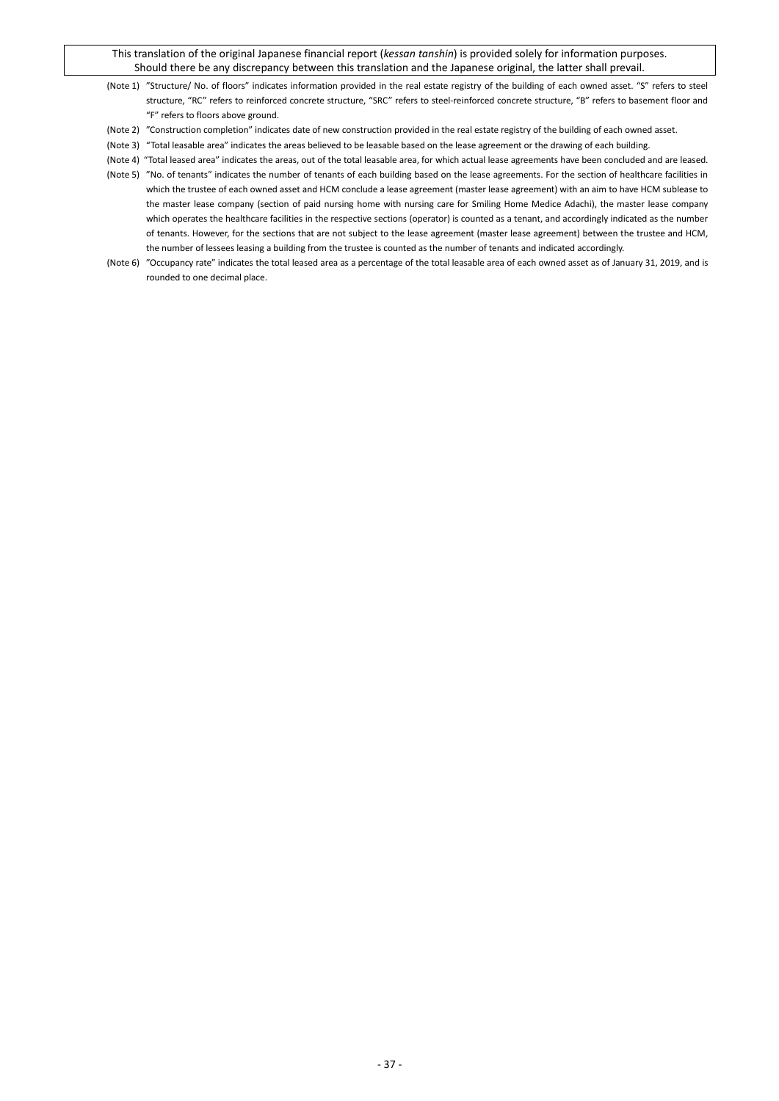- (Note 1) "Structure/ No. of floors" indicates information provided in the real estate registry of the building of each owned asset. "S" refers to steel structure, "RC" refers to reinforced concrete structure, "SRC" refers to steel-reinforced concrete structure, "B" refers to basement floor and "F" refers to floors above ground.
- (Note 2) "Construction completion" indicates date of new construction provided in the real estate registry of the building of each owned asset.
- (Note 3) "Total leasable area" indicates the areas believed to be leasable based on the lease agreement or the drawing of each building.
- (Note 4) "Total leased area" indicates the areas, out of the total leasable area, for which actual lease agreements have been concluded and are leased.
- (Note 5) "No. of tenants" indicates the number of tenants of each building based on the lease agreements. For the section of healthcare facilities in which the trustee of each owned asset and HCM conclude a lease agreement (master lease agreement) with an aim to have HCM sublease to the master lease company (section of paid nursing home with nursing care for Smiling Home Medice Adachi), the master lease company which operates the healthcare facilities in the respective sections (operator) is counted as a tenant, and accordingly indicated as the number of tenants. However, for the sections that are not subject to the lease agreement (master lease agreement) between the trustee and HCM, the number of lessees leasing a building from the trustee is counted as the number of tenants and indicated accordingly.
- (Note 6) "Occupancy rate" indicates the total leased area as a percentage of the total leasable area of each owned asset as of January 31, 2019, and is rounded to one decimal place.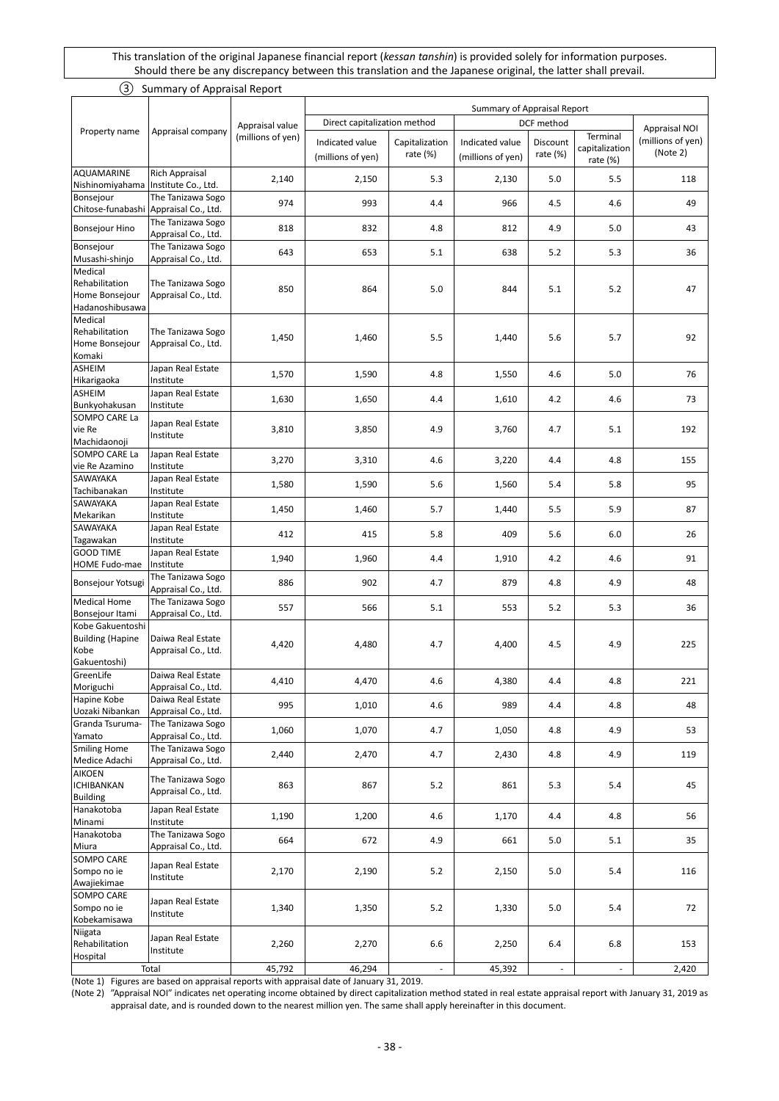<span id="page-37-0"></span>

| (3)                                                                 | Summary of Appraisal Report                  |                   |                                                             |                               |                                      |                             |                                           |                               |  |
|---------------------------------------------------------------------|----------------------------------------------|-------------------|-------------------------------------------------------------|-------------------------------|--------------------------------------|-----------------------------|-------------------------------------------|-------------------------------|--|
|                                                                     |                                              |                   |                                                             |                               |                                      | Summary of Appraisal Report |                                           |                               |  |
|                                                                     |                                              | Appraisal value   | Direct capitalization method<br>DCF method<br>Appraisal NOI |                               |                                      |                             |                                           |                               |  |
| Property name                                                       | Appraisal company                            | (millions of yen) | Indicated value<br>(millions of yen)                        | Capitalization<br>rate $(\%)$ | Indicated value<br>(millions of yen) | Discount<br>rate $(\%)$     | Terminal<br>capitalization<br>rate $(\%)$ | (millions of yen)<br>(Note 2) |  |
| AQUAMARINE<br>Nishinomiyahama                                       | <b>Rich Appraisal</b><br>Institute Co., Ltd. | 2,140             | 2,150                                                       | 5.3                           | 2,130                                | 5.0                         | 5.5                                       | 118                           |  |
| Bonsejour<br>Chitose-funabashi                                      | The Tanizawa Sogo<br>Appraisal Co., Ltd.     | 974               | 993                                                         | 4.4                           | 966                                  | 4.5                         | 4.6                                       | 49                            |  |
| <b>Bonsejour Hino</b>                                               | The Tanizawa Sogo<br>Appraisal Co., Ltd.     | 818               | 832                                                         | 4.8                           | 812                                  | 4.9                         | 5.0                                       | 43                            |  |
| Bonsejour<br>Musashi-shinjo                                         | The Tanizawa Sogo<br>Appraisal Co., Ltd.     | 643               | 653                                                         | 5.1                           | 638                                  | 5.2                         | 5.3                                       | 36                            |  |
| Medical<br>Rehabilitation<br>Home Bonsejour<br>Hadanoshibusawa      | The Tanizawa Sogo<br>Appraisal Co., Ltd.     | 850               | 864                                                         | 5.0                           | 844                                  | 5.1                         | 5.2                                       | 47                            |  |
| Medical<br>Rehabilitation<br>Home Bonsejour<br>Komaki               | The Tanizawa Sogo<br>Appraisal Co., Ltd.     | 1,450             | 1,460                                                       | 5.5                           | 1,440                                | 5.6                         | 5.7                                       | 92                            |  |
| ASHEIM<br>Hikarigaoka                                               | Japan Real Estate<br>Institute               | 1,570             | 1,590                                                       | 4.8                           | 1,550                                | 4.6                         | 5.0                                       | 76                            |  |
| ASHEIM<br>Bunkyohakusan                                             | Japan Real Estate<br>Institute               | 1,630             | 1,650                                                       | 4.4                           | 1,610                                | 4.2                         | 4.6                                       | 73                            |  |
| SOMPO CARE La<br>vie Re<br>Machidaonoji                             | Japan Real Estate<br>Institute               | 3,810             | 3,850                                                       | 4.9                           | 3,760                                | 4.7                         | 5.1                                       | 192                           |  |
| SOMPO CARE La<br>vie Re Azamino                                     | Japan Real Estate<br>Institute               | 3,270             | 3,310                                                       | 4.6                           | 3,220                                | 4.4                         | 4.8                                       | 155                           |  |
| SAWAYAKA<br>Tachibanakan                                            | Japan Real Estate<br>Institute               | 1,580             | 1,590                                                       | 5.6                           | 1,560                                | 5.4                         | 5.8                                       | 95                            |  |
| SAWAYAKA<br>Mekarikan                                               | Japan Real Estate<br>Institute               | 1,450             | 1,460                                                       | 5.7                           | 1,440                                | 5.5                         | 5.9                                       | 87                            |  |
| SAWAYAKA<br>Tagawakan                                               | Japan Real Estate<br>Institute               | 412               | 415                                                         | 5.8                           | 409                                  | 5.6                         | 6.0                                       | 26                            |  |
| <b>GOOD TIME</b><br>HOME Fudo-mae                                   | Japan Real Estate<br>Institute               | 1,940             | 1,960                                                       | 4.4                           | 1,910                                | 4.2                         | 4.6                                       | 91                            |  |
| Bonsejour Yotsugi                                                   | The Tanizawa Sogo<br>Appraisal Co., Ltd.     | 886               | 902                                                         | 4.7                           | 879                                  | 4.8                         | 4.9                                       | 48                            |  |
| <b>Medical Home</b><br>Bonsejour Itami                              | The Tanizawa Sogo<br>Appraisal Co., Ltd.     | 557               | 566                                                         | 5.1                           | 553                                  | 5.2                         | 5.3                                       | 36                            |  |
| Kobe Gakuentoshi<br><b>Building (Hapine</b><br>Kobe<br>Gakuentoshi) | Daiwa Real Estate<br>Appraisal Co., Ltd.     | 4,420             | 4,480                                                       | 4.7                           | 4,400                                | 4.5                         | 4.9                                       | 225                           |  |
| GreenLife<br>Moriguchi                                              | Daiwa Real Estate<br>Appraisal Co., Ltd.     | 4,410             | 4,470                                                       | 4.6                           | 4,380                                | 4.4                         | 4.8                                       | 221                           |  |
| Hapine Kobe<br>Uozaki Nibankan                                      | Daiwa Real Estate<br>Appraisal Co., Ltd.     | 995               | 1,010                                                       | 4.6                           | 989                                  | 4.4                         | 4.8                                       | 48                            |  |
| Granda Tsuruma-<br>Yamato                                           | The Tanizawa Sogo<br>Appraisal Co., Ltd.     | 1,060             | 1,070                                                       | 4.7                           | 1,050                                | 4.8                         | 4.9                                       | 53                            |  |
| <b>Smiling Home</b><br>Medice Adachi                                | The Tanizawa Sogo<br>Appraisal Co., Ltd.     | 2,440             | 2,470                                                       | 4.7                           | 2,430                                | 4.8                         | 4.9                                       | 119                           |  |
| AIKOEN<br><b>ICHIBANKAN</b><br><b>Building</b>                      | The Tanizawa Sogo<br>Appraisal Co., Ltd.     | 863               | 867                                                         | 5.2                           | 861                                  | 5.3                         | 5.4                                       | 45                            |  |
| Hanakotoba<br>Minami                                                | Japan Real Estate<br>Institute               | 1,190             | 1,200                                                       | 4.6                           | 1,170                                | 4.4                         | 4.8                                       | 56                            |  |
| Hanakotoba<br>Miura                                                 | The Tanizawa Sogo<br>Appraisal Co., Ltd.     | 664               | 672                                                         | 4.9                           | 661                                  | 5.0                         | 5.1                                       | 35                            |  |
| SOMPO CARE<br>Sompo no ie<br>Awajiekimae                            | Japan Real Estate<br>Institute               | 2,170             | 2,190                                                       | 5.2                           | 2,150                                | 5.0                         | 5.4                                       | 116                           |  |
| SOMPO CARE<br>Sompo no ie<br>Kobekamisawa                           | Japan Real Estate<br>Institute               | 1,340             | 1,350                                                       | 5.2                           | 1,330                                | 5.0                         | 5.4                                       | 72                            |  |
| Niigata<br>Rehabilitation<br>Hospital                               | Japan Real Estate<br>Institute               | 2,260             | 2,270                                                       | 6.6                           | 2,250                                | 6.4                         | 6.8                                       | 153                           |  |
|                                                                     | Total                                        | 45,792            | 46,294                                                      | $\sim$                        | 45,392                               | $\blacksquare$              | $\sim$                                    | 2,420                         |  |

(Note 1) Figures are based on appraisal reports with appraisal date of January 31, 2019.

(Note 2) "Appraisal NOI" indicates net operating income obtained by direct capitalization method stated in real estate appraisal report with January 31, 2019 as appraisal date, and is rounded down to the nearest million yen. The same shall apply hereinafter in this document.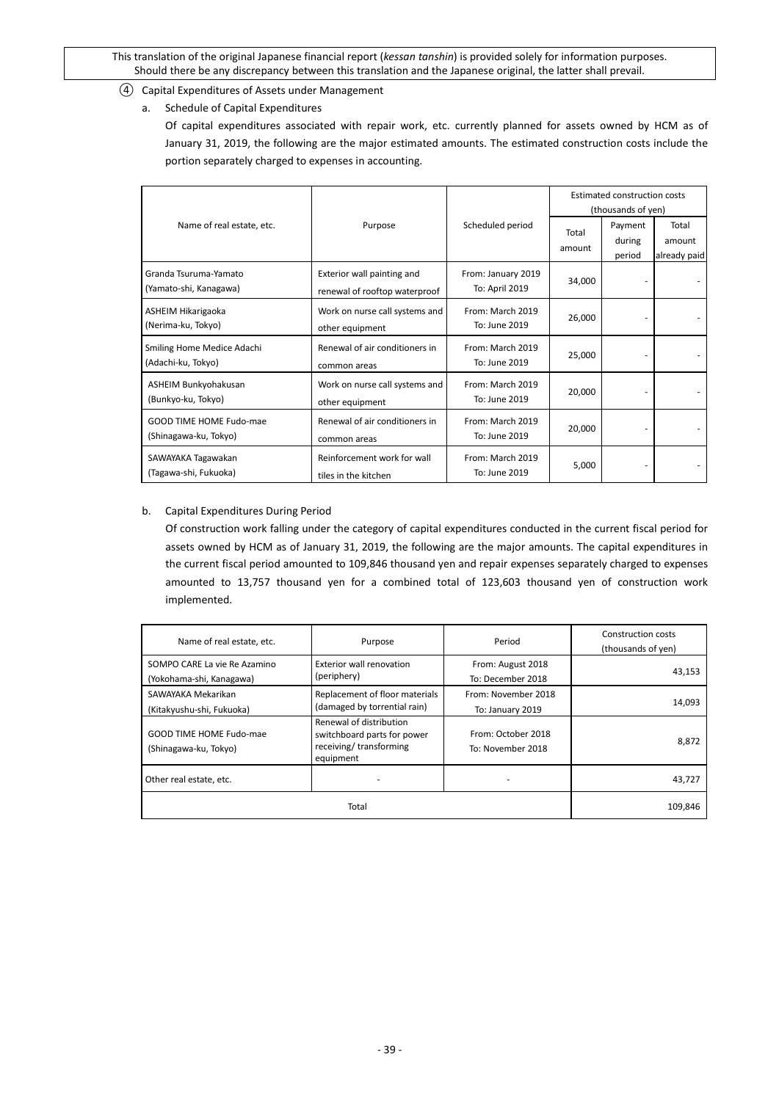- <span id="page-38-0"></span>④ Capital Expenditures of Assets under Management
	- a. Schedule of Capital Expenditures

Of capital expenditures associated with repair work, etc. currently planned for assets owned by HCM as of January 31, 2019, the following are the major estimated amounts. The estimated construction costs include the portion separately charged to expenses in accounting.

|                                                         |                                                             |                                      | Estimated construction costs<br>(thousands of yen) |                             |                                 |  |
|---------------------------------------------------------|-------------------------------------------------------------|--------------------------------------|----------------------------------------------------|-----------------------------|---------------------------------|--|
| Name of real estate, etc.                               | Purpose                                                     | Scheduled period                     | Total<br>amount                                    | Payment<br>during<br>period | Total<br>amount<br>already paid |  |
| Granda Tsuruma-Yamato<br>(Yamato-shi, Kanagawa)         | Exterior wall painting and<br>renewal of rooftop waterproof | From: January 2019<br>To: April 2019 | 34,000                                             |                             |                                 |  |
| ASHEIM Hikarigaoka<br>(Nerima-ku, Tokyo)                | Work on nurse call systems and<br>other equipment           | From: March 2019<br>To: June 2019    | 26,000                                             |                             |                                 |  |
| Smiling Home Medice Adachi<br>(Adachi-ku, Tokyo)        | Renewal of air conditioners in<br>common areas              | From: March 2019<br>To: June 2019    | 25,000                                             |                             |                                 |  |
| ASHEIM Bunkyohakusan<br>(Bunkyo-ku, Tokyo)              | Work on nurse call systems and<br>other equipment           | From: March 2019<br>To: June 2019    | 20,000                                             |                             |                                 |  |
| <b>GOOD TIME HOME Fudo-mae</b><br>(Shinagawa-ku, Tokyo) | Renewal of air conditioners in<br>common areas              | From: March 2019<br>To: June 2019    | 20,000                                             |                             |                                 |  |
| SAWAYAKA Tagawakan<br>(Tagawa-shi, Fukuoka)             | Reinforcement work for wall<br>tiles in the kitchen         | From: March 2019<br>To: June 2019    | 5,000                                              |                             |                                 |  |

# b. Capital Expenditures During Period

Of construction work falling under the category of capital expenditures conducted in the current fiscal period for assets owned by HCM as of January 31, 2019, the following are the major amounts. The capital expenditures in the current fiscal period amounted to 109,846 thousand yen and repair expenses separately charged to expenses amounted to 13,757 thousand yen for a combined total of 123,603 thousand yen of construction work implemented.

| Name of real estate, etc.                                | Purpose                                                                                       | Period                                  | Construction costs<br>(thousands of yen) |
|----------------------------------------------------------|-----------------------------------------------------------------------------------------------|-----------------------------------------|------------------------------------------|
| SOMPO CARE La vie Re Azamino<br>(Yokohama-shi, Kanagawa) | Exterior wall renovation<br>(periphery)                                                       | From: August 2018<br>To: December 2018  | 43,153                                   |
| SAWAYAKA Mekarikan<br>(Kitakyushu-shi, Fukuoka)          | Replacement of floor materials<br>(damaged by torrential rain)                                | From: November 2018<br>To: January 2019 | 14,093                                   |
| GOOD TIME HOME Fudo-mae<br>(Shinagawa-ku, Tokyo)         | Renewal of distribution<br>switchboard parts for power<br>receiving/transforming<br>equipment | From: October 2018<br>To: November 2018 | 8,872                                    |
| Other real estate, etc.                                  |                                                                                               |                                         | 43,727                                   |
|                                                          | Total                                                                                         |                                         | 109.846                                  |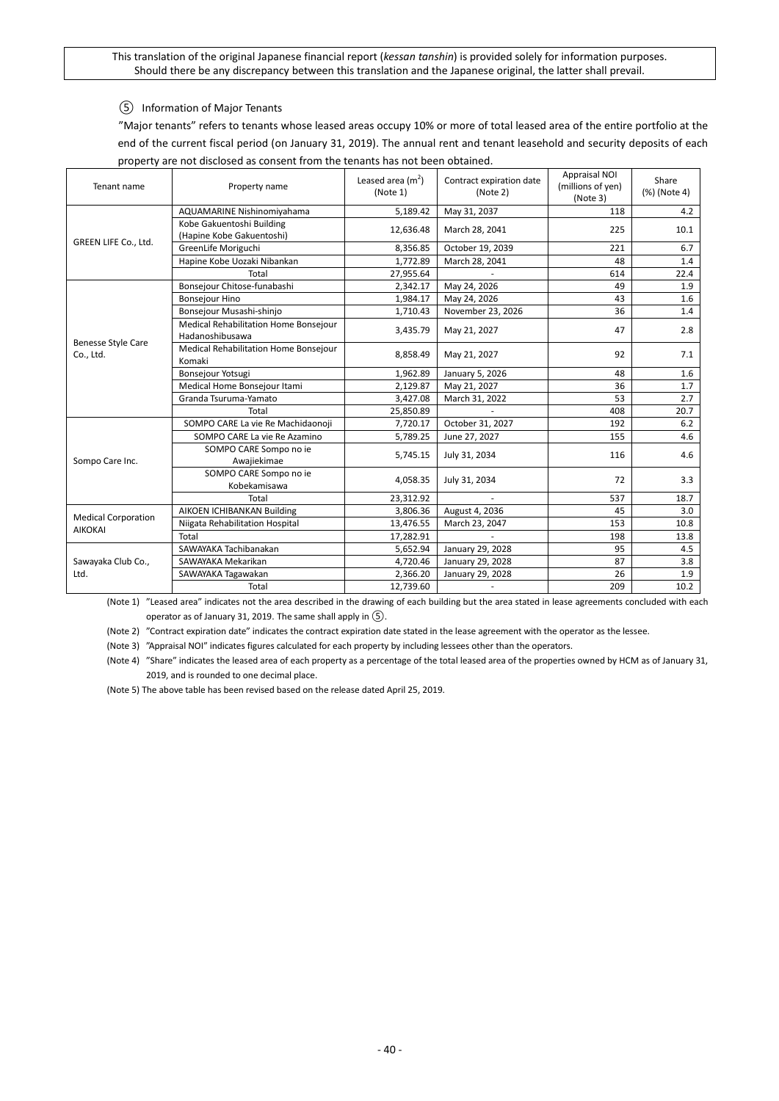# <span id="page-39-0"></span>⑤ Information of Major Tenants

"Major tenants" refers to tenants whose leased areas occupy 10% or more of total leased area of the entire portfolio at the end of the current fiscal period (on January 31, 2019). The annual rent and tenant leasehold and security deposits of each property are not disclosed as consent from the tenants has not been obtained.

| Leased area $(m2)$<br>Tenant name<br>Property name<br>(Note 1) |                                                          |           | Contract expiration date<br>(Note 2) | <b>Appraisal NOI</b><br>(millions of yen)<br>(Note 3) | Share<br>(%) (Note 4) |
|----------------------------------------------------------------|----------------------------------------------------------|-----------|--------------------------------------|-------------------------------------------------------|-----------------------|
|                                                                | AQUAMARINE Nishinomiyahama                               | 5,189.42  | May 31, 2037                         | 118                                                   | 4.2                   |
|                                                                | Kobe Gakuentoshi Building<br>(Hapine Kobe Gakuentoshi)   | 12.636.48 | March 28, 2041                       | 225                                                   | 10.1                  |
| GREEN LIFE Co., Ltd.                                           | GreenLife Moriguchi                                      | 8,356.85  | October 19, 2039                     | 221                                                   | 6.7                   |
|                                                                | Hapine Kobe Uozaki Nibankan                              | 1,772.89  | March 28, 2041                       | 48                                                    | 1.4                   |
|                                                                | Total                                                    | 27,955.64 |                                      | 614                                                   | 22.4                  |
|                                                                | Bonsejour Chitose-funabashi                              | 2,342.17  | May 24, 2026                         | 49                                                    | 1.9                   |
|                                                                | <b>Bonsejour Hino</b>                                    | 1,984.17  | May 24, 2026                         | 43                                                    | 1.6                   |
|                                                                | Bonsejour Musashi-shinjo                                 | 1,710.43  | November 23, 2026                    | 36                                                    | 1.4                   |
|                                                                | Medical Rehabilitation Home Bonsejour<br>Hadanoshibusawa | 3,435.79  | May 21, 2027                         | 47                                                    | 2.8                   |
| <b>Benesse Style Care</b><br>Co., Ltd.                         | Medical Rehabilitation Home Bonsejour<br>Komaki          | 8,858.49  | May 21, 2027                         | 92                                                    | 7.1                   |
|                                                                | Bonsejour Yotsugi                                        | 1,962.89  | January 5, 2026                      | 48                                                    | 1.6                   |
|                                                                | Medical Home Bonsejour Itami                             | 2,129.87  | May 21, 2027                         | 36                                                    | 1.7                   |
|                                                                | Granda Tsuruma-Yamato                                    | 3,427.08  | March 31, 2022                       | 53                                                    | 2.7                   |
|                                                                | Total                                                    | 25,850.89 |                                      | 408                                                   | 20.7                  |
|                                                                | SOMPO CARE La vie Re Machidaonoji                        | 7,720.17  | October 31, 2027                     | 192                                                   | 6.2                   |
|                                                                | SOMPO CARE La vie Re Azamino                             | 5,789.25  | June 27, 2027                        | 155                                                   | 4.6                   |
| Sompo Care Inc.                                                | SOMPO CARE Sompo no ie<br>Awajiekimae                    | 5,745.15  | July 31, 2034                        | 116                                                   | 4.6                   |
|                                                                | SOMPO CARE Sompo no ie<br>Kobekamisawa                   | 4,058.35  | July 31, 2034                        | 72                                                    | 3.3                   |
|                                                                | Total                                                    | 23,312.92 |                                      | 537                                                   | 18.7                  |
| <b>Medical Corporation</b>                                     | AIKOEN ICHIBANKAN Building                               | 3,806.36  | August 4, 2036                       | 45                                                    | 3.0                   |
|                                                                | Niigata Rehabilitation Hospital                          | 13,476.55 | March 23, 2047                       | 153                                                   | 10.8                  |
| <b>AIKOKAI</b>                                                 | Total                                                    | 17,282.91 |                                      | 198                                                   | 13.8                  |
|                                                                | SAWAYAKA Tachibanakan                                    | 5,652.94  | January 29, 2028                     | 95                                                    | 4.5                   |
| Sawayaka Club Co.,                                             | SAWAYAKA Mekarikan                                       | 4,720.46  | January 29, 2028                     | 87                                                    | 3.8                   |
| Ltd.                                                           | SAWAYAKA Tagawakan                                       | 2,366.20  | January 29, 2028                     | 26                                                    | 1.9                   |
|                                                                | Total                                                    | 12,739.60 | ٠                                    | 209                                                   | 10.2                  |

(Note 1) "Leased area" indicates not the area described in the drawing of each building but the area stated in lease agreements concluded with each operator as of January 31, 2019. The same shall apply in ⑤.

(Note 2) "Contract expiration date" indicates the contract expiration date stated in the lease agreement with the operator as the lessee.

(Note 3) "Appraisal NOI" indicates figures calculated for each property by including lessees other than the operators.

(Note 4) "Share" indicates the leased area of each property as a percentage of the total leased area of the properties owned by HCM as of January 31, 2019, and is rounded to one decimal place.

(Note 5) The above table has been revised based on the release dated April 25, 2019.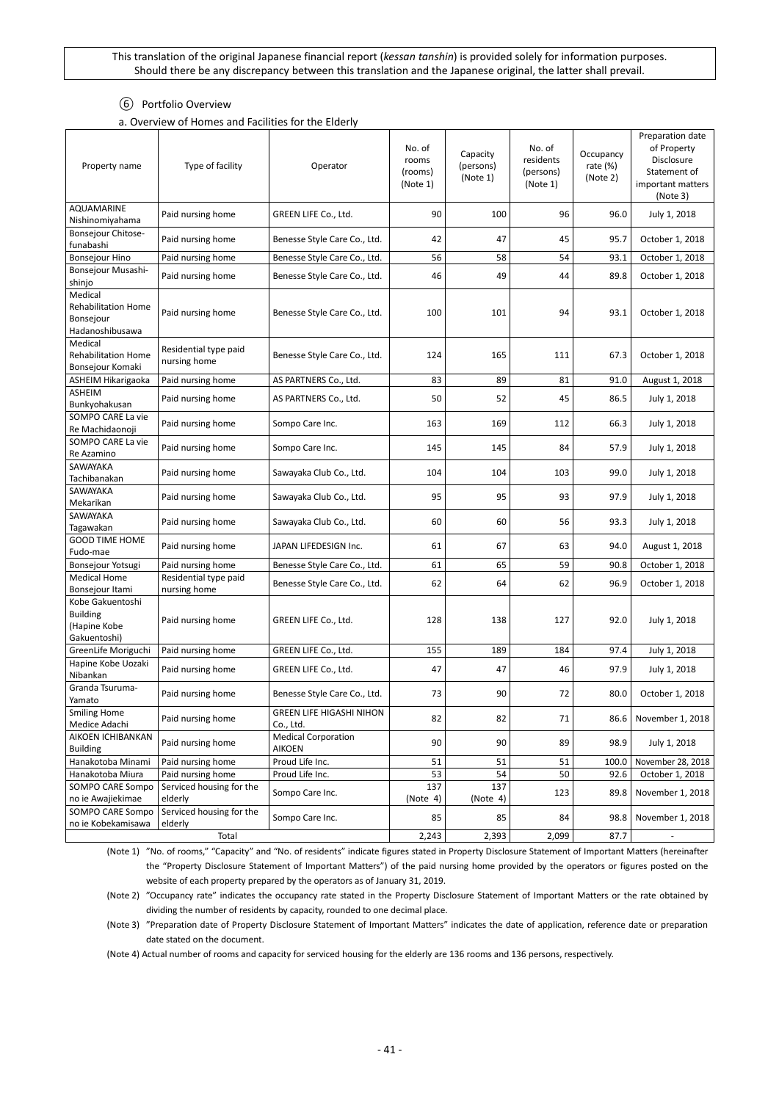### ⑥ Portfolio Overview

a. Overview of Homes and Facilities for the Elderly

<span id="page-40-0"></span>

| Property name                                                         | Type of facility                      | Operator                                     | No. of<br>rooms<br>(rooms)<br>(Note 1) | Capacity<br>(persons)<br>(Note 1) | No. of<br>residents<br>(persons)<br>(Note 1) | Occupancy<br>rate $(\%)$<br>(Note 2) | Preparation date<br>of Property<br>Disclosure<br>Statement of<br>important matters<br>(Note 3) |
|-----------------------------------------------------------------------|---------------------------------------|----------------------------------------------|----------------------------------------|-----------------------------------|----------------------------------------------|--------------------------------------|------------------------------------------------------------------------------------------------|
| <b>AQUAMARINE</b><br>Nishinomiyahama                                  | Paid nursing home                     | GREEN LIFE Co., Ltd.                         | 90                                     | 100                               | 96                                           | 96.0                                 | July 1, 2018                                                                                   |
| Bonsejour Chitose-<br>funabashi                                       | Paid nursing home                     | Benesse Style Care Co., Ltd.                 | 42                                     | 47                                | 45                                           | 95.7                                 | October 1, 2018                                                                                |
| <b>Bonsejour Hino</b>                                                 | Paid nursing home                     | Benesse Style Care Co., Ltd.                 | 56                                     | 58                                | 54                                           | 93.1                                 | October 1, 2018                                                                                |
| Bonsejour Musashi-<br>shinjo                                          | Paid nursing home                     | Benesse Style Care Co., Ltd.                 | 46                                     | 49                                | 44                                           | 89.8                                 | October 1, 2018                                                                                |
| Medical<br><b>Rehabilitation Home</b><br>Bonsejour<br>Hadanoshibusawa | Paid nursing home                     | Benesse Style Care Co., Ltd.                 | 100                                    | 101                               | 94                                           | 93.1                                 | October 1, 2018                                                                                |
| Medical<br><b>Rehabilitation Home</b><br>Bonsejour Komaki             | Residential type paid<br>nursing home | Benesse Style Care Co., Ltd.                 | 124                                    | 165                               | 111                                          | 67.3                                 | October 1, 2018                                                                                |
| ASHEIM Hikarigaoka                                                    | Paid nursing home                     | AS PARTNERS Co., Ltd.                        | 83                                     | 89                                | 81                                           | 91.0                                 | August 1, 2018                                                                                 |
| ASHEIM<br>Bunkyohakusan                                               | Paid nursing home                     | AS PARTNERS Co., Ltd.                        | 50                                     | 52                                | 45                                           | 86.5                                 | July 1, 2018                                                                                   |
| SOMPO CARE La vie<br>Re Machidaonoji                                  | Paid nursing home                     | Sompo Care Inc.                              | 163                                    | 169                               | 112                                          | 66.3                                 | July 1, 2018                                                                                   |
| SOMPO CARE La vie<br>Re Azamino                                       | Paid nursing home                     | Sompo Care Inc.                              | 145                                    | 145                               | 84                                           | 57.9                                 | July 1, 2018                                                                                   |
| SAWAYAKA<br>Tachibanakan                                              | Paid nursing home                     | Sawayaka Club Co., Ltd.                      | 104                                    | 104                               | 103                                          | 99.0                                 | July 1, 2018                                                                                   |
| SAWAYAKA<br>Mekarikan                                                 | Paid nursing home                     | Sawayaka Club Co., Ltd.                      | 95                                     | 95                                | 93                                           | 97.9                                 | July 1, 2018                                                                                   |
| SAWAYAKA<br>Tagawakan                                                 | Paid nursing home                     | Sawayaka Club Co., Ltd.                      | 60                                     | 60                                | 56                                           | 93.3                                 | July 1, 2018                                                                                   |
| <b>GOOD TIME HOME</b><br>Fudo-mae                                     | Paid nursing home                     | JAPAN LIFEDESIGN Inc.                        | 61                                     | 67                                | 63                                           | 94.0                                 | August 1, 2018                                                                                 |
| Bonsejour Yotsugi                                                     | Paid nursing home                     | Benesse Style Care Co., Ltd.                 | 61                                     | 65                                | 59                                           | 90.8                                 | October 1, 2018                                                                                |
| <b>Medical Home</b><br>Bonsejour Itami                                | Residential type paid<br>nursing home | Benesse Style Care Co., Ltd.                 | 62                                     | 64                                | 62                                           | 96.9                                 | October 1, 2018                                                                                |
| Kobe Gakuentoshi<br><b>Building</b><br>(Hapine Kobe<br>Gakuentoshi)   | Paid nursing home                     | GREEN LIFE Co., Ltd.                         | 128                                    | 138                               | 127                                          | 92.0                                 | July 1, 2018                                                                                   |
| GreenLife Moriguchi                                                   | Paid nursing home                     | GREEN LIFE Co., Ltd.                         | 155                                    | 189                               | 184                                          | 97.4                                 | July 1, 2018                                                                                   |
| Hapine Kobe Uozaki<br>Nibankan                                        | Paid nursing home                     | GREEN LIFE Co., Ltd.                         | 47                                     | 47                                | 46                                           | 97.9                                 | July 1, 2018                                                                                   |
| Granda Tsuruma-<br>Yamato                                             | Paid nursing home                     | Benesse Style Care Co., Ltd.                 | 73                                     | 90                                | 72                                           | 80.0                                 | October 1, 2018                                                                                |
| <b>Smiling Home</b><br>Medice Adachi                                  | Paid nursing home                     | <b>GREEN LIFE HIGASHI NIHON</b><br>Co., Ltd. | 82                                     | 82                                | 71                                           |                                      | 86.6 November 1, 2018                                                                          |
| AIKOEN ICHIBANKAN<br><b>Building</b>                                  | Paid nursing home                     | <b>Medical Corporation</b><br><b>AIKOEN</b>  | 90                                     | 90                                | 89                                           | 98.9                                 | July 1, 2018                                                                                   |
| Hanakotoba Minami                                                     | Paid nursing home                     | Proud Life Inc.                              | 51                                     | 51                                | 51                                           | 100.0                                | November 28, 2018                                                                              |
| Hanakotoba Miura                                                      | Paid nursing home                     | Proud Life Inc.                              | 53                                     | 54                                | 50                                           | 92.6                                 | October 1, 2018                                                                                |
| SOMPO CARE Sompo<br>no ie Awajiekimae                                 | Serviced housing for the<br>elderly   | Sompo Care Inc.                              | 137<br>(Note 4)                        | 137<br>(Note 4)                   | 123                                          | 89.8                                 | November 1, 2018                                                                               |
| SOMPO CARE Sompo<br>no ie Kobekamisawa                                | Serviced housing for the<br>elderly   | Sompo Care Inc.                              | 85                                     | 85                                | 84                                           | 98.8                                 | November 1, 2018                                                                               |
|                                                                       | Total                                 | 2,243                                        | 2,393                                  | 2,099                             | 87.7                                         |                                      |                                                                                                |

(Note 1) "No. of rooms," "Capacity" and "No. of residents" indicate figures stated in Property Disclosure Statement of Important Matters (hereinafter the "Property Disclosure Statement of Important Matters") of the paid nursing home provided by the operators or figures posted on the website of each property prepared by the operators as of January 31, 2019.

(Note 2) "Occupancy rate" indicates the occupancy rate stated in the Property Disclosure Statement of Important Matters or the rate obtained by dividing the number of residents by capacity, rounded to one decimal place.

(Note 3) "Preparation date of Property Disclosure Statement of Important Matters" indicates the date of application, reference date or preparation date stated on the document.

(Note 4) Actual number of rooms and capacity for serviced housing for the elderly are 136 rooms and 136 persons, respectively.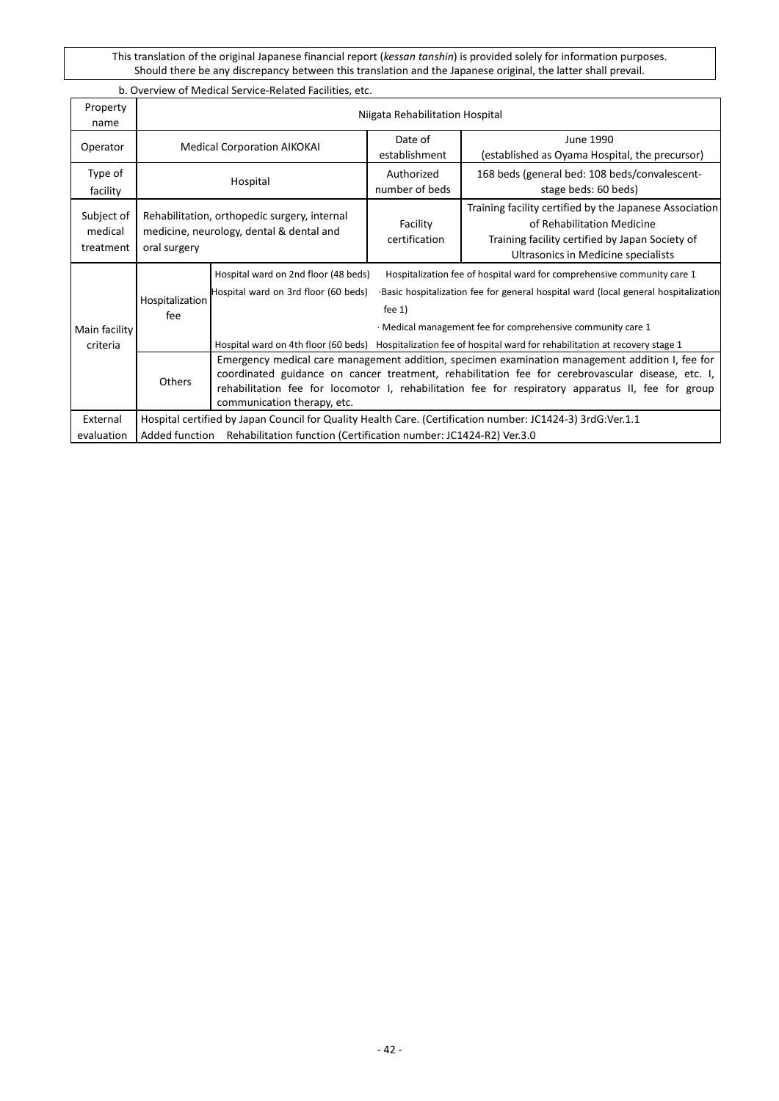# b. Overview of Medical Service-Related Facilities, etc.

| Property<br>name                   |                        | Niigata Rehabilitation Hospital                                                                                                                                                                                                                                                                                                           |                              |                                                                                                                                                                                                                                                                                                                                                  |  |  |  |
|------------------------------------|------------------------|-------------------------------------------------------------------------------------------------------------------------------------------------------------------------------------------------------------------------------------------------------------------------------------------------------------------------------------------|------------------------------|--------------------------------------------------------------------------------------------------------------------------------------------------------------------------------------------------------------------------------------------------------------------------------------------------------------------------------------------------|--|--|--|
| Operator                           |                        | <b>Medical Corporation AIKOKAI</b>                                                                                                                                                                                                                                                                                                        | Date of<br>establishment     | June 1990<br>(established as Oyama Hospital, the precursor)                                                                                                                                                                                                                                                                                      |  |  |  |
| Type of<br>facility                |                        | Hospital                                                                                                                                                                                                                                                                                                                                  | Authorized<br>number of beds | 168 beds (general bed: 108 beds/convalescent-<br>stage beds: 60 beds)                                                                                                                                                                                                                                                                            |  |  |  |
| Subject of<br>medical<br>treatment | oral surgery           | Rehabilitation, orthopedic surgery, internal<br>medicine, neurology, dental & dental and                                                                                                                                                                                                                                                  | Facility<br>certification    | Training facility certified by the Japanese Association<br>of Rehabilitation Medicine<br>Training facility certified by Japan Society of<br>Ultrasonics in Medicine specialists                                                                                                                                                                  |  |  |  |
| Main facility<br>criteria          | Hospitalization<br>fee | Hospital ward on 2nd floor (48 beds)<br>Hospital ward on 3rd floor (60 beds)                                                                                                                                                                                                                                                              | fee $1)$                     | Hospitalization fee of hospital ward for comprehensive community care 1<br>Basic hospitalization fee for general hospital ward (local general hospitalization<br>· Medical management fee for comprehensive community care 1<br>Hospital ward on 4th floor (60 beds) Hospitalization fee of hospital ward for rehabilitation at recovery stage 1 |  |  |  |
|                                    | <b>Others</b>          | Emergency medical care management addition, specimen examination management addition I, fee for<br>coordinated guidance on cancer treatment, rehabilitation fee for cerebrovascular disease, etc. I,<br>rehabilitation fee for locomotor I, rehabilitation fee for respiratory apparatus II, fee for group<br>communication therapy, etc. |                              |                                                                                                                                                                                                                                                                                                                                                  |  |  |  |
| External<br>evaluation             |                        | Hospital certified by Japan Council for Quality Health Care. (Certification number: JC1424-3) 3rdG:Ver.1.1<br>Rehabilitation function (Certification number: JC1424-R2) Ver.3.0<br>Added function                                                                                                                                         |                              |                                                                                                                                                                                                                                                                                                                                                  |  |  |  |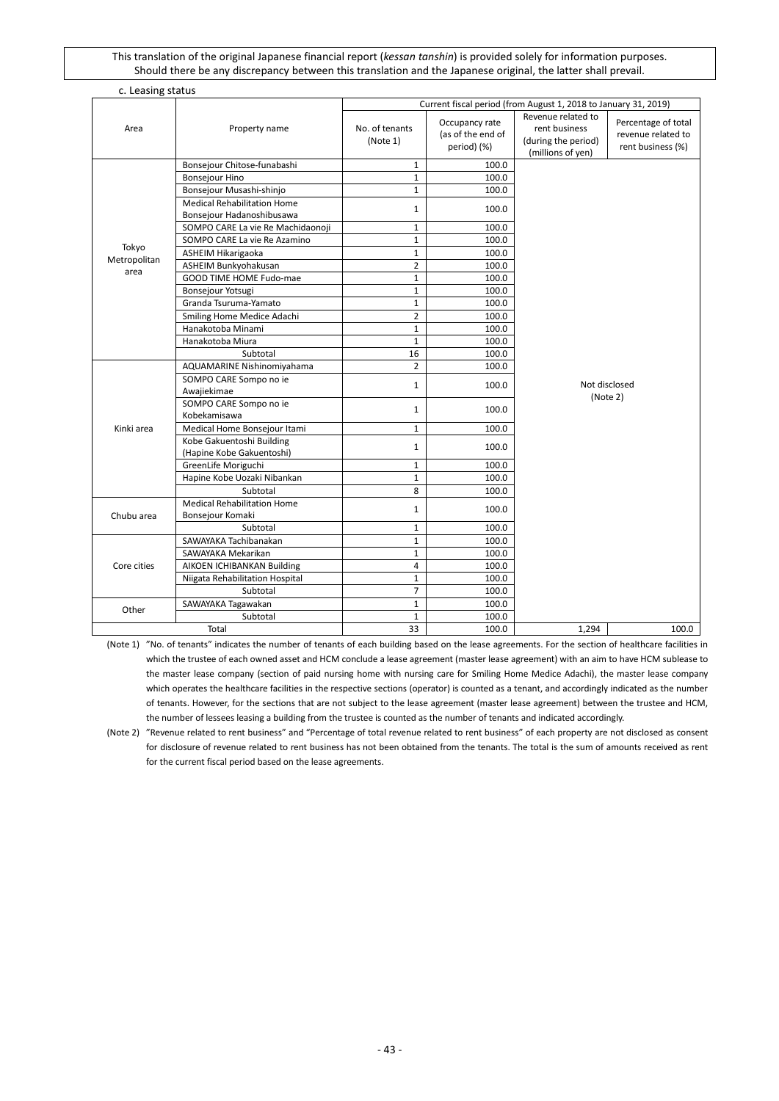| c. Leasing status     |                                    |                                                                 |                                                    |                                                                                 |                                                                |  |  |  |
|-----------------------|------------------------------------|-----------------------------------------------------------------|----------------------------------------------------|---------------------------------------------------------------------------------|----------------------------------------------------------------|--|--|--|
|                       |                                    | Current fiscal period (from August 1, 2018 to January 31, 2019) |                                                    |                                                                                 |                                                                |  |  |  |
| Area                  | Property name                      | No. of tenants<br>(Note 1)                                      | Occupancy rate<br>(as of the end of<br>period) (%) | Revenue related to<br>rent business<br>(during the period)<br>(millions of yen) | Percentage of total<br>revenue related to<br>rent business (%) |  |  |  |
|                       | Bonsejour Chitose-funabashi        | $\mathbf{1}$                                                    | 100.0                                              |                                                                                 |                                                                |  |  |  |
|                       | <b>Bonsejour Hino</b>              | $\mathbf{1}$                                                    | 100.0                                              |                                                                                 |                                                                |  |  |  |
|                       | Bonsejour Musashi-shinjo           | $\mathbf{1}$                                                    | 100.0                                              |                                                                                 |                                                                |  |  |  |
|                       | <b>Medical Rehabilitation Home</b> | $\mathbf{1}$                                                    | 100.0                                              |                                                                                 |                                                                |  |  |  |
|                       | Bonsejour Hadanoshibusawa          |                                                                 |                                                    |                                                                                 |                                                                |  |  |  |
|                       | SOMPO CARE La vie Re Machidaonoji  | $\mathbf{1}$                                                    | 100.0                                              |                                                                                 |                                                                |  |  |  |
|                       | SOMPO CARE La vie Re Azamino       | $\mathbf{1}$                                                    | 100.0                                              |                                                                                 |                                                                |  |  |  |
| Tokyo<br>Metropolitan | ASHEIM Hikarigaoka                 | $\mathbf{1}$                                                    | 100.0                                              |                                                                                 |                                                                |  |  |  |
| area                  | ASHEIM Bunkyohakusan               | $\overline{2}$                                                  | 100.0                                              |                                                                                 |                                                                |  |  |  |
|                       | GOOD TIME HOME Fudo-mae            | $\mathbf{1}$                                                    | 100.0                                              |                                                                                 |                                                                |  |  |  |
|                       | Bonsejour Yotsugi                  | $\mathbf{1}$                                                    | 100.0                                              |                                                                                 |                                                                |  |  |  |
|                       | Granda Tsuruma-Yamato              | $\mathbf{1}$                                                    | 100.0                                              |                                                                                 |                                                                |  |  |  |
|                       | Smiling Home Medice Adachi         | $\overline{2}$                                                  | 100.0                                              |                                                                                 |                                                                |  |  |  |
|                       | Hanakotoba Minami                  | $\mathbf{1}$                                                    | 100.0                                              |                                                                                 |                                                                |  |  |  |
|                       | Hanakotoba Miura                   | $\mathbf{1}$                                                    | 100.0                                              |                                                                                 |                                                                |  |  |  |
|                       | Subtotal                           | 16                                                              | 100.0                                              |                                                                                 |                                                                |  |  |  |
|                       | AQUAMARINE Nishinomiyahama         | $\overline{2}$                                                  | 100.0                                              |                                                                                 |                                                                |  |  |  |
|                       | SOMPO CARE Sompo no ie             | $\mathbf{1}$                                                    | 100.0                                              | Not disclosed                                                                   |                                                                |  |  |  |
|                       | Awajiekimae                        |                                                                 |                                                    | (Note 2)                                                                        |                                                                |  |  |  |
|                       | SOMPO CARE Sompo no ie             | $\mathbf{1}$                                                    | 100.0                                              |                                                                                 |                                                                |  |  |  |
|                       | Kobekamisawa                       |                                                                 |                                                    |                                                                                 |                                                                |  |  |  |
| Kinki area            | Medical Home Bonsejour Itami       | $\mathbf{1}$                                                    | 100.0                                              |                                                                                 |                                                                |  |  |  |
|                       | Kobe Gakuentoshi Building          | $\mathbf{1}$                                                    | 100.0                                              |                                                                                 |                                                                |  |  |  |
|                       | (Hapine Kobe Gakuentoshi)          |                                                                 |                                                    |                                                                                 |                                                                |  |  |  |
|                       | GreenLife Moriguchi                | $\mathbf{1}$                                                    | 100.0                                              |                                                                                 |                                                                |  |  |  |
|                       | Hapine Kobe Uozaki Nibankan        | $\mathbf{1}$                                                    | 100.0                                              |                                                                                 |                                                                |  |  |  |
|                       | Subtotal                           | 8                                                               | 100.0                                              |                                                                                 |                                                                |  |  |  |
|                       | <b>Medical Rehabilitation Home</b> | $\mathbf{1}$                                                    | 100.0                                              |                                                                                 |                                                                |  |  |  |
| Chubu area            | Bonsejour Komaki                   |                                                                 |                                                    |                                                                                 |                                                                |  |  |  |
|                       | Subtotal                           | $\mathbf{1}$                                                    | 100.0                                              |                                                                                 |                                                                |  |  |  |
|                       | SAWAYAKA Tachibanakan              | $\mathbf{1}$                                                    | 100.0                                              |                                                                                 |                                                                |  |  |  |
|                       | SAWAYAKA Mekarikan                 | $\mathbf{1}$<br>$\overline{4}$                                  | 100.0                                              |                                                                                 |                                                                |  |  |  |
| Core cities           | AIKOEN ICHIBANKAN Building         |                                                                 | 100.0                                              |                                                                                 |                                                                |  |  |  |
|                       | Niigata Rehabilitation Hospital    | $\mathbf{1}$<br>$\overline{7}$                                  | 100.0                                              |                                                                                 |                                                                |  |  |  |
|                       | Subtotal                           |                                                                 | 100.0                                              |                                                                                 |                                                                |  |  |  |
| Other                 | SAWAYAKA Tagawakan                 | $\mathbf{1}$<br>$\mathbf{1}$                                    | 100.0<br>100.0                                     |                                                                                 |                                                                |  |  |  |
|                       | Subtotal                           | 33                                                              | 100.0                                              | 1.294                                                                           | 100.0                                                          |  |  |  |
|                       | Total                              |                                                                 |                                                    |                                                                                 |                                                                |  |  |  |

(Note 1) "No. of tenants" indicates the number of tenants of each building based on the lease agreements. For the section of healthcare facilities in which the trustee of each owned asset and HCM conclude a lease agreement (master lease agreement) with an aim to have HCM sublease to the master lease company (section of paid nursing home with nursing care for Smiling Home Medice Adachi), the master lease company which operates the healthcare facilities in the respective sections (operator) is counted as a tenant, and accordingly indicated as the number of tenants. However, for the sections that are not subject to the lease agreement (master lease agreement) between the trustee and HCM, the number of lessees leasing a building from the trustee is counted as the number of tenants and indicated accordingly.

(Note 2) "Revenue related to rent business" and "Percentage of total revenue related to rent business" of each property are not disclosed as consent for disclosure of revenue related to rent business has not been obtained from the tenants. The total is the sum of amounts received as rent for the current fiscal period based on the lease agreements.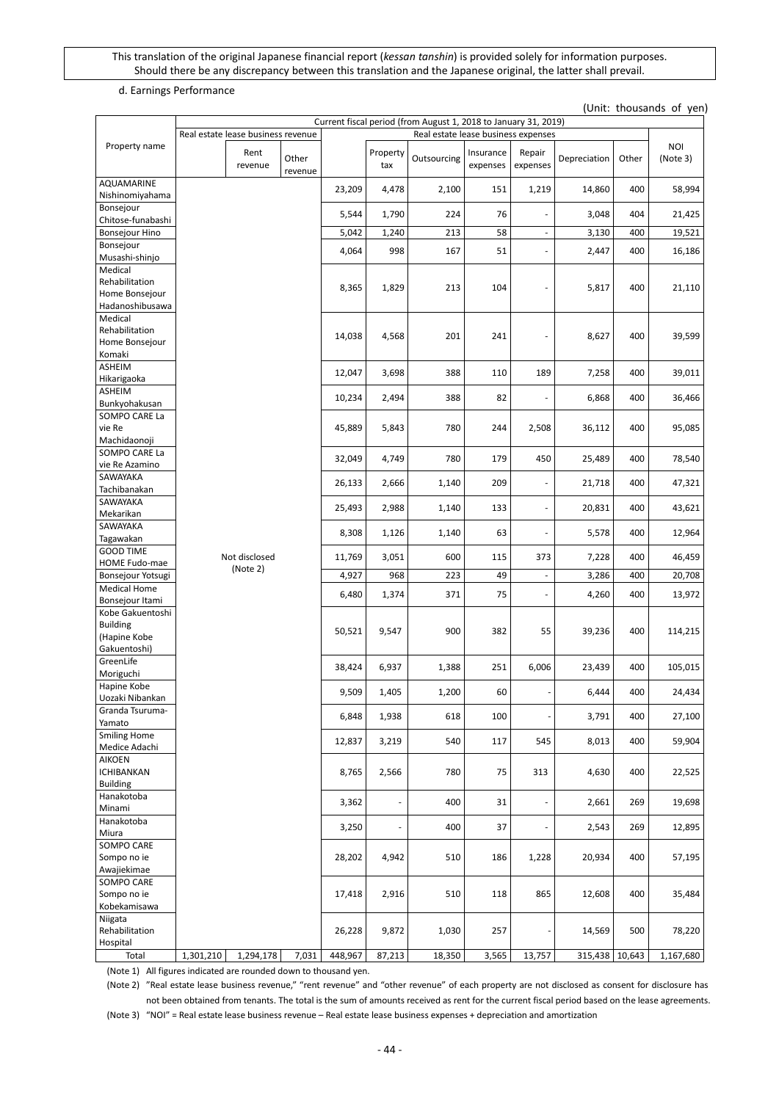#### d. Earnings Performance

(Unit: thousands of yen)

|                                                                     |           |                                    |                  |         |                          | Current fiscal period (from August 1, 2018 to January 31, 2019) |                          |                          |                |        |                        |
|---------------------------------------------------------------------|-----------|------------------------------------|------------------|---------|--------------------------|-----------------------------------------------------------------|--------------------------|--------------------------|----------------|--------|------------------------|
|                                                                     |           | Real estate lease business revenue |                  |         |                          | Real estate lease business expenses                             |                          |                          |                |        |                        |
| Property name                                                       |           | Rent<br>revenue                    | Other<br>revenue |         | Property<br>tax          | Outsourcing                                                     | Insurance<br>expenses    | Repair<br>expenses       | Depreciation   | Other  | <b>NOI</b><br>(Note 3) |
| AQUAMARINE<br>Nishinomiyahama                                       |           |                                    |                  | 23,209  | 4,478                    | 2,100                                                           | 151                      | 1,219                    | 14,860         | 400    | 58,994                 |
| Bonsejour<br>Chitose-funabashi                                      |           |                                    |                  | 5,544   | 1,790                    | 224                                                             | 76                       |                          | 3,048          | 404    | 21,425                 |
| <b>Bonsejour Hino</b>                                               |           |                                    |                  | 5,042   | 1,240                    | 213                                                             | 58                       | $\overline{\phantom{a}}$ | 3,130          | 400    | 19,521                 |
| Bonsejour                                                           |           |                                    |                  |         |                          |                                                                 |                          | $\overline{\phantom{a}}$ |                |        |                        |
| Musashi-shinjo                                                      |           |                                    |                  | 4,064   | 998                      | 167                                                             | 51                       |                          | 2,447          | 400    | 16,186                 |
| Medical<br>Rehabilitation                                           |           |                                    |                  | 8,365   | 1,829                    | 213                                                             | 104                      |                          | 5,817          | 400    | 21,110                 |
| Home Bonsejour<br>Hadanoshibusawa                                   |           |                                    |                  |         |                          |                                                                 |                          |                          |                |        |                        |
| Medical<br>Rehabilitation<br>Home Bonsejour<br>Komaki               |           |                                    |                  | 14,038  | 4,568                    | 201                                                             | 241                      |                          | 8,627          | 400    | 39,599                 |
| ASHEIM<br>Hikarigaoka                                               |           |                                    |                  | 12,047  | 3,698                    | 388                                                             | 110                      | 189                      | 7,258          | 400    | 39,011                 |
| <b>ASHEIM</b><br>Bunkyohakusan                                      |           |                                    |                  | 10,234  | 2,494                    | 388                                                             | 82                       |                          | 6,868          | 400    | 36,466                 |
| SOMPO CARE La<br>vie Re                                             |           |                                    |                  | 45,889  | 5,843                    | 780                                                             | 244                      | 2,508                    | 36,112         | 400    | 95,085                 |
| Machidaonoji<br>SOMPO CARE La<br>vie Re Azamino                     |           |                                    |                  | 32,049  | 4,749                    | 780                                                             | 179                      | 450                      | 25,489         | 400    | 78,540                 |
| SAWAYAKA<br>Tachibanakan                                            |           |                                    |                  | 26,133  | 2,666                    | 1,140                                                           | 209                      | ÷,                       | 21,718         | 400    | 47,321                 |
| SAWAYAKA<br>Mekarikan                                               |           |                                    |                  | 25,493  | 2,988                    | 1,140                                                           | 133                      | $\overline{\phantom{a}}$ | 20,831         | 400    | 43,621                 |
| SAWAYAKA                                                            |           |                                    | 8,308            | 1,126   | 1,140                    | 63                                                              | $\overline{\phantom{a}}$ | 5,578                    | 400            | 12,964 |                        |
| Tagawakan<br><b>GOOD TIME</b>                                       |           |                                    |                  |         |                          |                                                                 |                          |                          |                |        |                        |
| HOME Fudo-mae                                                       |           | Not disclosed<br>(Note 2)          |                  | 11,769  | 3,051                    | 600                                                             | 115                      | 373                      | 7,228          | 400    | 46,459                 |
| Bonsejour Yotsugi<br><b>Medical Home</b>                            |           |                                    |                  | 4,927   | 968                      | 223                                                             | 49                       | $\overline{\phantom{a}}$ | 3,286          | 400    | 20,708                 |
| Bonsejour Itami                                                     |           |                                    |                  | 6,480   | 1,374                    | 371                                                             | 75                       | ä,                       | 4,260          | 400    | 13,972                 |
| Kobe Gakuentoshi<br><b>Building</b><br>(Hapine Kobe<br>Gakuentoshi) |           |                                    |                  | 50,521  | 9,547                    | 900                                                             | 382                      | 55                       | 39,236         | 400    | 114,215                |
| GreenLife<br>Moriguchi                                              |           |                                    |                  | 38,424  | 6,937                    | 1,388                                                           | 251                      | 6,006                    | 23,439         | 400    | 105,015                |
| Hapine Kobe<br>Uozaki Nibankan                                      |           |                                    |                  | 9,509   | 1,405                    | 1,200                                                           | 60                       |                          | 6,444          | 400    | 24,434                 |
| Granda Tsuruma-<br>Yamato                                           |           |                                    |                  | 6,848   | 1,938                    | 618                                                             | 100                      |                          | 3,791          | 400    | 27,100                 |
| <b>Smiling Home</b><br>Medice Adachi                                |           |                                    |                  | 12,837  | 3,219                    | 540                                                             | 117                      | 545                      | 8,013          | 400    | 59,904                 |
| AIKOEN<br><b>ICHIBANKAN</b>                                         |           |                                    |                  | 8,765   | 2,566                    | 780                                                             | 75                       | 313                      | 4,630          | 400    | 22,525                 |
| <b>Building</b><br>Hanakotoba<br>Minami                             |           |                                    |                  | 3,362   | $\overline{\phantom{a}}$ | 400                                                             | 31                       |                          | 2,661          | 269    | 19,698                 |
| Hanakotoba                                                          |           |                                    | 3,250            | ÷,      | 400                      | 37                                                              |                          | 2,543                    | 269            | 12,895 |                        |
| Miura<br>SOMPO CARE                                                 |           |                                    |                  |         |                          |                                                                 |                          |                          |                |        |                        |
| Sompo no ie<br>Awajiekimae                                          |           |                                    |                  | 28,202  | 4,942                    | 510                                                             | 186                      | 1,228                    | 20,934         | 400    | 57,195                 |
| SOMPO CARE<br>Sompo no ie<br>Kobekamisawa                           |           |                                    |                  | 17,418  | 2,916                    | 510                                                             | 118                      | 865                      | 12,608         | 400    | 35,484                 |
| Niigata<br>Rehabilitation<br>Hospital                               |           |                                    |                  | 26,228  | 9,872                    | 1,030                                                           | 257                      |                          | 14,569         | 500    | 78,220                 |
| Total                                                               | 1,301,210 | 1,294,178                          | 7,031            | 448,967 | 87,213                   | 18,350                                                          | 3,565                    | 13,757                   | 315,438 10,643 |        | 1,167,680              |

(Note 1) All figures indicated are rounded down to thousand yen.

(Note 2) "Real estate lease business revenue," "rent revenue" and "other revenue" of each property are not disclosed as consent for disclosure has not been obtained from tenants. The total is the sum of amounts received as rent for the current fiscal period based on the lease agreements.

(Note 3) "NOI" = Real estate lease business revenue – Real estate lease business expenses + depreciation and amortization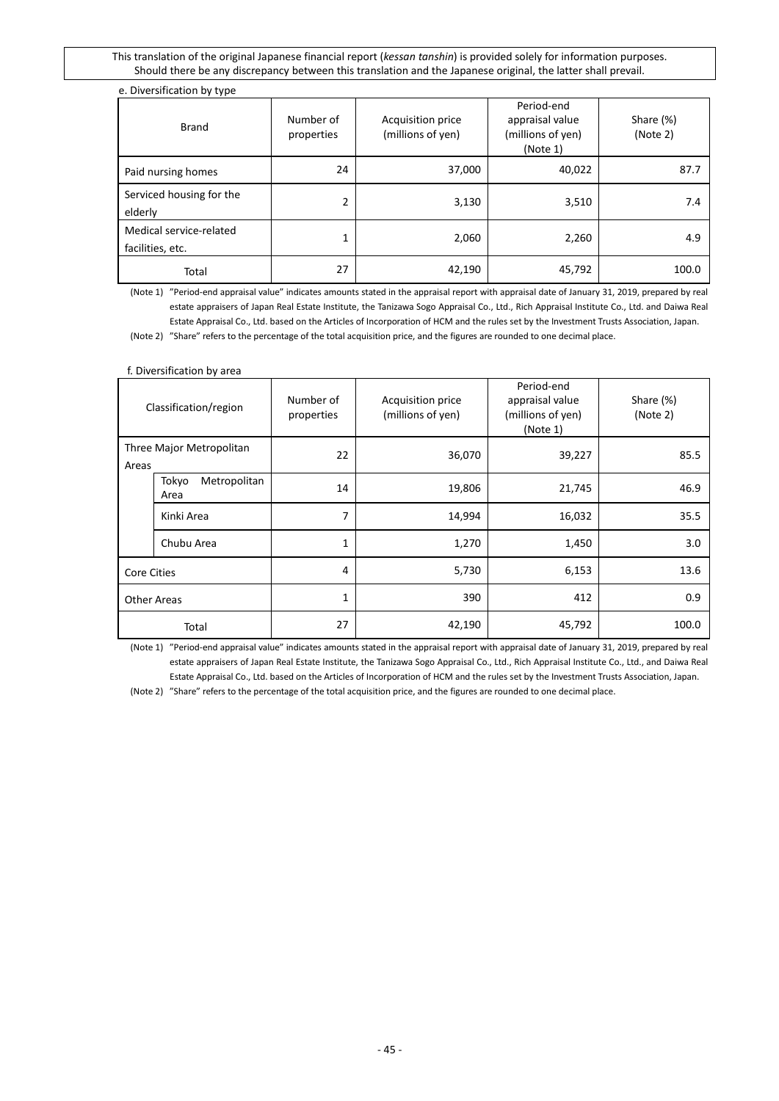### e. Diversification by type

| <b>Brand</b>                                | Number of<br>properties | Period-end<br>appraisal value<br>Acquisition price<br>(millions of yen)<br>(millions of yen)<br>(Note 1) |        | Share (%)<br>(Note 2) |
|---------------------------------------------|-------------------------|----------------------------------------------------------------------------------------------------------|--------|-----------------------|
| Paid nursing homes                          | 24                      | 37,000                                                                                                   | 40,022 | 87.7                  |
| Serviced housing for the<br>elderly         | 2                       | 3,130                                                                                                    | 3,510  | 7.4                   |
| Medical service-related<br>facilities, etc. | 1                       | 2,060                                                                                                    | 2,260  | 4.9                   |
| Total                                       | 27                      | 42,190                                                                                                   | 45,792 | 100.0                 |

(Note 1) "Period-end appraisal value" indicates amounts stated in the appraisal report with appraisal date of January 31, 2019, prepared by real estate appraisers of Japan Real Estate Institute, the Tanizawa Sogo Appraisal Co., Ltd., Rich Appraisal Institute Co., Ltd. and Daiwa Real Estate Appraisal Co., Ltd. based on the Articles of Incorporation of HCM and the rules set by the Investment Trusts Association, Japan.

(Note 2) "Share" refers to the percentage of the total acquisition price, and the figures are rounded to one decimal place.

#### f. Diversification by area

| Classification/region             |                               | Number of<br>properties | Period-end<br>appraisal value<br>Acquisition price<br>(millions of yen)<br>(millions of yen)<br>(Note 1) |        | Share (%)<br>(Note 2) |  |
|-----------------------------------|-------------------------------|-------------------------|----------------------------------------------------------------------------------------------------------|--------|-----------------------|--|
| Three Major Metropolitan<br>Areas |                               | 22                      | 36,070                                                                                                   | 39,227 | 85.5                  |  |
|                                   | Metropolitan<br>Tokyo<br>Area | 14                      | 19,806                                                                                                   | 21,745 | 46.9                  |  |
|                                   | Kinki Area                    | 7                       | 14,994                                                                                                   | 16,032 | 35.5                  |  |
|                                   | Chubu Area                    | 1                       | 1,270                                                                                                    | 1,450  | 3.0                   |  |
| <b>Core Cities</b>                |                               | 4                       | 5,730                                                                                                    | 6,153  | 13.6                  |  |
| <b>Other Areas</b>                |                               | 1                       |                                                                                                          | 412    | 0.9                   |  |
|                                   | Total                         | 27                      | 42,190                                                                                                   | 45,792 | 100.0                 |  |

(Note 1) "Period-end appraisal value" indicates amounts stated in the appraisal report with appraisal date of January 31, 2019, prepared by real estate appraisers of Japan Real Estate Institute, the Tanizawa Sogo Appraisal Co., Ltd., Rich Appraisal Institute Co., Ltd., and Daiwa Real Estate Appraisal Co., Ltd. based on the Articles of Incorporation of HCM and the rules set by the Investment Trusts Association, Japan.

(Note 2) "Share" refers to the percentage of the total acquisition price, and the figures are rounded to one decimal place.